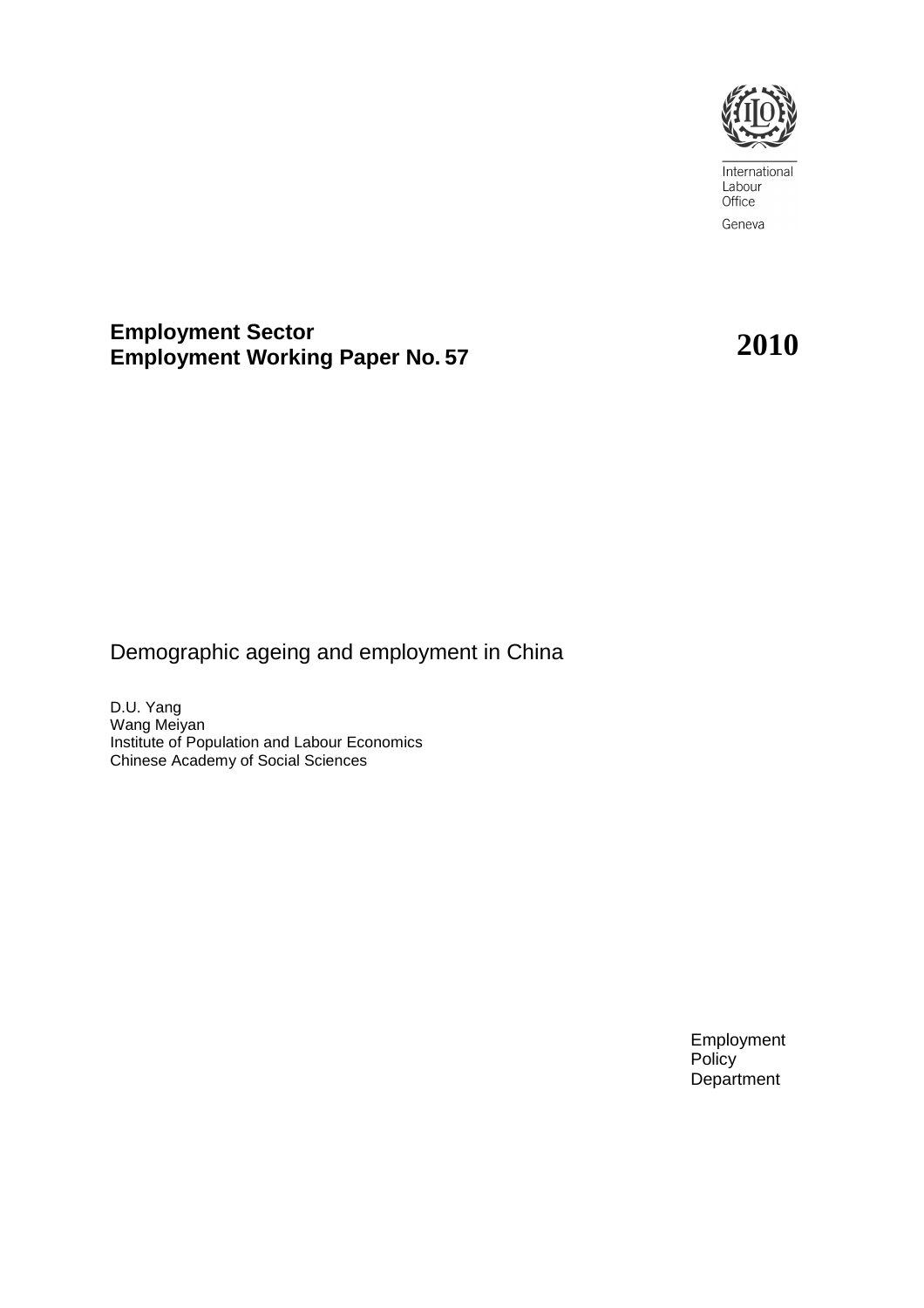

International Labour Office Geneva

# **Employment Sector Employment Working Paper No. <sup>57</sup>2010**

# Demographic ageing and employment in China

D.U. Yang Wang Meiyan Institute of Population and Labour Economics Chinese Academy of Social Sciences

> Employment **Policy Department**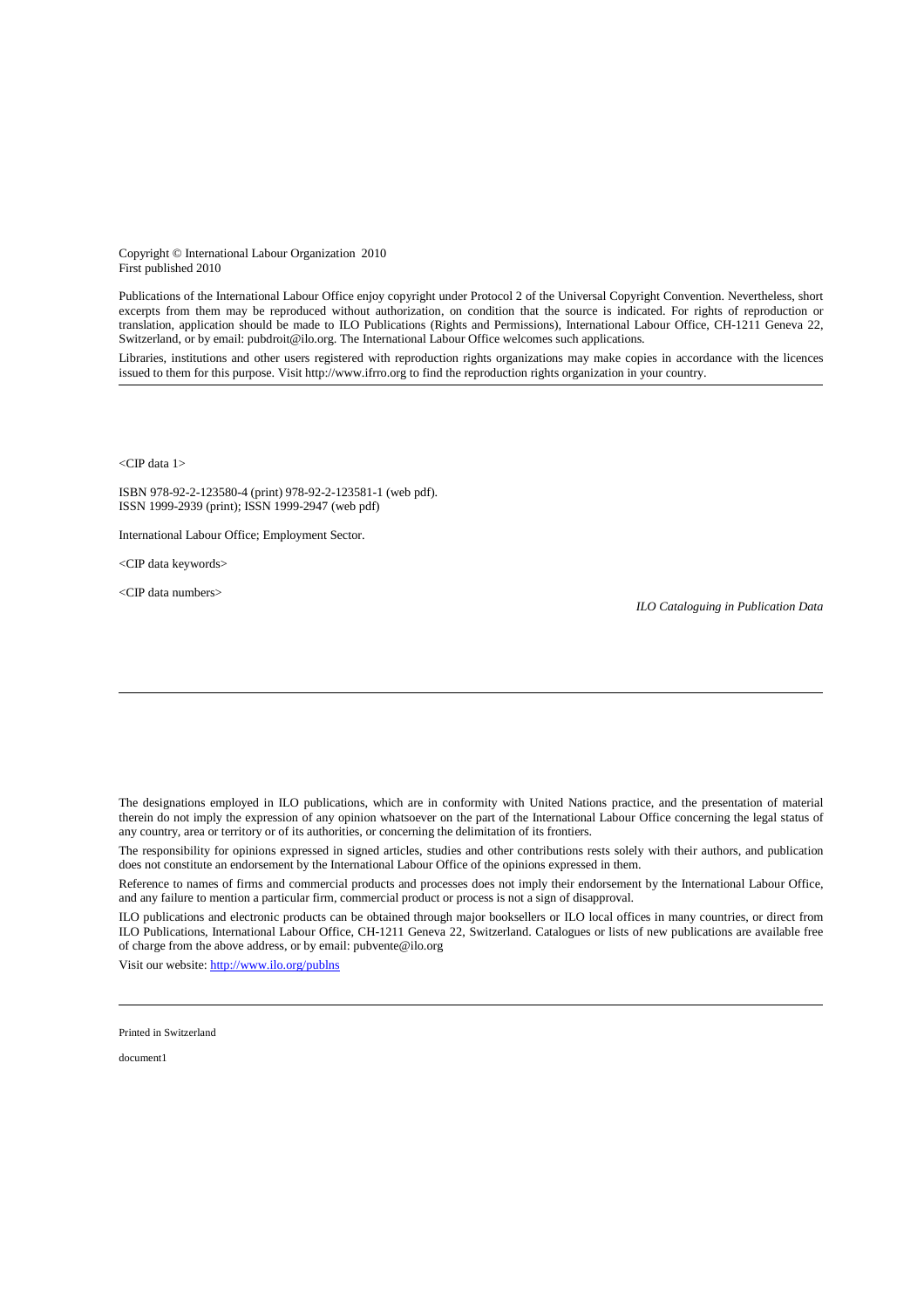Copyright © International Labour Organization 2010 First published 2010

Publications of the International Labour Office enjoy copyright under Protocol 2 of the Universal Copyright Convention. Nevertheless, short excerpts from them may be reproduced without authorization, on condition that the source is indicated. For rights of reproduction or translation, application should be made to ILO Publications (Rights and Permissions), International Labour Office, CH-1211 Geneva 22, Switzerland, or by email: pubdroit@ilo.org. The International Labour Office welcomes such applications.

Libraries, institutions and other users registered with reproduction rights organizations may make copies in accordance with the licences issued to them for this purpose. Visit http://www.ifrro.org to find the reproduction rights organization in your country.

<CIP data 1>

ISBN 978-92-2-123580-4 (print) 978-92-2-123581-1 (web pdf). ISSN 1999-2939 (print); ISSN 1999-2947 (web pdf)

International Labour Office; Employment Sector.

<CIP data keywords>

<CIP data numbers>

*ILO Cataloguing in Publication Data*

The designations employed in ILO publications, which are in conformity with United Nations practice, and the presentation of material therein do not imply the expression of any opinion whatsoever on the part of the International Labour Office concerning the legal status of any country, area or territory or of its authorities, or concerning the delimitation of its frontiers.

The responsibility for opinions expressed in signed articles, studies and other contributions rests solely with their authors, and publication does not constitute an endorsement by the International Labour Office of the opinions expressed in them.

Reference to names of firms and commercial products and processes does not imply their endorsement by the International Labour Office, and any failure to mention a particular firm, commercial product or process is not a sign of disapproval.

ILO publications and electronic products can be obtained through major booksellers or ILO local offices in many countries, or direct from ILO Publications, International Labour Office, CH-1211 Geneva 22, Switzerland. Catalogues or lists of new publications are available free of charge from the above address, or by email: pubvente@ilo.org

Visit our website: http://www.ilo.org/publns

Printed in Switzerland

document1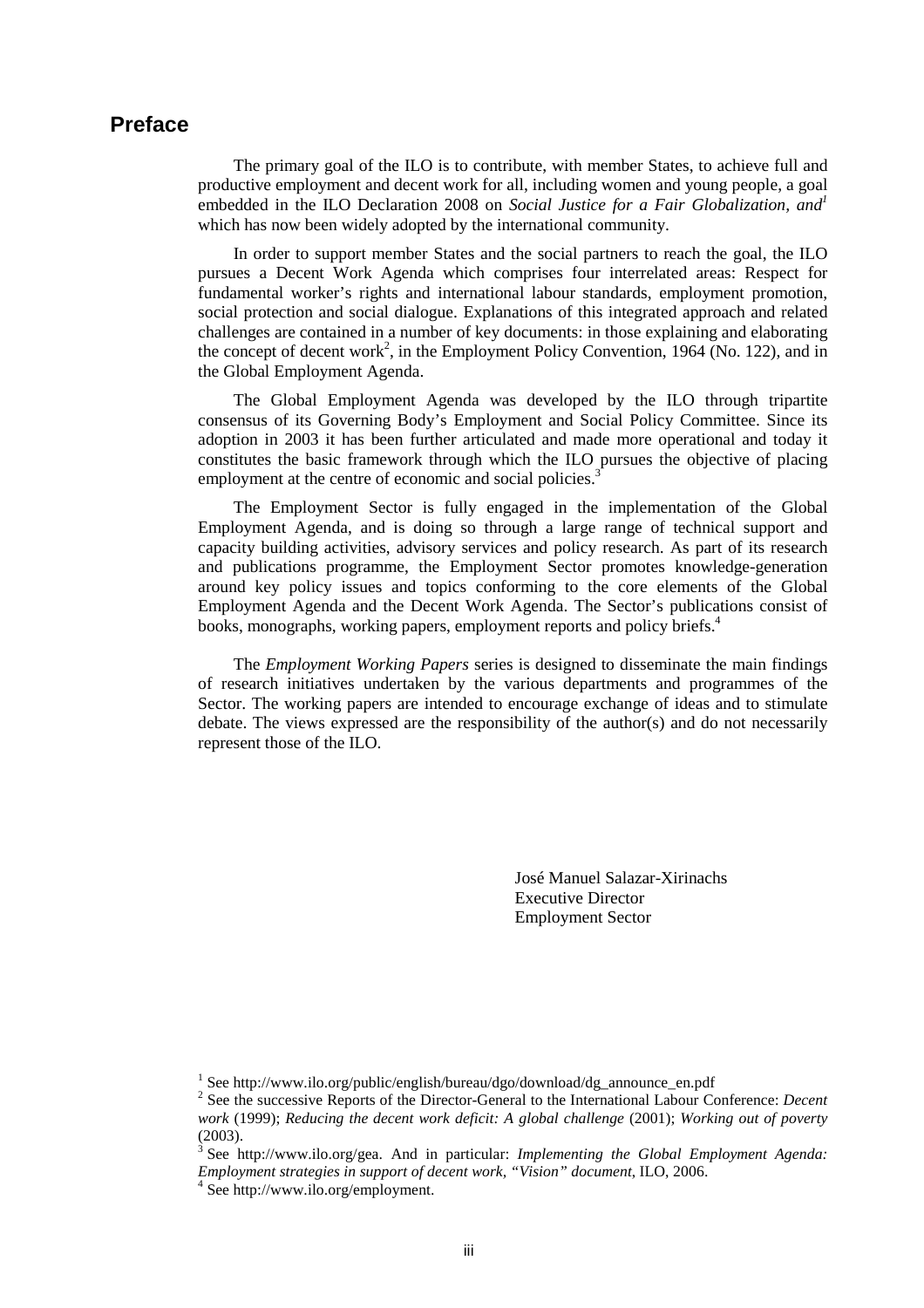### **Preface**

The primary goal of the ILO is to contribute, with member States, to achieve full and productive employment and decent work for all, including women and young people, a goal embedded in the ILO Declaration 2008 on *Social Justice for a Fair Globalization, and<sup>1</sup>* which has now been widely adopted by the international community.

In order to support member States and the social partners to reach the goal, the ILO pursues a Decent Work Agenda which comprises four interrelated areas: Respect for fundamental worker's rights and international labour standards, employment promotion, social protection and social dialogue. Explanations of this integrated approach and related challenges are contained in a number of key documents: in those explaining and elaborating the concept of decent work<sup>2</sup>, in the Employment Policy Convention, 1964 (No. 122), and in the Global Employment Agenda.

The Global Employment Agenda was developed by the ILO through tripartite consensus of its Governing Body's Employment and Social Policy Committee. Since its adoption in 2003 it has been further articulated and made more operational and today it constitutes the basic framework through which the ILO pursues the objective of placing employment at the centre of economic and social policies.<sup>3</sup>

The Employment Sector is fully engaged in the implementation of the Global Employment Agenda, and is doing so through a large range of technical support and capacity building activities, advisory services and policy research. As part of its research and publications programme, the Employment Sector promotes knowledge-generation around key policy issues and topics conforming to the core elements of the Global Employment Agenda and the Decent Work Agenda. The Sector's publications consist of books, monographs, working papers, employment reports and policy briefs.<sup>4</sup>

The *Employment Working Papers* series is designed to disseminate the main findings of research initiatives undertaken by the various departments and programmes of the Sector. The working papers are intended to encourage exchange of ideas and to stimulate debate. The views expressed are the responsibility of the author(s) and do not necessarily represent those of the ILO.

> José Manuel Salazar-Xirinachs Executive Director Employment Sector

<sup>&</sup>lt;sup>1</sup> See http://www.ilo.org/public/english/bureau/dgo/download/dg\_announce\_en.pdf

<sup>2</sup> See the successive Reports of the Director-General to the International Labour Conference: *Decent work* (1999); *Reducing the decent work deficit: A global challenge* (2001); *Working out of poverty*  (2003).

<sup>3</sup> See http://www.ilo.org/gea. And in particular: *Implementing the Global Employment Agenda: Employment strategies in support of decent work, "Vision" document*, ILO, 2006.

<sup>4</sup> See http://www.ilo.org/employment.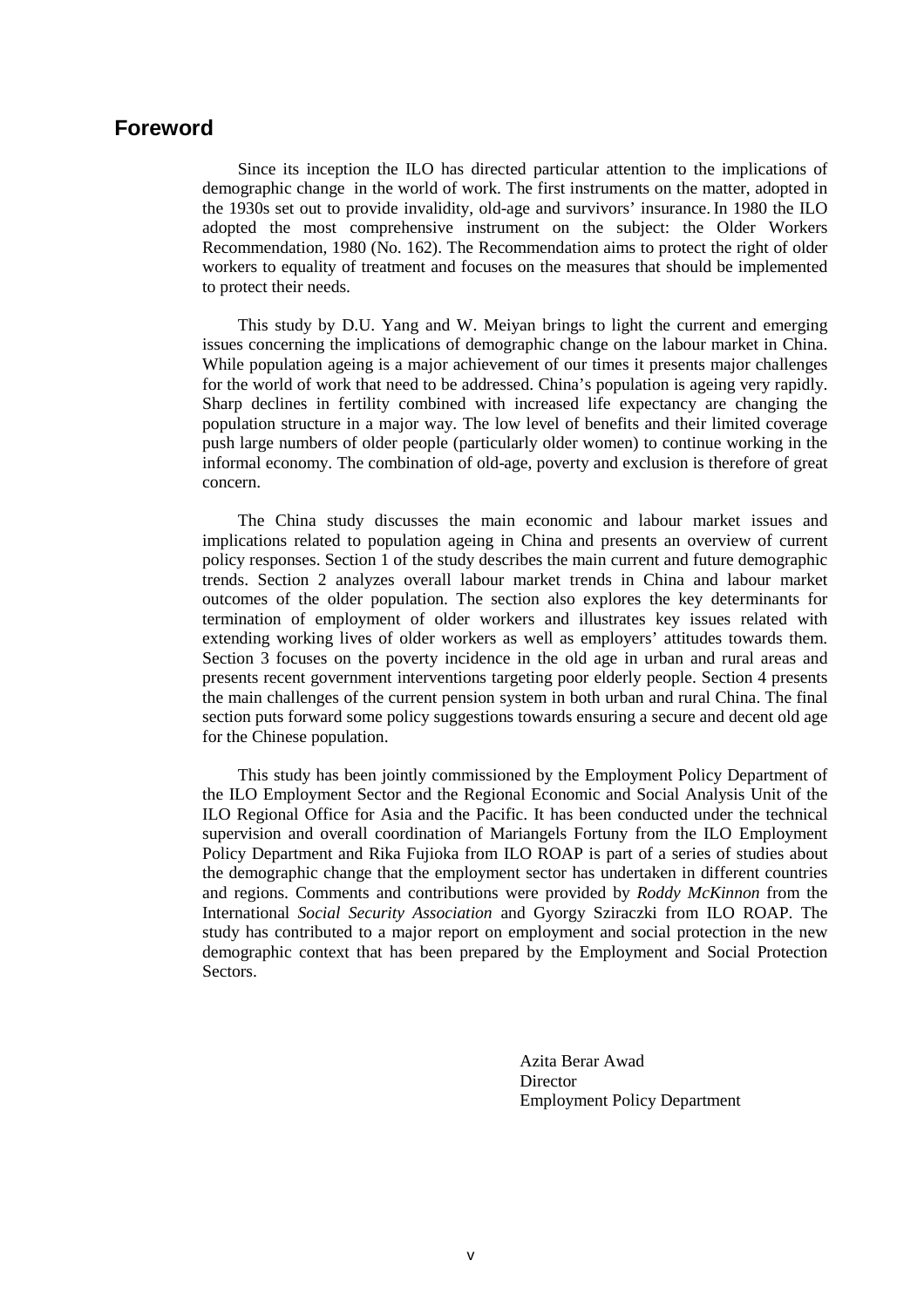### **Foreword**

Since its inception the ILO has directed particular attention to the implications of demographic change in the world of work. The first instruments on the matter, adopted in the 1930s set out to provide invalidity, old-age and survivors' insurance.In 1980 the ILO adopted the most comprehensive instrument on the subject: the Older Workers Recommendation, 1980 (No. 162). The Recommendation aims to protect the right of older workers to equality of treatment and focuses on the measures that should be implemented to protect their needs.

This study by D.U. Yang and W. Meiyan brings to light the current and emerging issues concerning the implications of demographic change on the labour market in China. While population ageing is a major achievement of our times it presents major challenges for the world of work that need to be addressed. China's population is ageing very rapidly. Sharp declines in fertility combined with increased life expectancy are changing the population structure in a major way. The low level of benefits and their limited coverage push large numbers of older people (particularly older women) to continue working in the informal economy. The combination of old-age, poverty and exclusion is therefore of great concern.

The China study discusses the main economic and labour market issues and implications related to population ageing in China and presents an overview of current policy responses. Section 1 of the study describes the main current and future demographic trends. Section 2 analyzes overall labour market trends in China and labour market outcomes of the older population. The section also explores the key determinants for termination of employment of older workers and illustrates key issues related with extending working lives of older workers as well as employers' attitudes towards them. Section 3 focuses on the poverty incidence in the old age in urban and rural areas and presents recent government interventions targeting poor elderly people. Section 4 presents the main challenges of the current pension system in both urban and rural China. The final section puts forward some policy suggestions towards ensuring a secure and decent old age for the Chinese population.

This study has been jointly commissioned by the Employment Policy Department of the ILO Employment Sector and the Regional Economic and Social Analysis Unit of the ILO Regional Office for Asia and the Pacific. It has been conducted under the technical supervision and overall coordination of Mariangels Fortuny from the ILO Employment Policy Department and Rika Fujioka from ILO ROAP is part of a series of studies about the demographic change that the employment sector has undertaken in different countries and regions. Comments and contributions were provided by *Roddy McKinnon* from the International *Social Security Association* and Gyorgy Sziraczki from ILO ROAP. The study has contributed to a major report on employment and social protection in the new demographic context that has been prepared by the Employment and Social Protection Sectors.

> Azita Berar Awad **Director** Employment Policy Department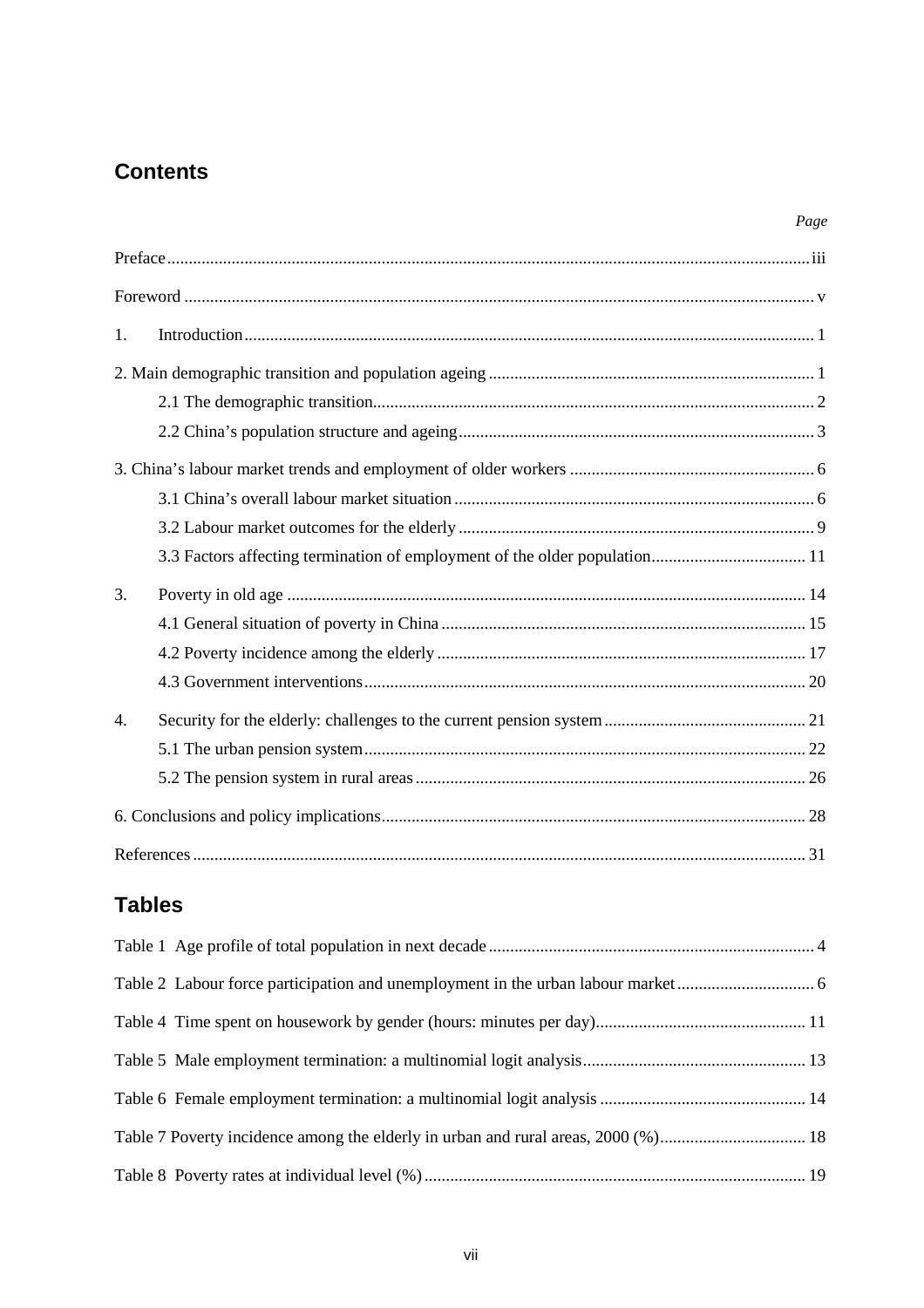# **Contents**

|                  | Page |
|------------------|------|
|                  |      |
|                  |      |
| 1.               |      |
|                  |      |
|                  |      |
|                  |      |
|                  |      |
|                  |      |
|                  |      |
|                  |      |
| 3.               |      |
|                  |      |
|                  |      |
|                  |      |
| $\overline{4}$ . |      |
|                  |      |
|                  |      |
|                  |      |
|                  |      |

# **Tables**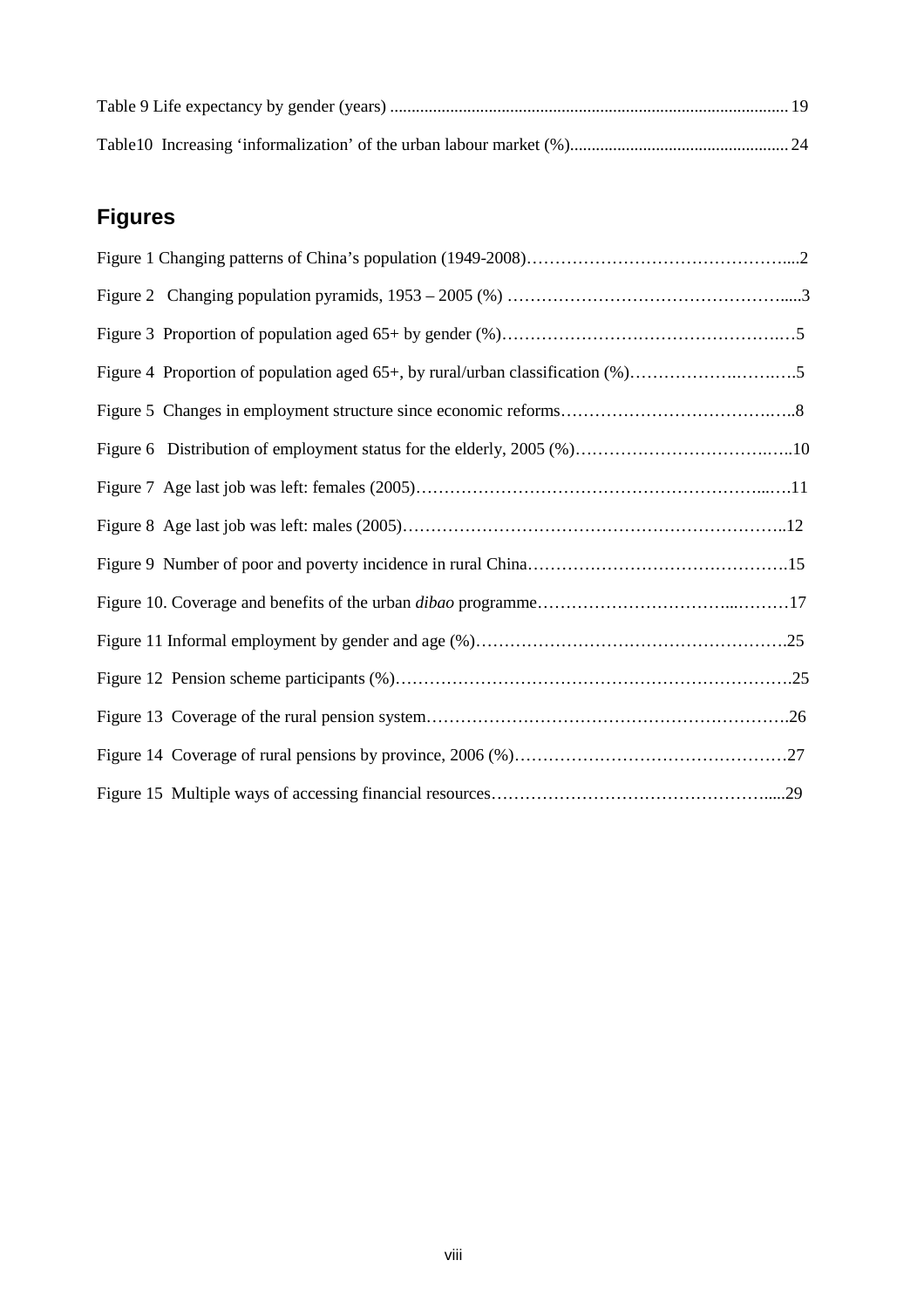# **Figures**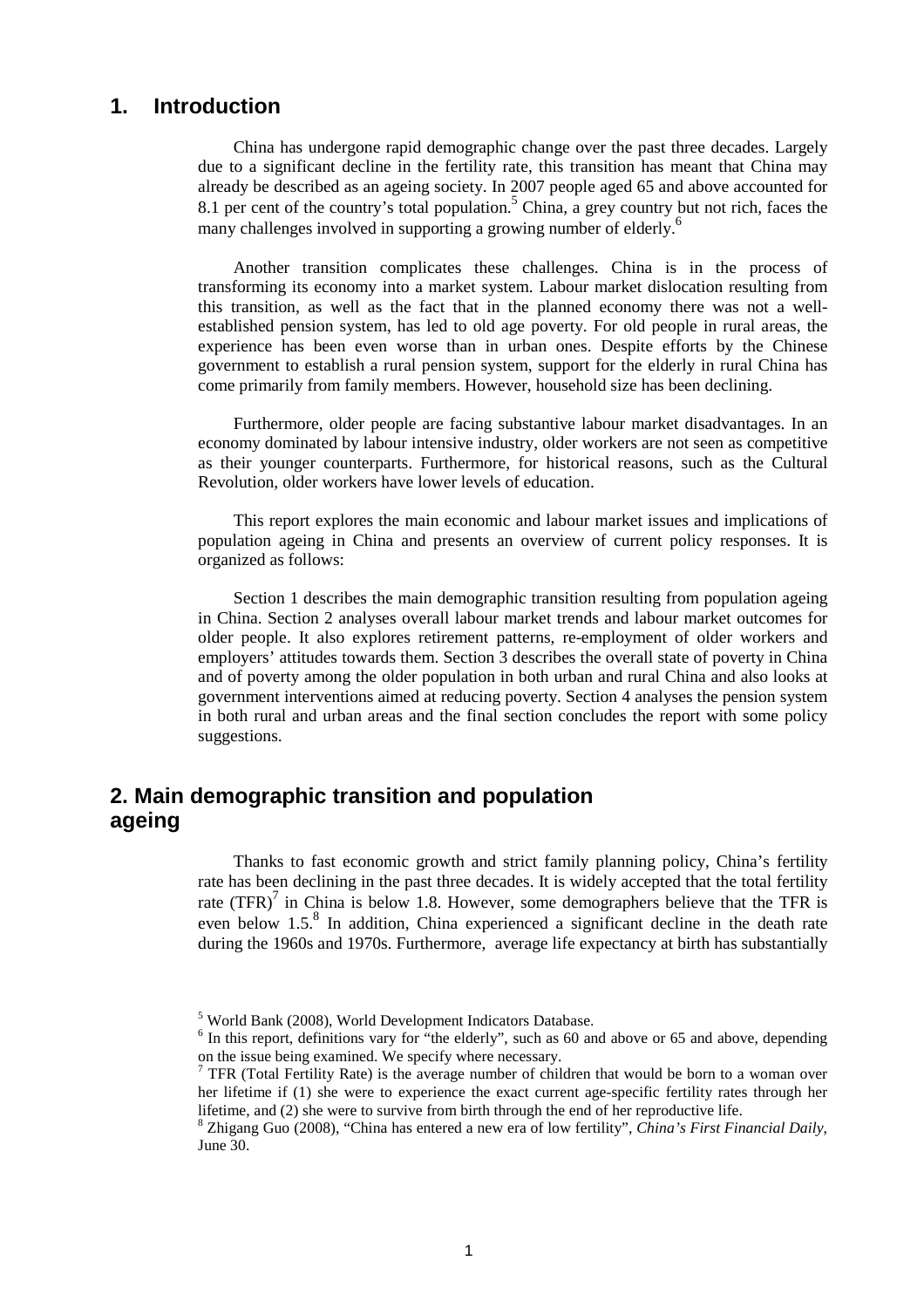### **1. Introduction**

China has undergone rapid demographic change over the past three decades. Largely due to a significant decline in the fertility rate, this transition has meant that China may already be described as an ageing society. In 2007 people aged 65 and above accounted for 8.1 per cent of the country's total population.<sup>5</sup> China, a grey country but not rich, faces the many challenges involved in supporting a growing number of elderly.<sup>6</sup>

Another transition complicates these challenges. China is in the process of transforming its economy into a market system. Labour market dislocation resulting from this transition, as well as the fact that in the planned economy there was not a wellestablished pension system, has led to old age poverty. For old people in rural areas, the experience has been even worse than in urban ones. Despite efforts by the Chinese government to establish a rural pension system, support for the elderly in rural China has come primarily from family members. However, household size has been declining.

Furthermore, older people are facing substantive labour market disadvantages. In an economy dominated by labour intensive industry, older workers are not seen as competitive as their younger counterparts. Furthermore, for historical reasons, such as the Cultural Revolution, older workers have lower levels of education.

This report explores the main economic and labour market issues and implications of population ageing in China and presents an overview of current policy responses. It is organized as follows:

Section 1 describes the main demographic transition resulting from population ageing in China. Section 2 analyses overall labour market trends and labour market outcomes for older people. It also explores retirement patterns, re-employment of older workers and employers' attitudes towards them. Section 3 describes the overall state of poverty in China and of poverty among the older population in both urban and rural China and also looks at government interventions aimed at reducing poverty. Section 4 analyses the pension system in both rural and urban areas and the final section concludes the report with some policy suggestions.

### **2. Main demographic transition and population ageing**

Thanks to fast economic growth and strict family planning policy, China's fertility rate has been declining in the past three decades. It is widely accepted that the total fertility rate  $(TFR)^7$  in China is below 1.8. However, some demographers believe that the TFR is even below  $1.5$ .<sup>8</sup> In addition, China experienced a significant decline in the death rate during the 1960s and 1970s. Furthermore, average life expectancy at birth has substantially

<sup>5</sup> World Bank (2008), World Development Indicators Database.

<sup>&</sup>lt;sup>6</sup> In this report, definitions vary for "the elderly", such as 60 and above or 65 and above, depending on the issue being examined. We specify where necessary.

<sup>&</sup>lt;sup>7</sup> TFR (Total Fertility Rate) is the average number of children that would be born to a woman over her lifetime if (1) she were to experience the exact current age-specific fertility rates through her lifetime, and (2) she were to survive from birth through the end of her reproductive life.

<sup>8</sup> Zhigang Guo (2008), "China has entered a new era of low fertility", *China's First Financial Daily*, June 30.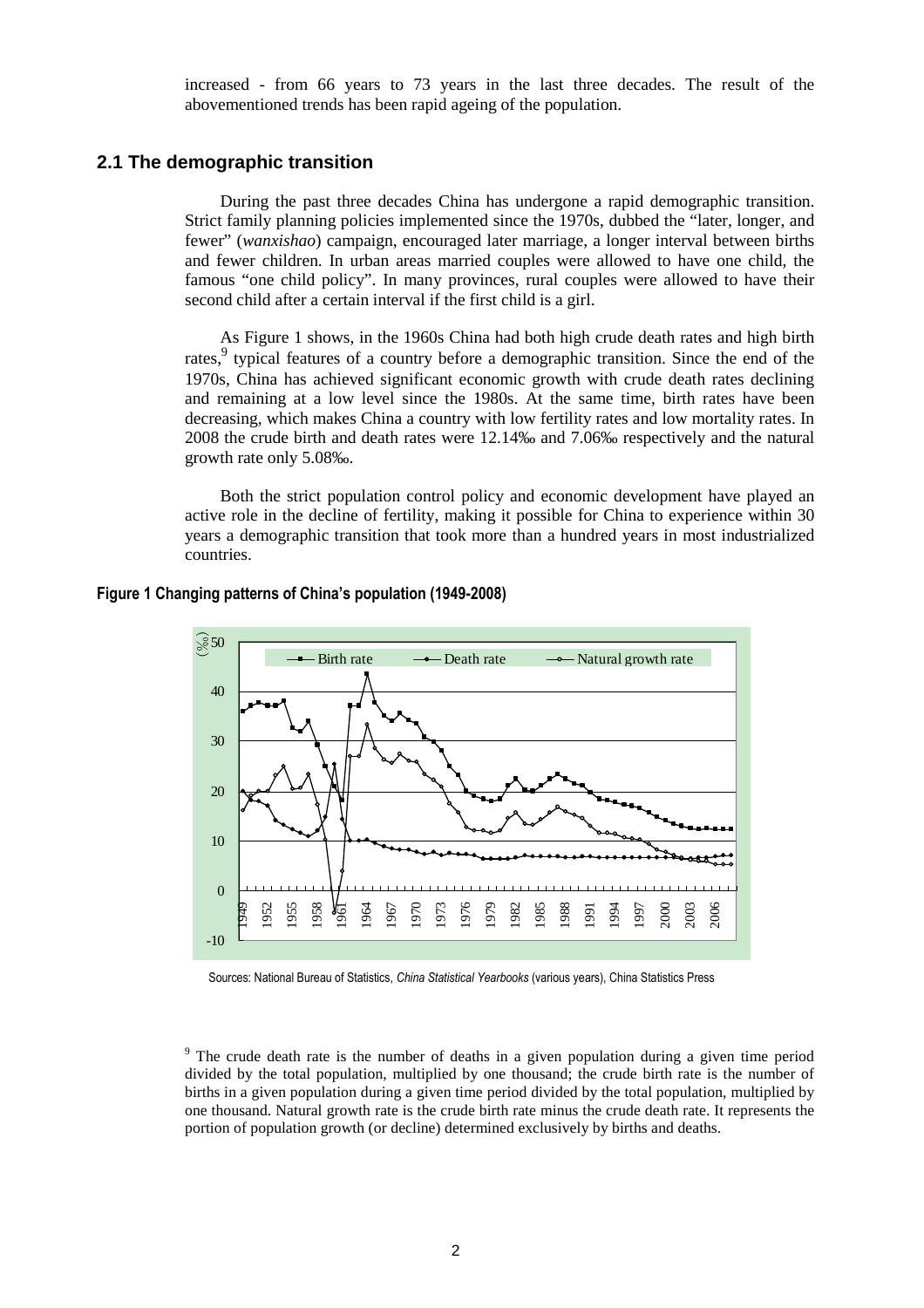increased - from 66 years to 73 years in the last three decades. The result of the abovementioned trends has been rapid ageing of the population.

### **2.1 The demographic transition**

During the past three decades China has undergone a rapid demographic transition. Strict family planning policies implemented since the 1970s, dubbed the "later, longer, and fewer" (*wanxishao*) campaign, encouraged later marriage, a longer interval between births and fewer children. In urban areas married couples were allowed to have one child, the famous "one child policy". In many provinces, rural couples were allowed to have their second child after a certain interval if the first child is a girl.

As Figure 1 shows, in the 1960s China had both high crude death rates and high birth rates,<sup>9</sup> typical features of a country before a demographic transition. Since the end of the 1970s, China has achieved significant economic growth with crude death rates declining and remaining at a low level since the 1980s. At the same time, birth rates have been decreasing, which makes China a country with low fertility rates and low mortality rates. In 2008 the crude birth and death rates were 12.14‰ and 7.06‰ respectively and the natural growth rate only 5.08‰.

Both the strict population control policy and economic development have played an active role in the decline of fertility, making it possible for China to experience within 30 years a demographic transition that took more than a hundred years in most industrialized countries.

#### **Figure 1 Changing patterns of China's population (1949-2008)**



Sources: National Bureau of Statistics, *China Statistical Yearbooks* (various years), China Statistics Press

<sup>&</sup>lt;sup>9</sup> The crude death rate is the number of deaths in a given population during a given time period divided by the total population, multiplied by one thousand; the crude birth rate is the number of births in a given population during a given time period divided by the total population, multiplied by one thousand. Natural growth rate is the crude birth rate minus the crude death rate. It represents the portion of population growth (or decline) determined exclusively by births and deaths.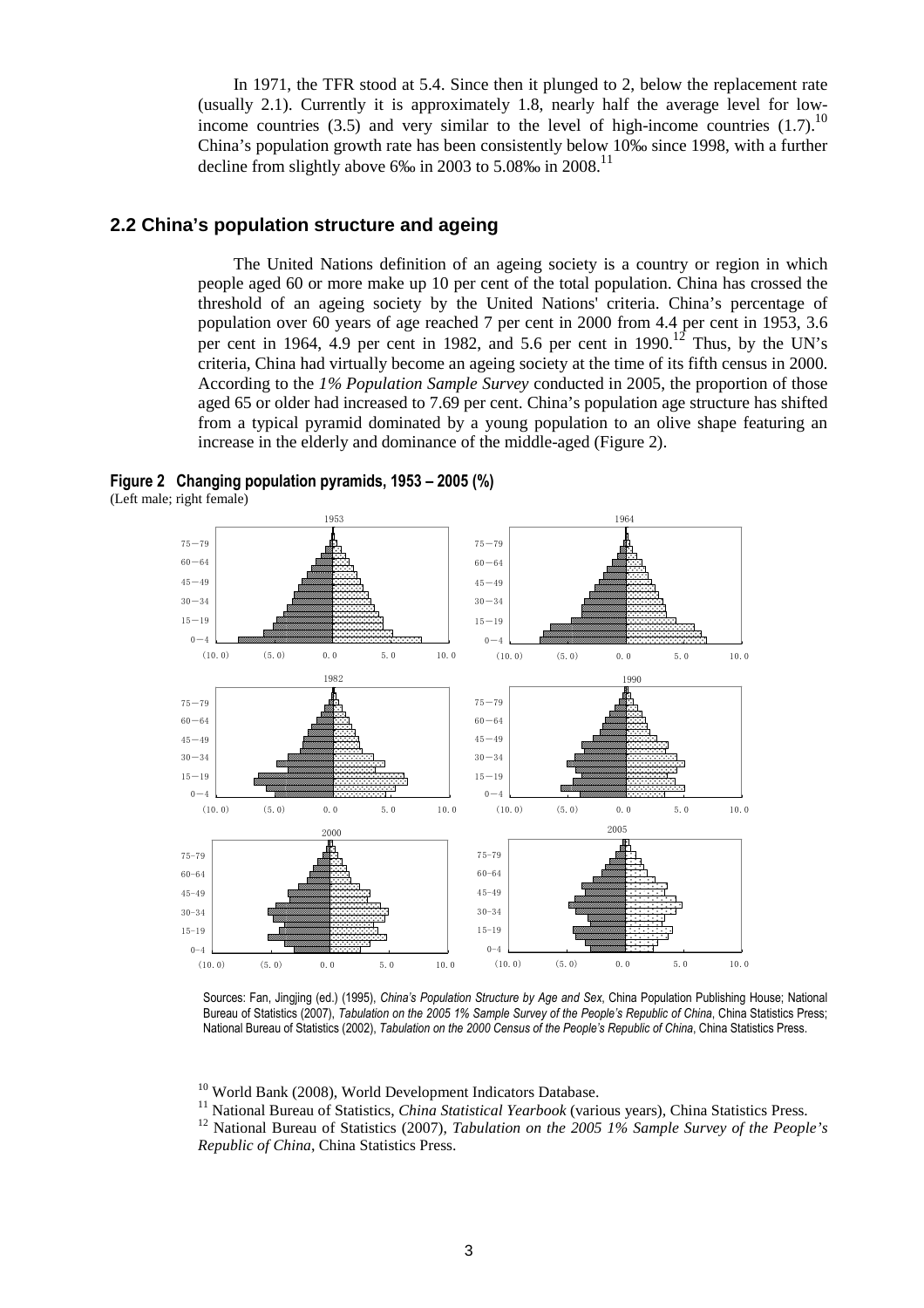In 1971, the TFR stood at 5.4. Since then it plunged to 2, below the replacement rate (usually 2.1). Currently it is approximately 1.8, nearly half the average level for lowincome countries (3.5) and very similar to the level of high-income countries (1.7).<sup>10</sup> China's population growth rate has been consistently below 10‰ since 1998, with a further decline from slightly above 6‰ in 2003 to 5.08‰ in 2008.<sup>11</sup>

#### **2.2 China's population structure and ageing**

The United Nations definition of an ageing society is a country or region in which people aged 60 or more make up 10 per cent of the total population. China has crossed the threshold of an ageing society by the United Nations' criteria. China's percentage of population over 60 years of age reached 7 per cent in 2000 from 4.4 per cent in 1953, 3.6 per cent in 1964, 4.9 per cent in 1982, and 5.6 per cent in  $1990$ .<sup>12</sup> Thus, by the UN's criteria, China had virtually become an ageing society at the time of its fifth census in 2000. According to the *1% Population Sample Survey* conducted in 2005, the proportion of those aged 65 or older had increased to 7.69 per cent. China's population age structure has shifted from a typical pyramid dominated by a young population to an olive shape featuring an increase in the elderly and dominance of the middle-aged (Figure 2).





Sources: Fan, Jingjing (ed.) (1995), *China's Population Structure by Age and Sex*, China Population Publishing House; National Bureau of Statistics (2007), *Tabulation on the 2005 1% Sample Survey of the People's Republic of China*, China Statistics Press; National Bureau of Statistics (2002), *Tabulation on the 2000 Census of the People's Republic of China*, China Statistics Press.

<sup>10</sup> World Bank (2008), World Development Indicators Database.

<sup>11</sup> National Bureau of Statistics, *China Statistical Yearbook* (various years), China Statistics Press.

<sup>12</sup> National Bureau of Statistics (2007), *Tabulation on the 2005 1% Sample Survey of the People's Republic of China*, China Statistics Press.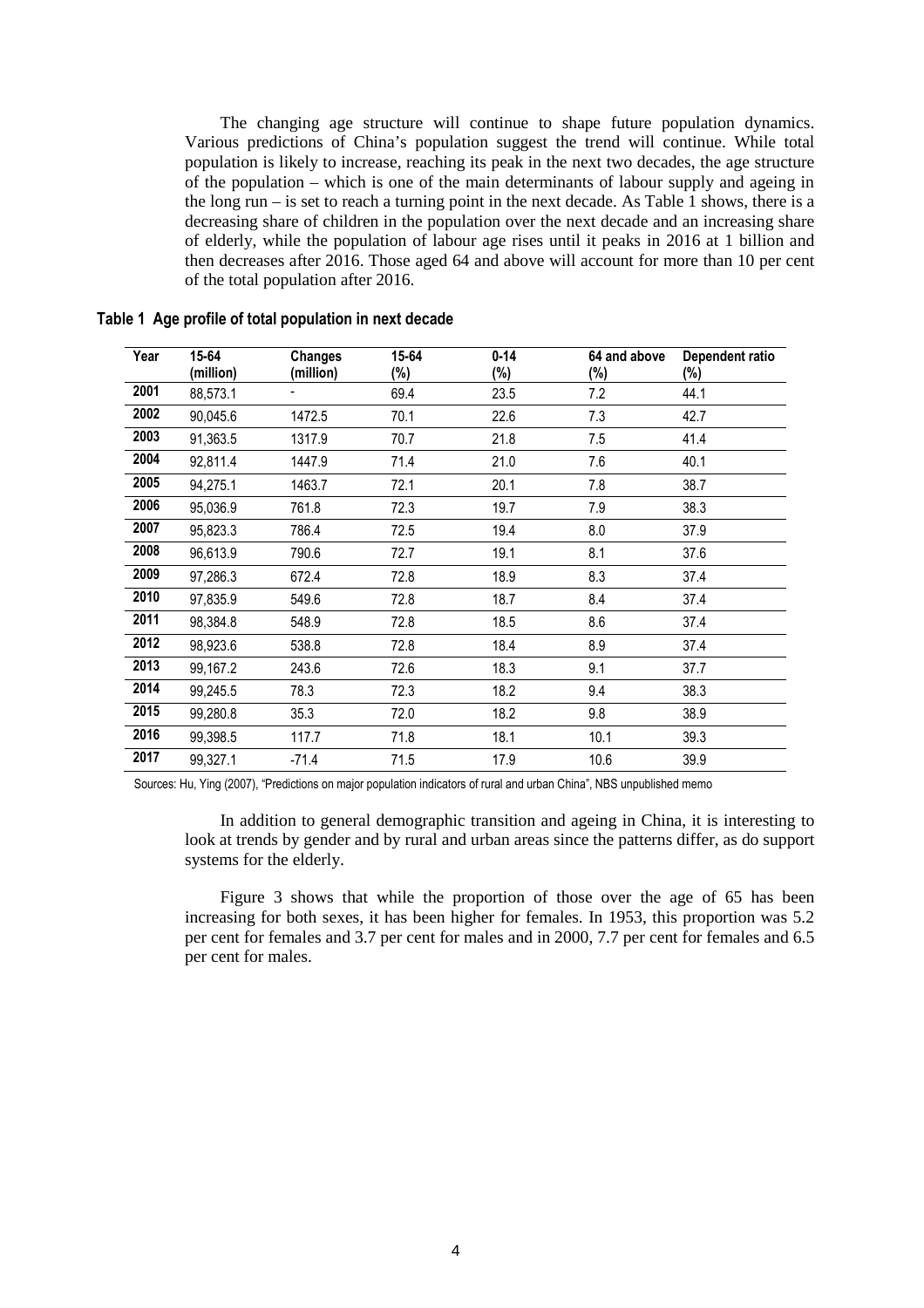The changing age structure will continue to shape future population dynamics. Various predictions of China's population suggest the trend will continue. While total population is likely to increase, reaching its peak in the next two decades, the age structure of the population – which is one of the main determinants of labour supply and ageing in the long run – is set to reach a turning point in the next decade. As Table 1 shows, there is a decreasing share of children in the population over the next decade and an increasing share of elderly, while the population of labour age rises until it peaks in 2016 at 1 billion and then decreases after 2016. Those aged 64 and above will account for more than 10 per cent of the total population after 2016.

| Year | 15-64<br>(million) | Changes<br>(million) | 15-64<br>$(\%)$ | $0 - 14$<br>(%) | 64 and above<br>(%) | Dependent ratio<br>$(\%)$ |
|------|--------------------|----------------------|-----------------|-----------------|---------------------|---------------------------|
| 2001 | 88,573.1           |                      | 69.4            | 23.5            | 7.2                 | 44.1                      |
| 2002 | 90,045.6           | 1472.5               | 70.1            | 22.6            | 7.3                 | 42.7                      |
| 2003 | 91,363.5           | 1317.9               | 70.7            | 21.8            | 7.5                 | 41.4                      |
| 2004 | 92,811.4           | 1447.9               | 71.4            | 21.0            | 7.6                 | 40.1                      |
| 2005 | 94,275.1           | 1463.7               | 72.1            | 20.1            | 7.8                 | 38.7                      |
| 2006 | 95,036.9           | 761.8                | 72.3            | 19.7            | 7.9                 | 38.3                      |
| 2007 | 95,823.3           | 786.4                | 72.5            | 19.4            | 8.0                 | 37.9                      |
| 2008 | 96,613.9           | 790.6                | 72.7            | 19.1            | 8.1                 | 37.6                      |
| 2009 | 97,286.3           | 672.4                | 72.8            | 18.9            | 8.3                 | 37.4                      |
| 2010 | 97,835.9           | 549.6                | 72.8            | 18.7            | 8.4                 | 37.4                      |
| 2011 | 98,384.8           | 548.9                | 72.8            | 18.5            | 8.6                 | 37.4                      |
| 2012 | 98,923.6           | 538.8                | 72.8            | 18.4            | 8.9                 | 37.4                      |
| 2013 | 99,167.2           | 243.6                | 72.6            | 18.3            | 9.1                 | 37.7                      |
| 2014 | 99,245.5           | 78.3                 | 72.3            | 18.2            | 9.4                 | 38.3                      |
| 2015 | 99,280.8           | 35.3                 | 72.0            | 18.2            | 9.8                 | 38.9                      |
| 2016 | 99,398.5           | 117.7                | 71.8            | 18.1            | 10.1                | 39.3                      |
| 2017 | 99,327.1           | $-71.4$              | 71.5            | 17.9            | 10.6                | 39.9                      |

**Table 1 Age profile of total population in next decade** 

Sources: Hu, Ying (2007), "Predictions on major population indicators of rural and urban China", NBS unpublished memo

In addition to general demographic transition and ageing in China, it is interesting to look at trends by gender and by rural and urban areas since the patterns differ, as do support systems for the elderly.

Figure 3 shows that while the proportion of those over the age of 65 has been increasing for both sexes, it has been higher for females. In 1953, this proportion was 5.2 per cent for females and 3.7 per cent for males and in 2000, 7.7 per cent for females and 6.5 per cent for males.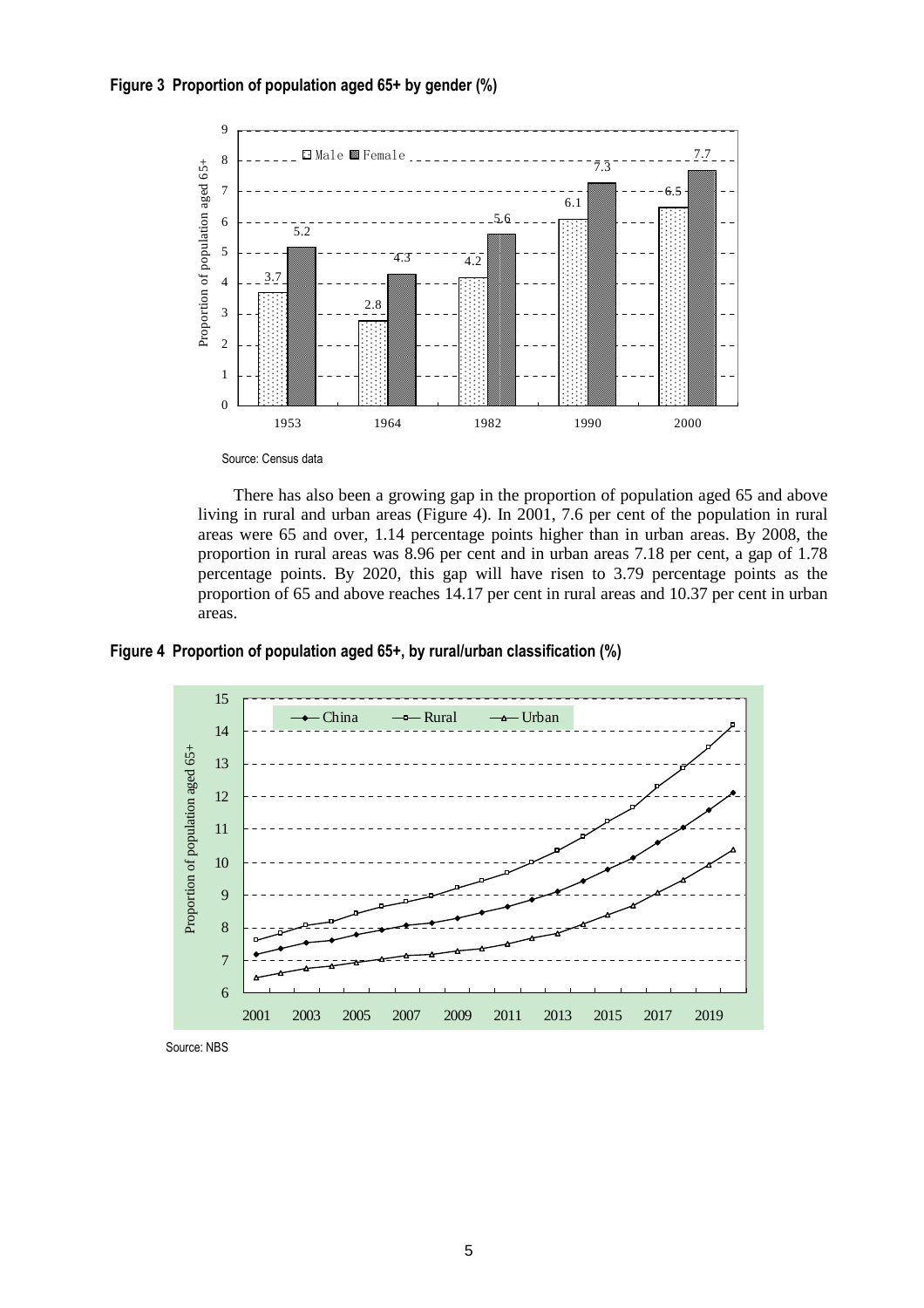



Source: Census data

There has also been a growing gap in the proportion of population aged 65 and above living in rural and urban areas (Figure 4). In 2001, 7.6 per cent of the population in rural areas were 65 and over, 1.14 percentage points higher than in urban areas. By 2008, the proportion in rural areas was 8.96 per cent and in urban areas 7.18 per cent, a gap of 1.78 percentage points. By 2020, this gap will have risen to 3.79 percentage points as the proportion of 65 and above reaches 14.17 per cent in rural areas and 10.37 per cent in urban areas.

**Figure 4 Proportion of population aged 65+, by rural/urban classification (%)** 



Source: NBS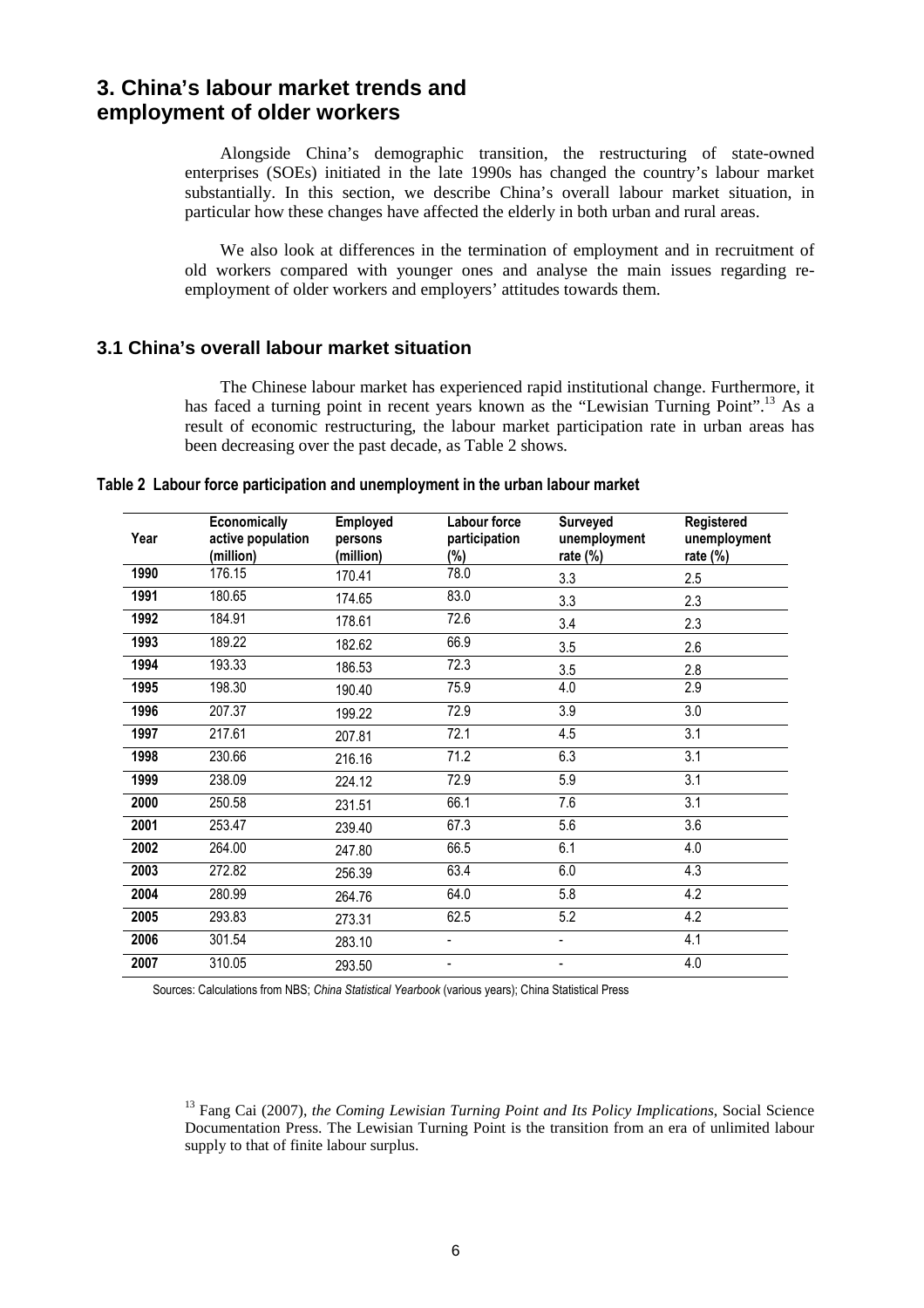### **3. China's labour market trends and employment of older workers**

Alongside China's demographic transition, the restructuring of state-owned enterprises (SOEs) initiated in the late 1990s has changed the country's labour market substantially. In this section, we describe China's overall labour market situation, in particular how these changes have affected the elderly in both urban and rural areas.

We also look at differences in the termination of employment and in recruitment of old workers compared with younger ones and analyse the main issues regarding reemployment of older workers and employers' attitudes towards them.

### **3.1 China's overall labour market situation**

The Chinese labour market has experienced rapid institutional change. Furthermore, it has faced a turning point in recent years known as the "Lewisian Turning Point".<sup>13</sup> As a result of economic restructuring, the labour market participation rate in urban areas has been decreasing over the past decade, as Table 2 shows.

**Table 2 Labour force participation and unemployment in the urban labour market** 

| Year | Economically<br>active population<br>(million) | Employed<br>persons<br>(million) | Labour force<br>participation<br>$(\%)$ | Surveyed<br>unemployment<br>rate $(\%)$ | Registered<br>unemployment<br>rate $(\%)$ |
|------|------------------------------------------------|----------------------------------|-----------------------------------------|-----------------------------------------|-------------------------------------------|
| 1990 | 176.15                                         | 170.41                           | 78.0                                    | 3.3                                     | 2.5                                       |
| 1991 | 180.65                                         | 174.65                           | 83.0                                    | 3.3                                     | 2.3                                       |
| 1992 | 184.91                                         | 178.61                           | 72.6                                    | 3.4                                     | 2.3                                       |
| 1993 | 189.22                                         | 182.62                           | 66.9                                    | 3.5                                     | 2.6                                       |
| 1994 | 193.33                                         | 186.53                           | 72.3                                    | 3.5                                     | 2.8                                       |
| 1995 | 198.30                                         | 190.40                           | 75.9                                    | 4.0                                     | 2.9                                       |
| 1996 | 207.37                                         | 199.22                           | 72.9                                    | 3.9                                     | 3.0                                       |
| 1997 | 217.61                                         | 207.81                           | 72.1                                    | 4.5                                     | 3.1                                       |
| 1998 | 230.66                                         | 216.16                           | 71.2                                    | 6.3                                     | 3.1                                       |
| 1999 | 238.09                                         | 224.12                           | 72.9                                    | 5.9                                     | $\overline{3.1}$                          |
| 2000 | 250.58                                         | 231.51                           | 66.1                                    | 7.6                                     | 3.1                                       |
| 2001 | 253.47                                         | 239.40                           | 67.3                                    | 5.6                                     | 3.6                                       |
| 2002 | 264.00                                         | 247.80                           | 66.5                                    | 6.1                                     | 4.0                                       |
| 2003 | 272.82                                         | 256.39                           | 63.4                                    | 6.0                                     | 4.3                                       |
| 2004 | 280.99                                         | 264.76                           | 64.0                                    | 5.8                                     | 4.2                                       |
| 2005 | 293.83                                         | 273.31                           | 62.5                                    | 5.2                                     | 4.2                                       |
| 2006 | 301.54                                         | 283.10                           |                                         |                                         | 4.1                                       |
| 2007 | 310.05                                         | 293.50                           | -                                       | -                                       | 4.0                                       |

Sources: Calculations from NBS; *China Statistical Yearbook* (various years); China Statistical Press

<sup>&</sup>lt;sup>13</sup> Fang Cai (2007), *the Coming Lewisian Turning Point and Its Policy Implications*, Social Science Documentation Press. The Lewisian Turning Point is the transition from an era of unlimited labour supply to that of finite labour surplus.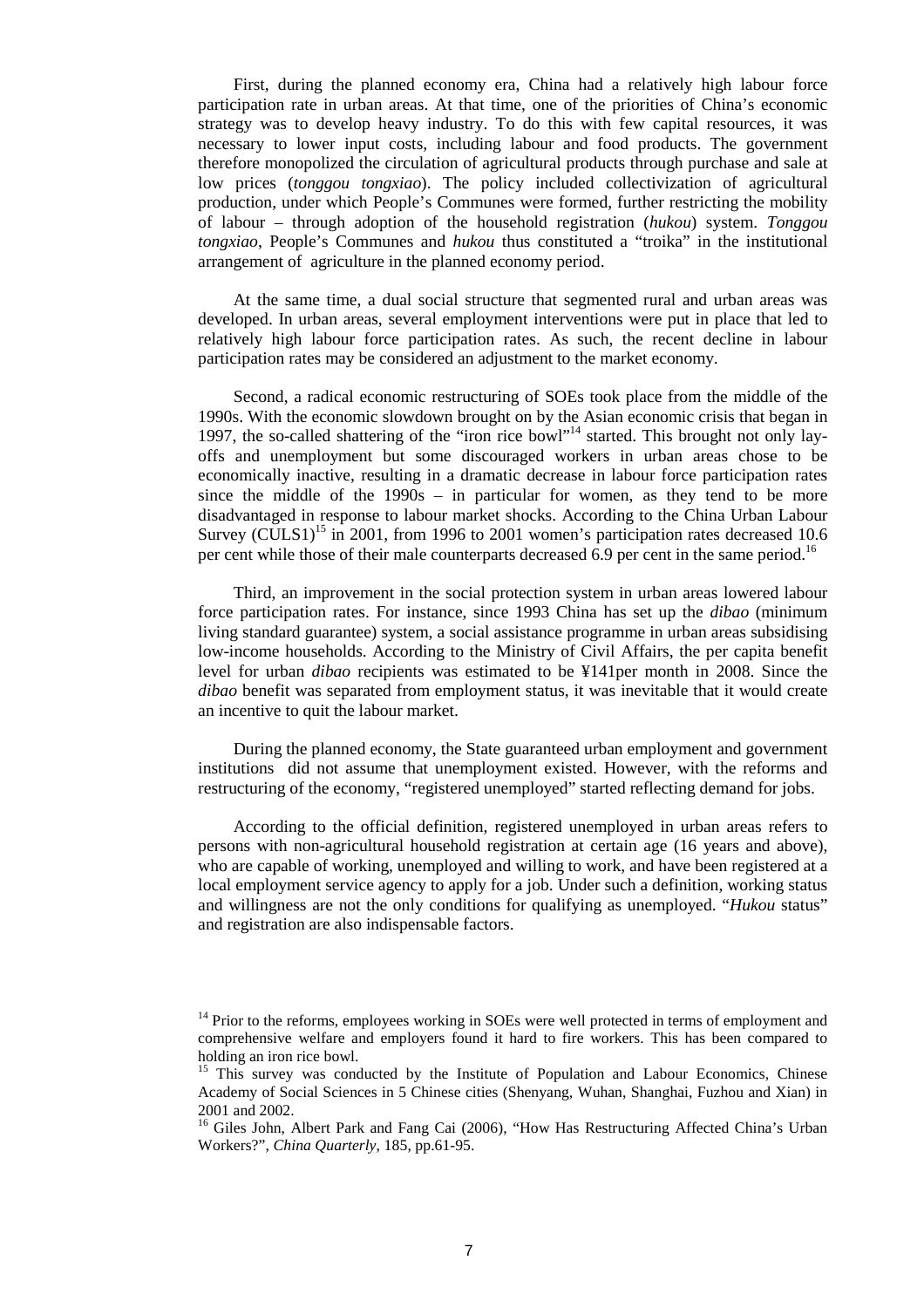First, during the planned economy era, China had a relatively high labour force participation rate in urban areas. At that time, one of the priorities of China's economic strategy was to develop heavy industry. To do this with few capital resources, it was necessary to lower input costs, including labour and food products. The government therefore monopolized the circulation of agricultural products through purchase and sale at low prices (*tonggou tongxiao*). The policy included collectivization of agricultural production, under which People's Communes were formed, further restricting the mobility of labour – through adoption of the household registration (*hukou*) system. *Tonggou tongxiao*, People's Communes and *hukou* thus constituted a "troika" in the institutional arrangement of agriculture in the planned economy period.

At the same time, a dual social structure that segmented rural and urban areas was developed. In urban areas, several employment interventions were put in place that led to relatively high labour force participation rates. As such, the recent decline in labour participation rates may be considered an adjustment to the market economy.

Second, a radical economic restructuring of SOEs took place from the middle of the 1990s. With the economic slowdown brought on by the Asian economic crisis that began in 1997, the so-called shattering of the "iron rice bowl"<sup>14</sup> started. This brought not only layoffs and unemployment but some discouraged workers in urban areas chose to be economically inactive, resulting in a dramatic decrease in labour force participation rates since the middle of the 1990s – in particular for women, as they tend to be more disadvantaged in response to labour market shocks. According to the China Urban Labour Survey (CULS1)<sup>15</sup> in 2001, from 1996 to 2001 women's participation rates decreased 10.6 per cent while those of their male counterparts decreased 6.9 per cent in the same period.<sup>16</sup>

Third, an improvement in the social protection system in urban areas lowered labour force participation rates. For instance, since 1993 China has set up the *dibao* (minimum living standard guarantee) system, a social assistance programme in urban areas subsidising low-income households. According to the Ministry of Civil Affairs, the per capita benefit level for urban *dibao* recipients was estimated to be ¥141per month in 2008. Since the *dibao* benefit was separated from employment status, it was inevitable that it would create an incentive to quit the labour market.

During the planned economy, the State guaranteed urban employment and government institutions did not assume that unemployment existed. However, with the reforms and restructuring of the economy, "registered unemployed" started reflecting demand for jobs.

According to the official definition, registered unemployed in urban areas refers to persons with non-agricultural household registration at certain age (16 years and above), who are capable of working, unemployed and willing to work, and have been registered at a local employment service agency to apply for a job. Under such a definition, working status and willingness are not the only conditions for qualifying as unemployed. "*Hukou* status" and registration are also indispensable factors.

<sup>&</sup>lt;sup>14</sup> Prior to the reforms, employees working in SOEs were well protected in terms of employment and comprehensive welfare and employers found it hard to fire workers. This has been compared to holding an iron rice bowl.

<sup>&</sup>lt;sup>15</sup> This survey was conducted by the Institute of Population and Labour Economics, Chinese Academy of Social Sciences in 5 Chinese cities (Shenyang, Wuhan, Shanghai, Fuzhou and Xian) in 2001 and 2002.

<sup>&</sup>lt;sup>16</sup> Giles John, Albert Park and Fang Cai (2006), "How Has Restructuring Affected China's Urban Workers?", *China Quarterly*, 185, pp.61-95.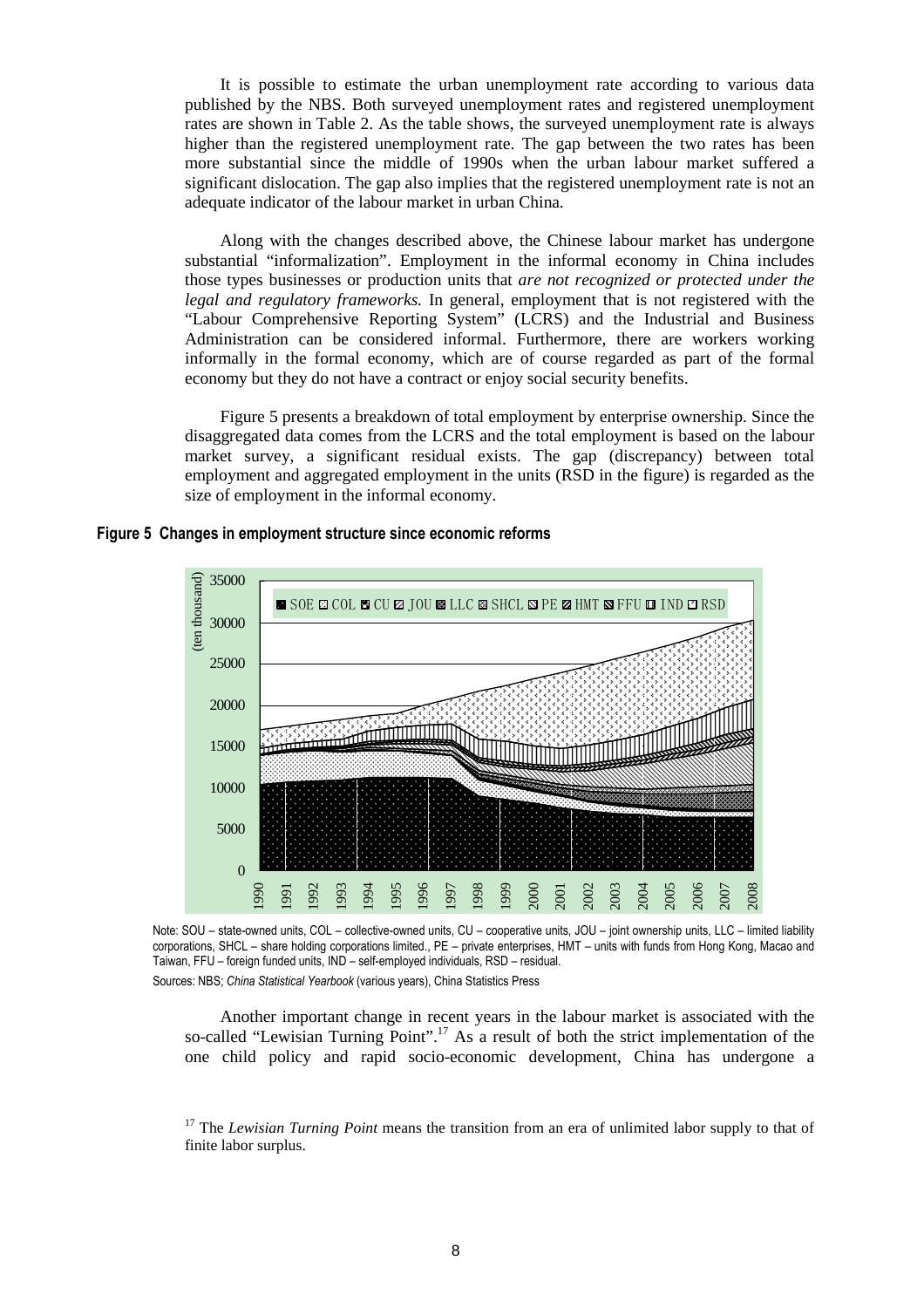It is possible to estimate the urban unemployment rate according to various data published by the NBS. Both surveyed unemployment rates and registered unemployment rates are shown in Table 2. As the table shows, the surveyed unemployment rate is always higher than the registered unemployment rate. The gap between the two rates has been more substantial since the middle of 1990s when the urban labour market suffered a significant dislocation. The gap also implies that the registered unemployment rate is not an adequate indicator of the labour market in urban China.

Along with the changes described above, the Chinese labour market has undergone substantial "informalization". Employment in the informal economy in China includes those types businesses or production units that *are not recognized or protected under the legal and regulatory frameworks.* In general, employment that is not registered with the "Labour Comprehensive Reporting System" (LCRS) and the Industrial and Business Administration can be considered informal. Furthermore, there are workers working informally in the formal economy, which are of course regarded as part of the formal economy but they do not have a contract or enjoy social security benefits.

Figure 5 presents a breakdown of total employment by enterprise ownership. Since the disaggregated data comes from the LCRS and the total employment is based on the labour market survey, a significant residual exists. The gap (discrepancy) between total employment and aggregated employment in the units (RSD in the figure) is regarded as the size of employment in the informal economy.



**Figure 5 Changes in employment structure since economic reforms** 

Note: SOU – state-owned units, COL – collective-owned units, CU – cooperative units, JOU – joint ownership units, LLC – limited liability corporations, SHCL – share holding corporations limited., PE – private enterprises, HMT – units with funds from Hong Kong, Macao and Taiwan, FFU – foreign funded units, IND – self-employed individuals, RSD – residual.

Sources: NBS; *China Statistical Yearbook* (various years), China Statistics Press

Another important change in recent years in the labour market is associated with the so-called "Lewisian Turning Point".<sup>17</sup> As a result of both the strict implementation of the one child policy and rapid socio-economic development, China has undergone a

<sup>17</sup> The *Lewisian Turning Point* means the transition from an era of unlimited labor supply to that of finite labor surplus.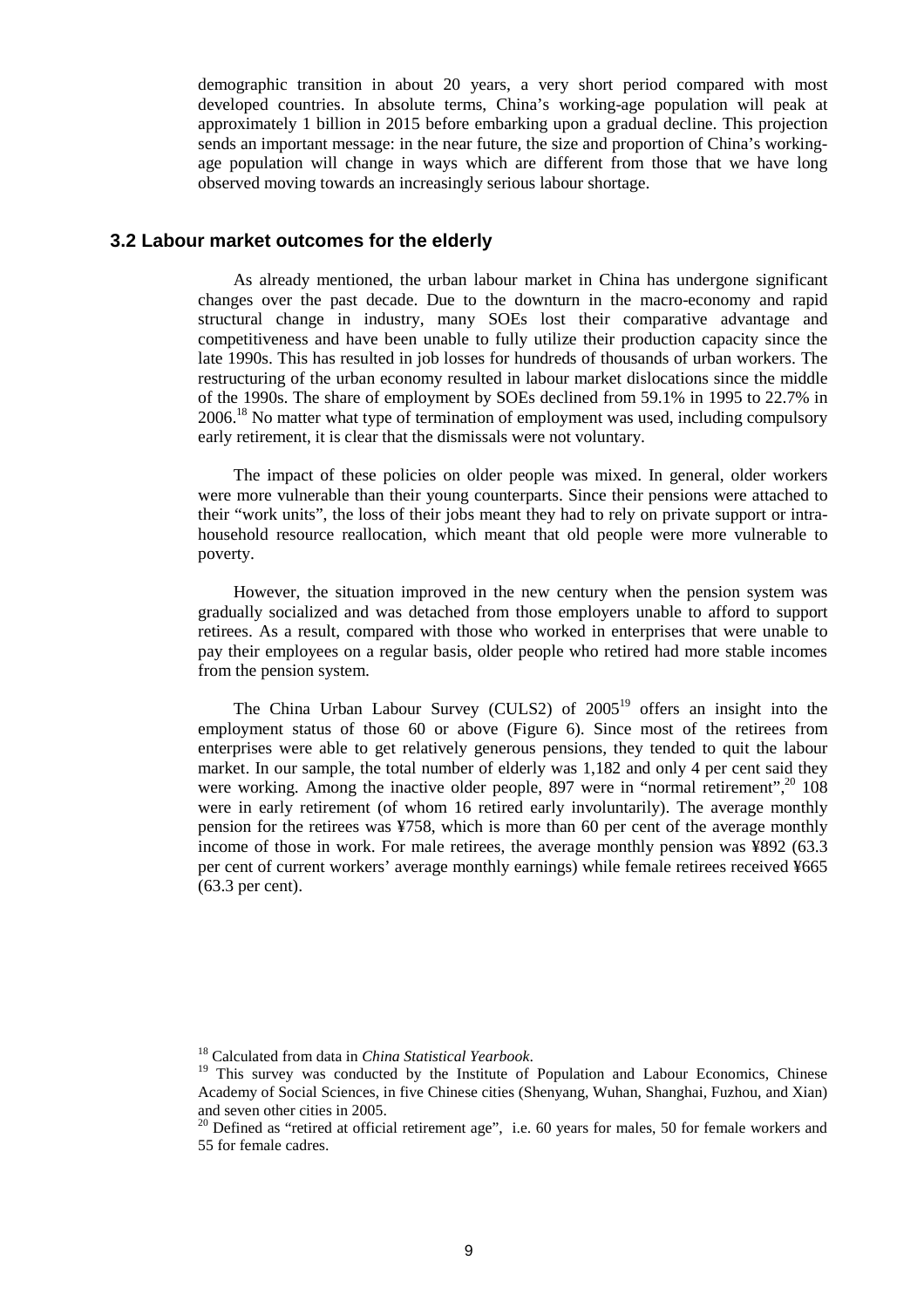demographic transition in about 20 years, a very short period compared with most developed countries. In absolute terms, China's working-age population will peak at approximately 1 billion in 2015 before embarking upon a gradual decline. This projection sends an important message: in the near future, the size and proportion of China's workingage population will change in ways which are different from those that we have long observed moving towards an increasingly serious labour shortage.

#### **3.2 Labour market outcomes for the elderly**

As already mentioned, the urban labour market in China has undergone significant changes over the past decade. Due to the downturn in the macro-economy and rapid structural change in industry, many SOEs lost their comparative advantage and competitiveness and have been unable to fully utilize their production capacity since the late 1990s. This has resulted in job losses for hundreds of thousands of urban workers. The restructuring of the urban economy resulted in labour market dislocations since the middle of the 1990s. The share of employment by SOEs declined from 59.1% in 1995 to 22.7% in  $2006<sup>18</sup>$  No matter what type of termination of employment was used, including compulsory early retirement, it is clear that the dismissals were not voluntary.

The impact of these policies on older people was mixed. In general, older workers were more vulnerable than their young counterparts. Since their pensions were attached to their "work units", the loss of their jobs meant they had to rely on private support or intrahousehold resource reallocation, which meant that old people were more vulnerable to poverty.

However, the situation improved in the new century when the pension system was gradually socialized and was detached from those employers unable to afford to support retirees. As a result, compared with those who worked in enterprises that were unable to pay their employees on a regular basis, older people who retired had more stable incomes from the pension system.

The China Urban Labour Survey (CULS2) of  $2005<sup>19</sup>$  offers an insight into the employment status of those 60 or above (Figure 6). Since most of the retirees from enterprises were able to get relatively generous pensions, they tended to quit the labour market. In our sample, the total number of elderly was 1,182 and only 4 per cent said they were working. Among the inactive older people, 897 were in "normal retirement",<sup>20</sup> 108 were in early retirement (of whom 16 retired early involuntarily). The average monthly pension for the retirees was ¥758, which is more than 60 per cent of the average monthly income of those in work. For male retirees, the average monthly pension was ¥892 (63.3 per cent of current workers' average monthly earnings) while female retirees received ¥665 (63.3 per cent).

<sup>18</sup> Calculated from data in *China Statistical Yearbook*.

<sup>&</sup>lt;sup>19</sup> This survey was conducted by the Institute of Population and Labour Economics, Chinese Academy of Social Sciences, in five Chinese cities (Shenyang, Wuhan, Shanghai, Fuzhou, and Xian) and seven other cities in 2005.

<sup>&</sup>lt;sup>20</sup> Defined as "retired at official retirement age", i.e. 60 years for males, 50 for female workers and 55 for female cadres.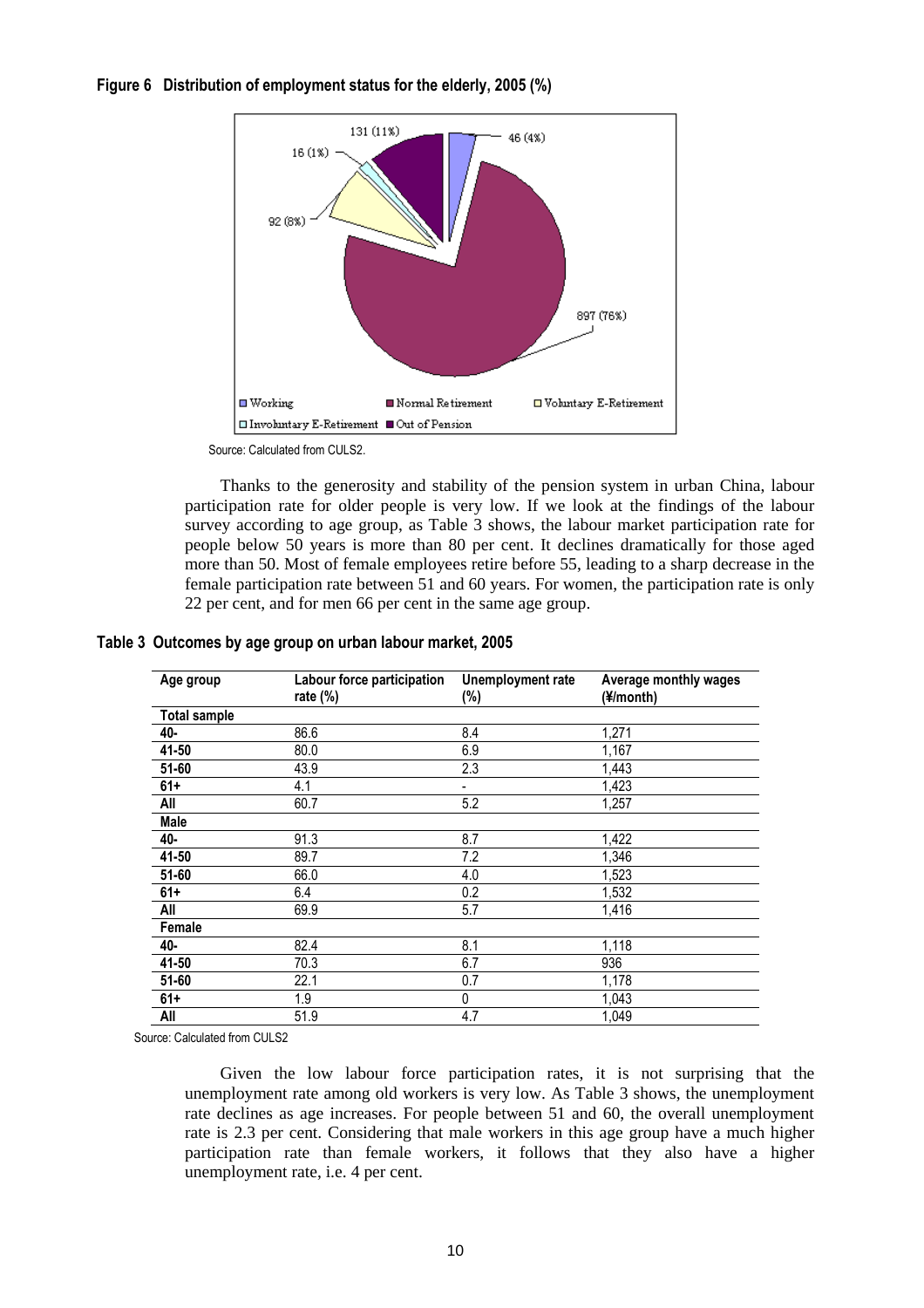**Figure 6 Distribution of employment status for the elderly, 2005 (%)** 



Source: Calculated from CULS2.

Thanks to the generosity and stability of the pension system in urban China, labour participation rate for older people is very low. If we look at the findings of the labour survey according to age group, as Table 3 shows, the labour market participation rate for people below 50 years is more than 80 per cent. It declines dramatically for those aged more than 50. Most of female employees retire before 55, leading to a sharp decrease in the female participation rate between 51 and 60 years. For women, the participation rate is only 22 per cent, and for men 66 per cent in the same age group.

| Age group           | Labour force participation<br>rate $(\%)$ | Unemployment rate<br>$(\%)$ | Average monthly wages<br>(¥/month) |
|---------------------|-------------------------------------------|-----------------------------|------------------------------------|
| <b>Total sample</b> |                                           |                             |                                    |
| 40-                 | 86.6                                      | 8.4                         | 1,271                              |
| 41-50               | 80.0                                      | 6.9                         | 1,167                              |
| $51 - 60$           | 43.9                                      | 2.3                         | 1,443                              |
| $61+$               | 4.1                                       | ۰                           | 1,423                              |
| All                 | 60.7                                      | 5.2                         | 1,257                              |
| Male                |                                           |                             |                                    |
| 40-                 | 91.3                                      | 8.7                         | 1,422                              |
| 41-50               | 89.7                                      | 7.2                         | 1,346                              |
| $51 - 60$           | 66.0                                      | 4.0                         | 1,523                              |
| $61+$               | 6.4                                       | 0.2                         | 1,532                              |
| All                 | 69.9                                      | 5.7                         | 1,416                              |
| Female              |                                           |                             |                                    |
| 40-                 | 82.4                                      | 8.1                         | 1,118                              |
| 41-50               | 70.3                                      | 6.7                         | 936                                |
| $51 - 60$           | 22.1                                      | 0.7                         | 1,178                              |
| $61+$               | 1.9                                       | 0                           | 1,043                              |
| All                 | 51.9                                      | 4.7                         | 1,049                              |

#### **Table 3 Outcomes by age group on urban labour market, 2005**

Source: Calculated from CULS2

Given the low labour force participation rates, it is not surprising that the unemployment rate among old workers is very low. As Table 3 shows, the unemployment rate declines as age increases. For people between 51 and 60, the overall unemployment rate is 2.3 per cent. Considering that male workers in this age group have a much higher participation rate than female workers, it follows that they also have a higher unemployment rate, i.e. 4 per cent.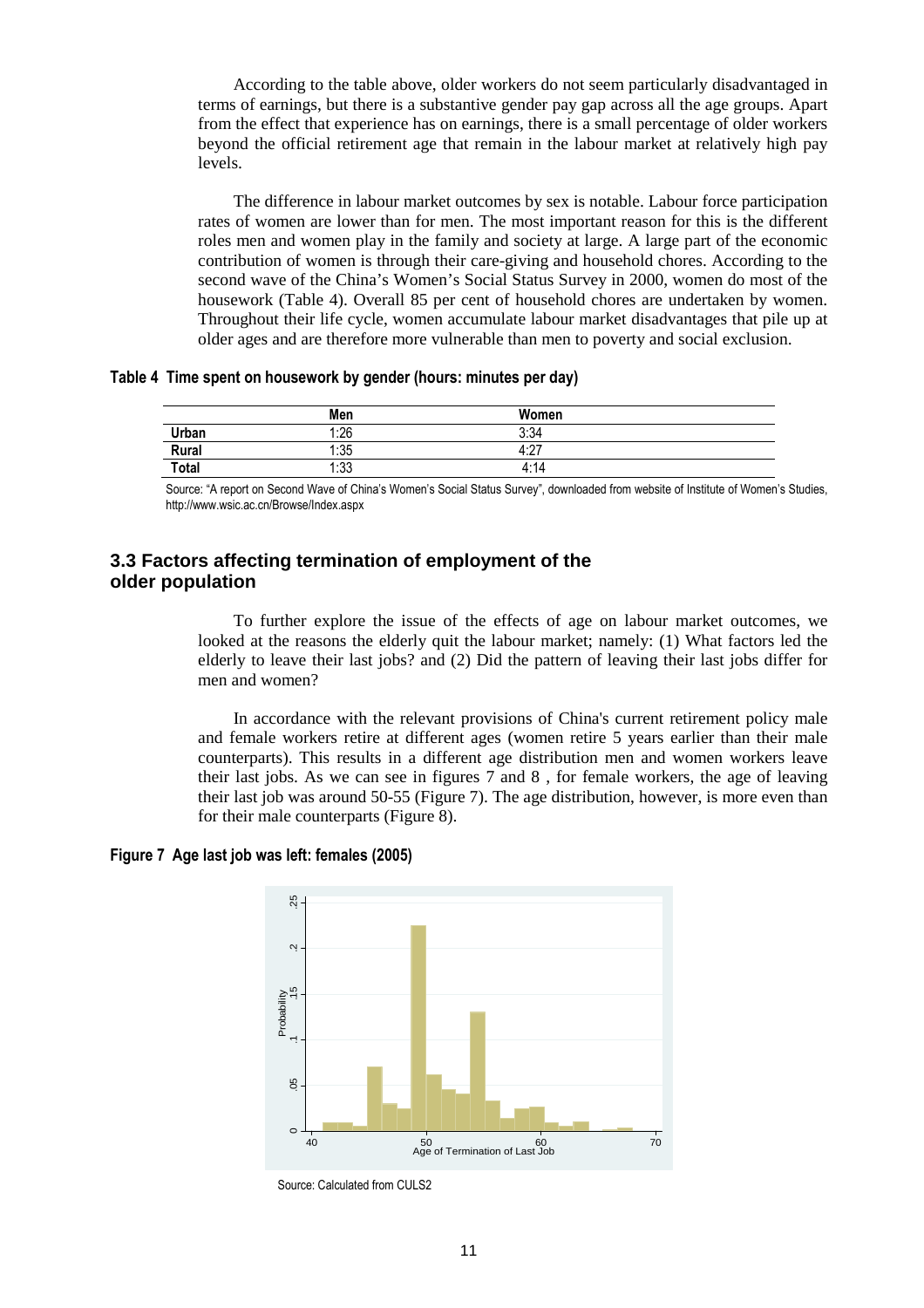According to the table above, older workers do not seem particularly disadvantaged in terms of earnings, but there is a substantive gender pay gap across all the age groups. Apart from the effect that experience has on earnings, there is a small percentage of older workers beyond the official retirement age that remain in the labour market at relatively high pay levels.

The difference in labour market outcomes by sex is notable. Labour force participation rates of women are lower than for men. The most important reason for this is the different roles men and women play in the family and society at large. A large part of the economic contribution of women is through their care-giving and household chores. According to the second wave of the China's Women's Social Status Survey in 2000, women do most of the housework (Table 4). Overall 85 per cent of household chores are undertaken by women. Throughout their life cycle, women accumulate labour market disadvantages that pile up at older ages and are therefore more vulnerable than men to poverty and social exclusion.

**Table 4 Time spent on housework by gender (hours: minutes per day)** 

|              | Men  | Women       |  |
|--------------|------|-------------|--|
| Urban        | 1:26 | 3:34        |  |
| Rural        | 1:35 | A.27<br>Ŧ.Z |  |
| <b>Total</b> | 1:33 | 4:14        |  |

Source: "A report on Second Wave of China's Women's Social Status Survey", downloaded from website of Institute of Women's Studies, http://www.wsic.ac.cn/Browse/Index.aspx

### **3.3 Factors affecting termination of employment of the older population**

To further explore the issue of the effects of age on labour market outcomes, we looked at the reasons the elderly quit the labour market; namely: (1) What factors led the elderly to leave their last jobs? and (2) Did the pattern of leaving their last jobs differ for men and women?

In accordance with the relevant provisions of China's current retirement policy male and female workers retire at different ages (women retire 5 years earlier than their male counterparts). This results in a different age distribution men and women workers leave their last jobs. As we can see in figures 7 and 8 , for female workers, the age of leaving their last job was around 50-55 (Figure 7). The age distribution, however, is more even than for their male counterparts (Figure 8).

**Figure 7 Age last job was left: females (2005)** 



Source: Calculated from CULS2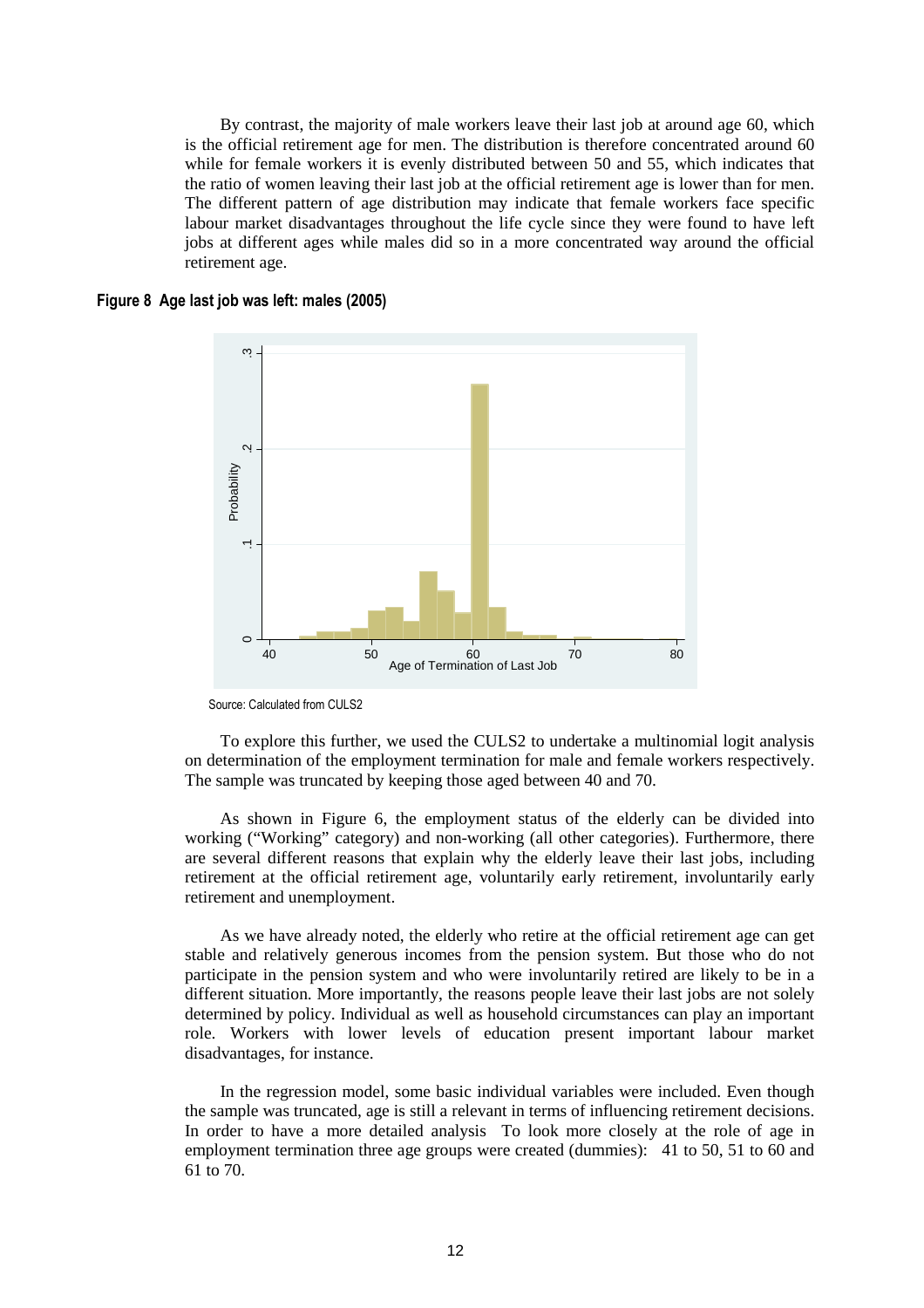By contrast, the majority of male workers leave their last job at around age 60, which is the official retirement age for men. The distribution is therefore concentrated around 60 while for female workers it is evenly distributed between 50 and 55, which indicates that the ratio of women leaving their last job at the official retirement age is lower than for men. The different pattern of age distribution may indicate that female workers face specific labour market disadvantages throughout the life cycle since they were found to have left jobs at different ages while males did so in a more concentrated way around the official retirement age.

### **Figure 8 Age last job was left: males (2005)**



Source: Calculated from CULS2

To explore this further, we used the CULS2 to undertake a multinomial logit analysis on determination of the employment termination for male and female workers respectively. The sample was truncated by keeping those aged between 40 and 70.

As shown in Figure 6, the employment status of the elderly can be divided into working ("Working" category) and non-working (all other categories). Furthermore, there are several different reasons that explain why the elderly leave their last jobs, including retirement at the official retirement age, voluntarily early retirement, involuntarily early retirement and unemployment.

As we have already noted, the elderly who retire at the official retirement age can get stable and relatively generous incomes from the pension system. But those who do not participate in the pension system and who were involuntarily retired are likely to be in a different situation. More importantly, the reasons people leave their last jobs are not solely determined by policy. Individual as well as household circumstances can play an important role. Workers with lower levels of education present important labour market disadvantages, for instance.

In the regression model, some basic individual variables were included. Even though the sample was truncated, age is still a relevant in terms of influencing retirement decisions. In order to have a more detailed analysis To look more closely at the role of age in employment termination three age groups were created (dummies): 41 to 50, 51 to 60 and 61 to 70.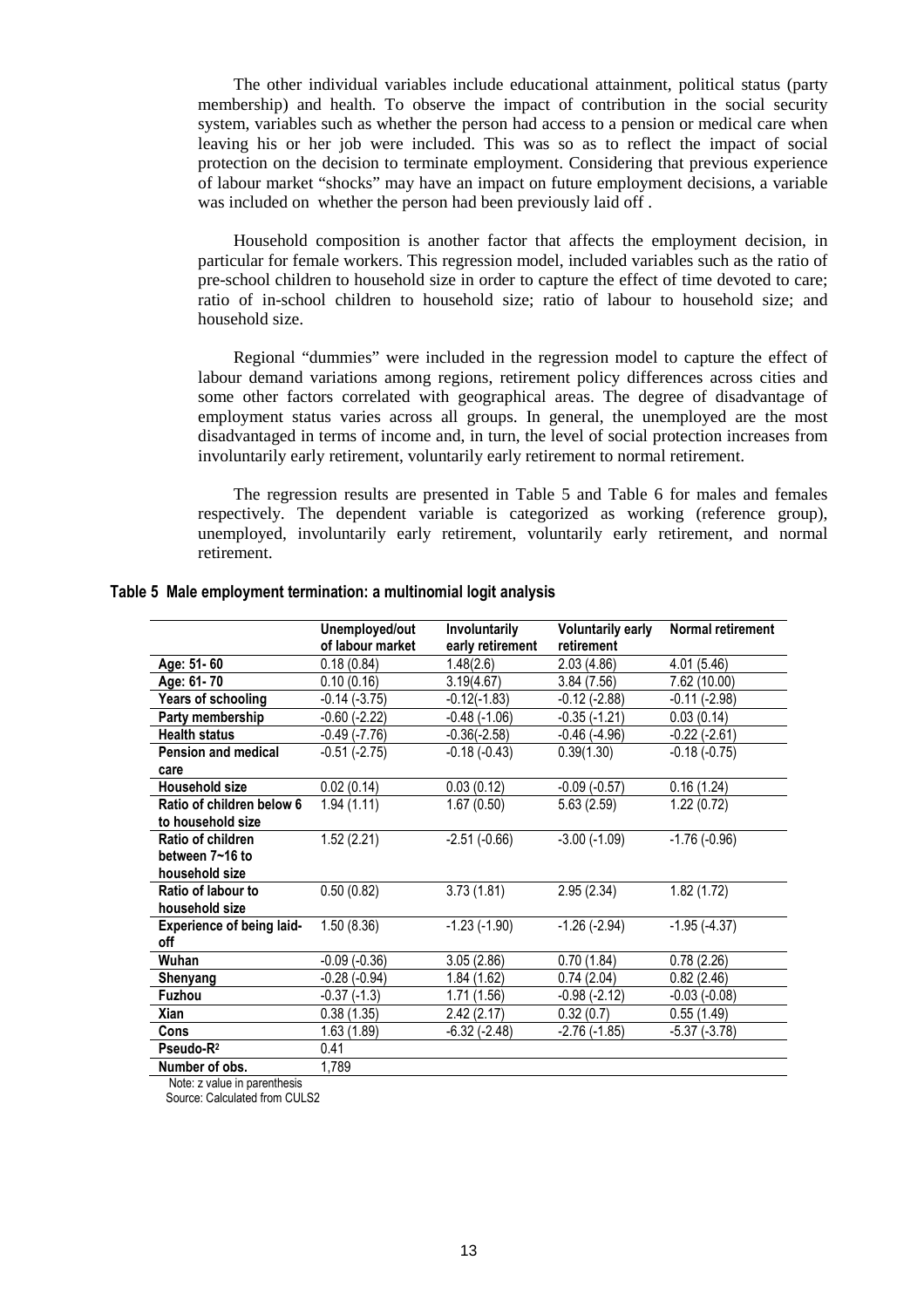The other individual variables include educational attainment, political status (party membership) and health. To observe the impact of contribution in the social security system, variables such as whether the person had access to a pension or medical care when leaving his or her job were included. This was so as to reflect the impact of social protection on the decision to terminate employment. Considering that previous experience of labour market "shocks" may have an impact on future employment decisions, a variable was included on whether the person had been previously laid off .

Household composition is another factor that affects the employment decision, in particular for female workers. This regression model, included variables such as the ratio of pre-school children to household size in order to capture the effect of time devoted to care; ratio of in-school children to household size; ratio of labour to household size; and household size.

Regional "dummies" were included in the regression model to capture the effect of labour demand variations among regions, retirement policy differences across cities and some other factors correlated with geographical areas. The degree of disadvantage of employment status varies across all groups. In general, the unemployed are the most disadvantaged in terms of income and, in turn, the level of social protection increases from involuntarily early retirement, voluntarily early retirement to normal retirement.

The regression results are presented in Table 5 and Table 6 for males and females respectively. The dependent variable is categorized as working (reference group), unemployed, involuntarily early retirement, voluntarily early retirement, and normal retirement.

|                                  | Unemployed/out    | <b>Involuntarily</b> | <b>Voluntarily early</b> | Normal retirement |
|----------------------------------|-------------------|----------------------|--------------------------|-------------------|
|                                  | of labour market  | early retirement     | retirement               |                   |
| Age: 51-60                       | 0.18(0.84)        | 1.48(2.6)            | 2.03(4.86)               | 4.01 (5.46)       |
| Age: 61-70                       | 0.10(0.16)        | 3.19(4.67)           | 3.84(7.56)               | 7.62 (10.00)      |
| Years of schooling               | $-0.14(-3.75)$    | $-0.12(-1.83)$       | $-0.12(-2.88)$           | $-0.11(-2.98)$    |
| Party membership                 | $-0.60$ $(-2.22)$ | $-0.48(-1.06)$       | $-0.35(-1.21)$           | 0.03(0.14)        |
| <b>Health status</b>             | -0.49 (-7.76)     | -0.36(-2.58)         | $-0.46$ ( $-4.96$ )      | -0.22 (-2.61)     |
| Pension and medical              | $-0.51(-2.75)$    | $-0.18(-0.43)$       | 0.39(1.30)               | $-0.18(-0.75)$    |
| care                             |                   |                      |                          |                   |
| <b>Household size</b>            | 0.02(0.14)        | 0.03(0.12)           | $-0.09(-0.57)$           | 0.16(1.24)        |
| Ratio of children below 6        | 1.94(1.11)        | 1.67(0.50)           | 5.63(2.59)               | 1.22(0.72)        |
| to household size                |                   |                      |                          |                   |
| Ratio of children                | 1.52(2.21)        | $-2.51(-0.66)$       | $-3.00$ $(-1.09)$        | $-1.76(-0.96)$    |
| between 7~16 to                  |                   |                      |                          |                   |
| household size                   |                   |                      |                          |                   |
| Ratio of labour to               | 0.50(0.82)        | 3.73(1.81)           | 2.95(2.34)               | 1.82(1.72)        |
| household size                   |                   |                      |                          |                   |
| <b>Experience of being laid-</b> | 1.50(8.36)        | $-1.23(-1.90)$       | $-1.26(-2.94)$           | $-1.95(-4.37)$    |
| off                              |                   |                      |                          |                   |
| Wuhan                            | $-0.09(-0.36)$    | 3.05(2.86)           | 0.70(1.84)               | 0.78(2.26)        |
| Shenyang                         | $-0.28(-0.94)$    | 1.84(1.62)           | 0.74(2.04)               | 0.82(2.46)        |
| Fuzhou                           | $-0.37(-1.3)$     | 1.71 (1.56)          | $-0.98(-2.12)$           | $-0.03(-0.08)$    |
| Xian                             | 0.38(1.35)        | 2.42(2.17)           | 0.32(0.7)                | 0.55(1.49)        |
| Cons                             | 1.63(1.89)        | $-6.32$ $(-2.48)$    | $-2.76(-1.85)$           | $-5.37(-3.78)$    |
| Pseudo-R <sup>2</sup>            | 0.41              |                      |                          |                   |
| Number of obs.                   | 1,789             |                      |                          |                   |

#### **Table 5 Male employment termination: a multinomial logit analysis**

Note: z value in parenthesis

Source: Calculated from CULS2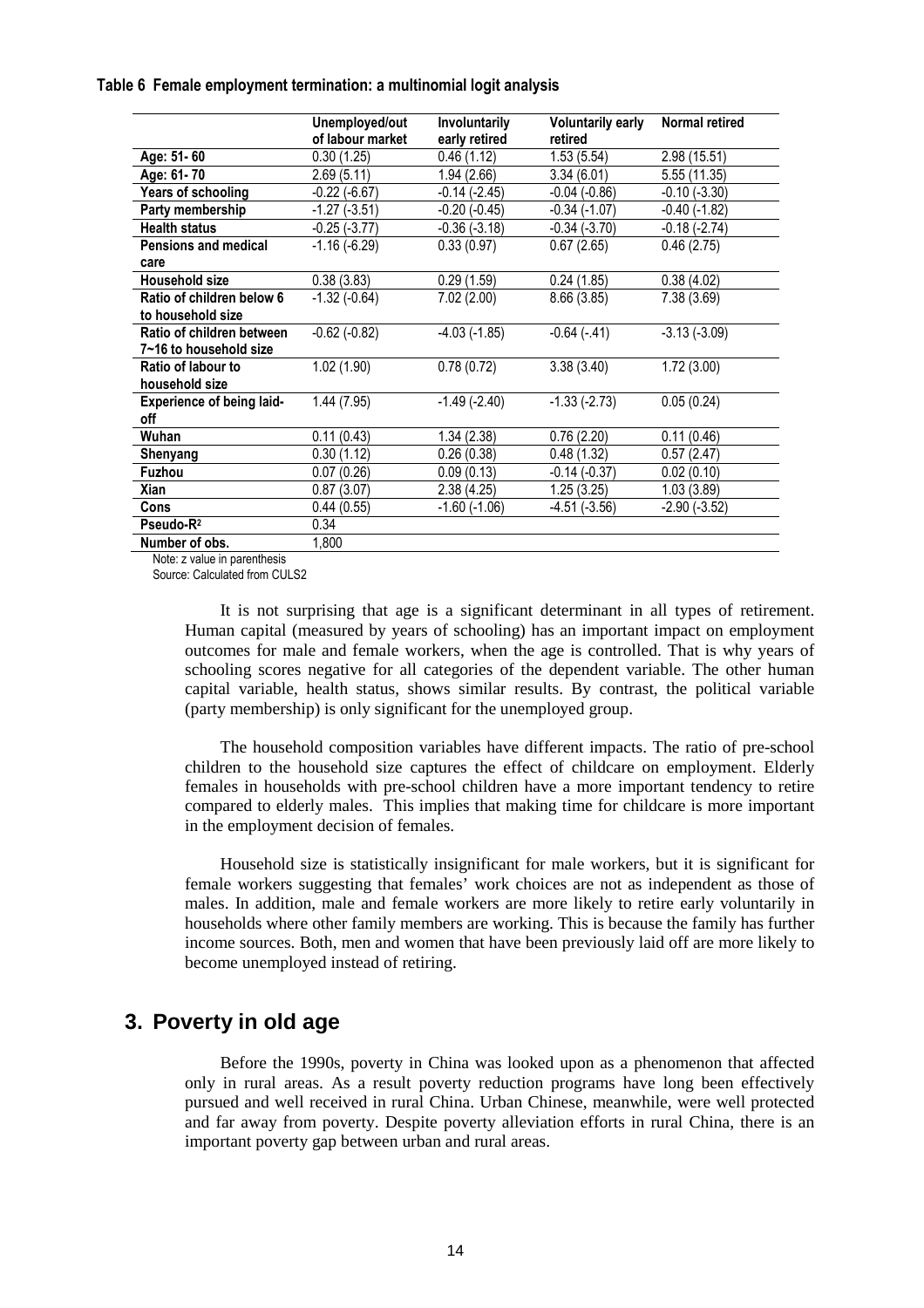#### **Table 6 Female employment termination: a multinomial logit analysis**

|                                         | Unemployed/out<br>of labour market | Involuntarily<br>early retired | <b>Voluntarily early</b><br>retired | <b>Normal retired</b> |
|-----------------------------------------|------------------------------------|--------------------------------|-------------------------------------|-----------------------|
| Age: 51-60                              | 0.30(1.25)                         | 0.46(1.12)                     | 1.53(5.54)                          | 2.98(15.51)           |
| Age: 61-70                              | 2.69(5.11)                         | 1.94 (2.66)                    | 3.34(6.01)                          | 5.55 (11.35)          |
| Years of schooling                      | $-0.22$ $(-6.67)$                  | $-0.14$ $(-2.45)$              | $-0.04$ $(-0.86)$                   | $-0.10(-3.30)$        |
| Party membership                        | $-1.27(-3.51)$                     | $-0.20$ $(-0.45)$              | $-0.34(-1.07)$                      | $-0.40$ $(-1.82)$     |
| <b>Health status</b>                    | $-0.25(-3.77)$                     | $-0.36(-3.18)$                 | $-0.34(-3.70)$                      | $-0.18(-2.74)$        |
| <b>Pensions and medical</b>             | $-1.16(-6.29)$                     | 0.33(0.97)                     | 0.67(2.65)                          | 0.46(2.75)            |
| care                                    |                                    |                                |                                     |                       |
| <b>Household size</b>                   | 0.38(3.83)                         | 0.29(1.59)                     | 0.24(1.85)                          | 0.38(4.02)            |
| Ratio of children below 6               | $-1.32$ $(-0.64)$                  | 7.02(2.00)                     | 8.66 (3.85)                         | 7.38 (3.69)           |
| to household size                       |                                    |                                |                                     |                       |
| Ratio of children between               | $-0.62$ $(-0.82)$                  | $-4.03$ $(-1.85)$              | $-0.64(-.41)$                       | $-3.13(-3.09)$        |
| 7~16 to household size                  |                                    |                                |                                     |                       |
| Ratio of labour to                      | 1.02(1.90)                         | 0.78(0.72)                     | 3.38(3.40)                          | 1.72(3.00)            |
| household size                          |                                    |                                |                                     |                       |
| <b>Experience of being laid-</b><br>off | 1.44(7.95)                         | $-1.49(-2.40)$                 | $-1.33(-2.73)$                      | 0.05(0.24)            |
| Wuhan                                   | 0.11(0.43)                         | 1.34(2.38)                     | 0.76(2.20)                          | 0.11(0.46)            |
| Shenyang                                | 0.30(1.12)                         | 0.26(0.38)                     | 0.48(1.32)                          | 0.57(2.47)            |
| <b>Fuzhou</b>                           | 0.07(0.26)                         | 0.09(0.13)                     | $-0.14(-0.37)$                      | 0.02(0.10)            |
| Xian                                    | 0.87(3.07)                         | 2.38(4.25)                     | 1.25(3.25)                          | 1.03(3.89)            |
| <b>Cons</b>                             | 0.44(0.55)                         | $-1.60$ $(-1.06)$              | $-4.51(-3.56)$                      | $-2.90(-3.52)$        |
| Pseudo-R <sup>2</sup>                   | 0.34                               |                                |                                     |                       |
| Number of obs.                          | 1,800                              |                                |                                     |                       |

Note: z value in parenthesis

Source: Calculated from CULS2

It is not surprising that age is a significant determinant in all types of retirement. Human capital (measured by years of schooling) has an important impact on employment outcomes for male and female workers, when the age is controlled. That is why years of schooling scores negative for all categories of the dependent variable. The other human capital variable, health status, shows similar results. By contrast, the political variable (party membership) is only significant for the unemployed group.

The household composition variables have different impacts. The ratio of pre-school children to the household size captures the effect of childcare on employment. Elderly females in households with pre-school children have a more important tendency to retire compared to elderly males. This implies that making time for childcare is more important in the employment decision of females.

Household size is statistically insignificant for male workers, but it is significant for female workers suggesting that females' work choices are not as independent as those of males. In addition, male and female workers are more likely to retire early voluntarily in households where other family members are working. This is because the family has further income sources. Both, men and women that have been previously laid off are more likely to become unemployed instead of retiring.

### **3. Poverty in old age**

Before the 1990s, poverty in China was looked upon as a phenomenon that affected only in rural areas. As a result poverty reduction programs have long been effectively pursued and well received in rural China. Urban Chinese, meanwhile, were well protected and far away from poverty. Despite poverty alleviation efforts in rural China, there is an important poverty gap between urban and rural areas.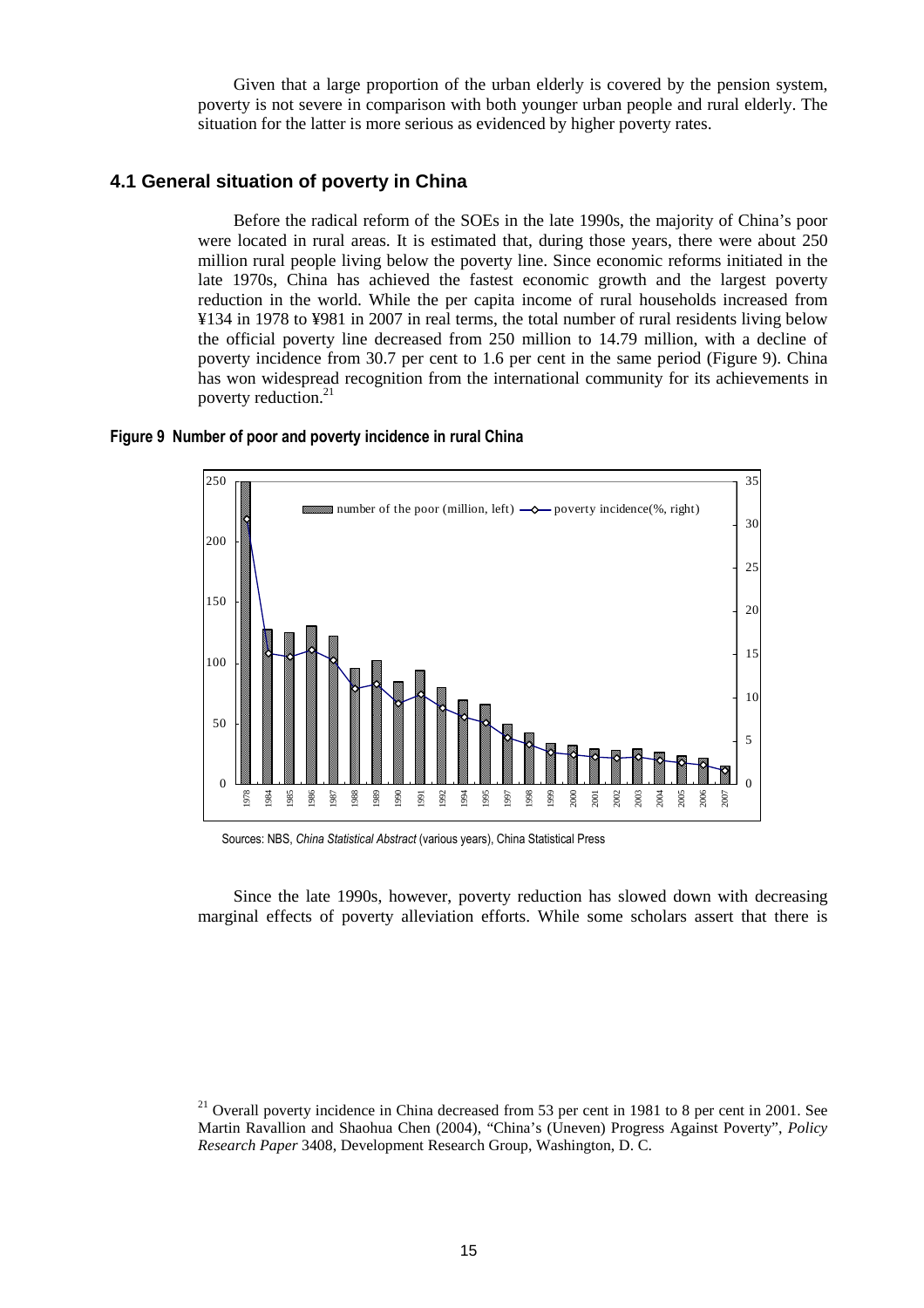Given that a large proportion of the urban elderly is covered by the pension system, poverty is not severe in comparison with both younger urban people and rural elderly. The situation for the latter is more serious as evidenced by higher poverty rates.

### **4.1 General situation of poverty in China**

Before the radical reform of the SOEs in the late 1990s, the majority of China's poor were located in rural areas. It is estimated that, during those years, there were about 250 million rural people living below the poverty line. Since economic reforms initiated in the late 1970s, China has achieved the fastest economic growth and the largest poverty reduction in the world. While the per capita income of rural households increased from ¥134 in 1978 to ¥981 in 2007 in real terms, the total number of rural residents living below the official poverty line decreased from 250 million to 14.79 million, with a decline of poverty incidence from 30.7 per cent to 1.6 per cent in the same period (Figure 9). China has won widespread recognition from the international community for its achievements in poverty reduction.<sup>21</sup>



#### **Figure 9 Number of poor and poverty incidence in rural China**

Sources: NBS, *China Statistical Abstract* (various years), China Statistical Press

Since the late 1990s, however, poverty reduction has slowed down with decreasing marginal effects of poverty alleviation efforts. While some scholars assert that there is

 Overall poverty incidence in China decreased from 53 per cent in 1981 to 8 per cent in 2001. See Martin Ravallion and Shaohua Chen (2004), "China's (Uneven) Progress Against Poverty", *Policy Research Paper* 3408, Development Research Group, Washington, D. C.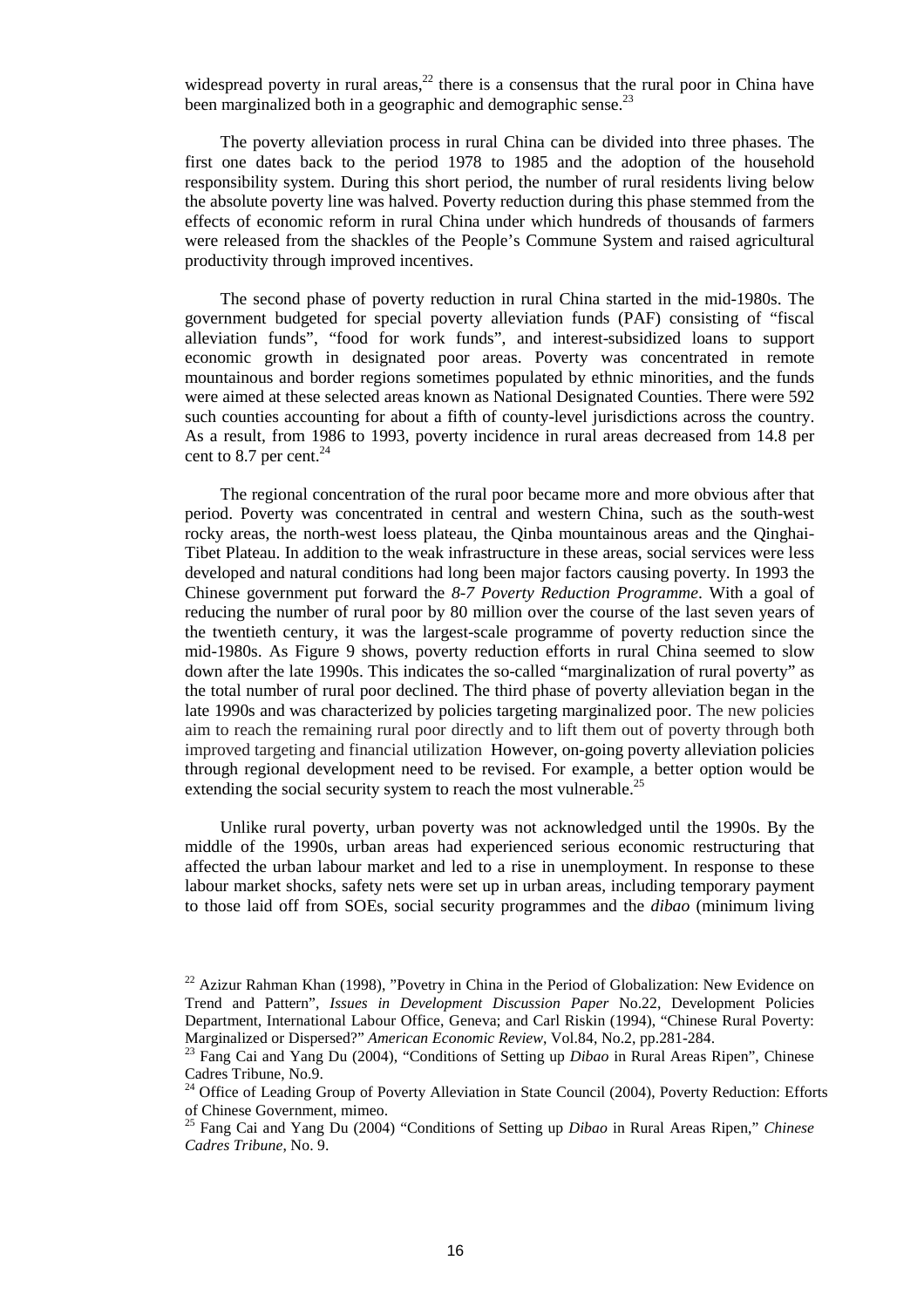widespread poverty in rural areas, $^{22}$  there is a consensus that the rural poor in China have been marginalized both in a geographic and demographic sense. $^{23}$ 

The poverty alleviation process in rural China can be divided into three phases. The first one dates back to the period 1978 to 1985 and the adoption of the household responsibility system. During this short period, the number of rural residents living below the absolute poverty line was halved. Poverty reduction during this phase stemmed from the effects of economic reform in rural China under which hundreds of thousands of farmers were released from the shackles of the People's Commune System and raised agricultural productivity through improved incentives.

The second phase of poverty reduction in rural China started in the mid-1980s. The government budgeted for special poverty alleviation funds (PAF) consisting of "fiscal alleviation funds", "food for work funds", and interest-subsidized loans to support economic growth in designated poor areas. Poverty was concentrated in remote mountainous and border regions sometimes populated by ethnic minorities, and the funds were aimed at these selected areas known as National Designated Counties. There were 592 such counties accounting for about a fifth of county-level jurisdictions across the country. As a result, from 1986 to 1993, poverty incidence in rural areas decreased from 14.8 per cent to 8.7 per cent. $^{24}$ 

The regional concentration of the rural poor became more and more obvious after that period. Poverty was concentrated in central and western China, such as the south-west rocky areas, the north-west loess plateau, the Qinba mountainous areas and the Qinghai-Tibet Plateau. In addition to the weak infrastructure in these areas, social services were less developed and natural conditions had long been major factors causing poverty. In 1993 the Chinese government put forward the *8-7 Poverty Reduction Programme*. With a goal of reducing the number of rural poor by 80 million over the course of the last seven years of the twentieth century, it was the largest-scale programme of poverty reduction since the mid-1980s. As Figure 9 shows, poverty reduction efforts in rural China seemed to slow down after the late 1990s. This indicates the so-called "marginalization of rural poverty" as the total number of rural poor declined. The third phase of poverty alleviation began in the late 1990s and was characterized by policies targeting marginalized poor. The new policies aim to reach the remaining rural poor directly and to lift them out of poverty through both improved targeting and financial utilization However, on-going poverty alleviation policies through regional development need to be revised. For example, a better option would be extending the social security system to reach the most vulnerable. $^{25}$ 

Unlike rural poverty, urban poverty was not acknowledged until the 1990s. By the middle of the 1990s, urban areas had experienced serious economic restructuring that affected the urban labour market and led to a rise in unemployment. In response to these labour market shocks, safety nets were set up in urban areas, including temporary payment to those laid off from SOEs, social security programmes and the *dibao* (minimum living

 $22$  Azizur Rahman Khan (1998), "Povetry in China in the Period of Globalization: New Evidence on Trend and Pattern", *Issues in Development Discussion Paper* No.22, Development Policies Department, International Labour Office, Geneva; and Carl Riskin (1994), "Chinese Rural Poverty: Marginalized or Dispersed?" *American Economic Review*, Vol.84, No.2, pp.281-284.

<sup>23</sup> Fang Cai and Yang Du (2004), "Conditions of Setting up *Dibao* in Rural Areas Ripen", Chinese Cadres Tribune, No.9.

<sup>&</sup>lt;sup>24</sup> Office of Leading Group of Poverty Alleviation in State Council (2004), Poverty Reduction: Efforts of Chinese Government, mimeo.

<sup>25</sup> Fang Cai and Yang Du (2004) "Conditions of Setting up *Dibao* in Rural Areas Ripen," *Chinese Cadres Tribune*, No. 9.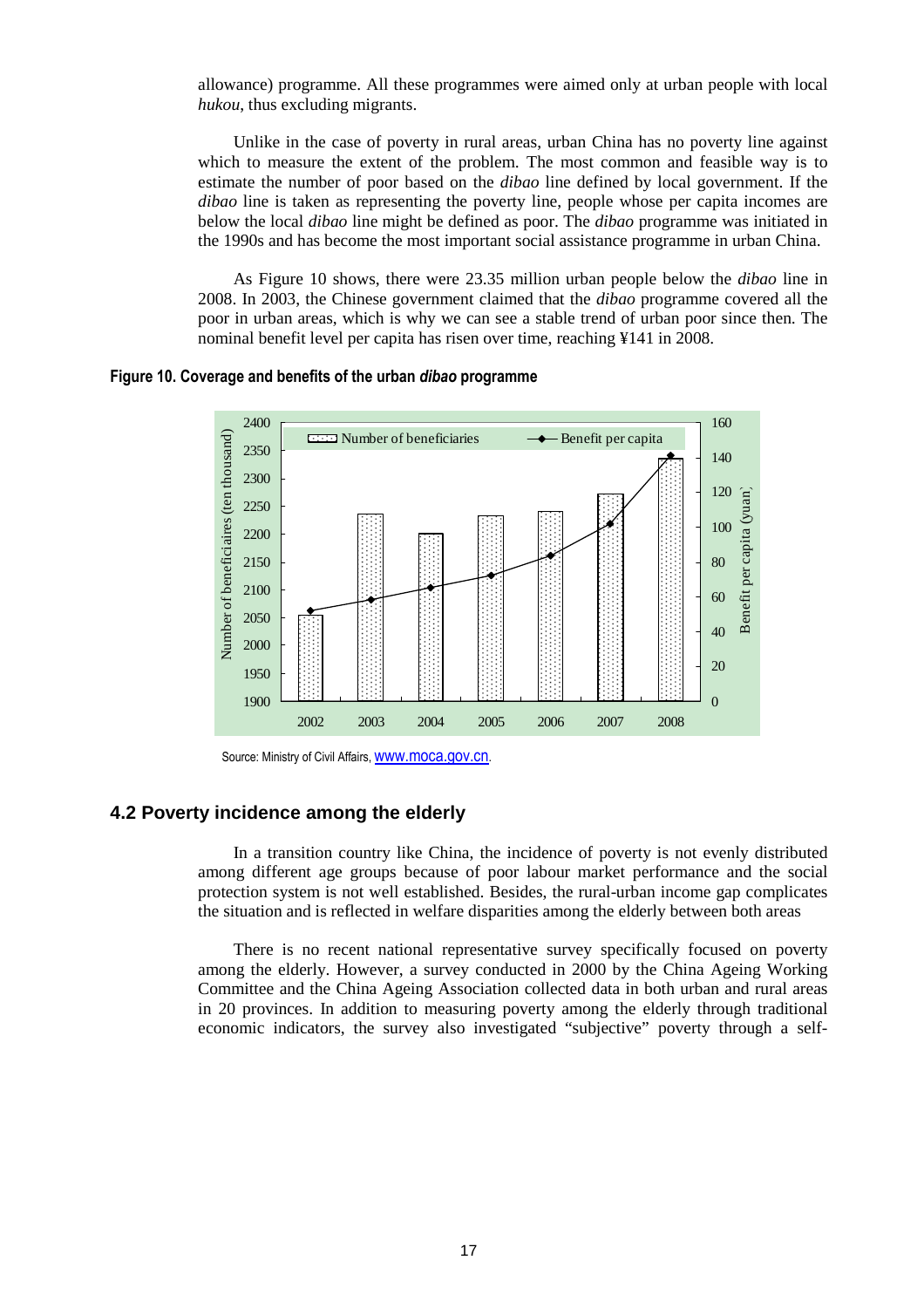allowance) programme. All these programmes were aimed only at urban people with local *hukou*, thus excluding migrants.

Unlike in the case of poverty in rural areas, urban China has no poverty line against which to measure the extent of the problem. The most common and feasible way is to estimate the number of poor based on the *dibao* line defined by local government. If the *dibao* line is taken as representing the poverty line, people whose per capita incomes are below the local *dibao* line might be defined as poor. The *dibao* programme was initiated in the 1990s and has become the most important social assistance programme in urban China.

As Figure 10 shows, there were 23.35 million urban people below the *dibao* line in 2008. In 2003, the Chinese government claimed that the *dibao* programme covered all the poor in urban areas, which is why we can see a stable trend of urban poor since then. The nominal benefit level per capita has risen over time, reaching ¥141 in 2008.

**Figure 10. Coverage and benefits of the urban** *dibao* **programme** 



Source: Ministry of Civil Affairs, **WWW.moca.gov.cn.** 

### **4.2 Poverty incidence among the elderly**

In a transition country like China, the incidence of poverty is not evenly distributed among different age groups because of poor labour market performance and the social protection system is not well established. Besides, the rural-urban income gap complicates the situation and is reflected in welfare disparities among the elderly between both areas

There is no recent national representative survey specifically focused on poverty among the elderly. However, a survey conducted in 2000 by the China Ageing Working Committee and the China Ageing Association collected data in both urban and rural areas in 20 provinces. In addition to measuring poverty among the elderly through traditional economic indicators, the survey also investigated "subjective" poverty through a self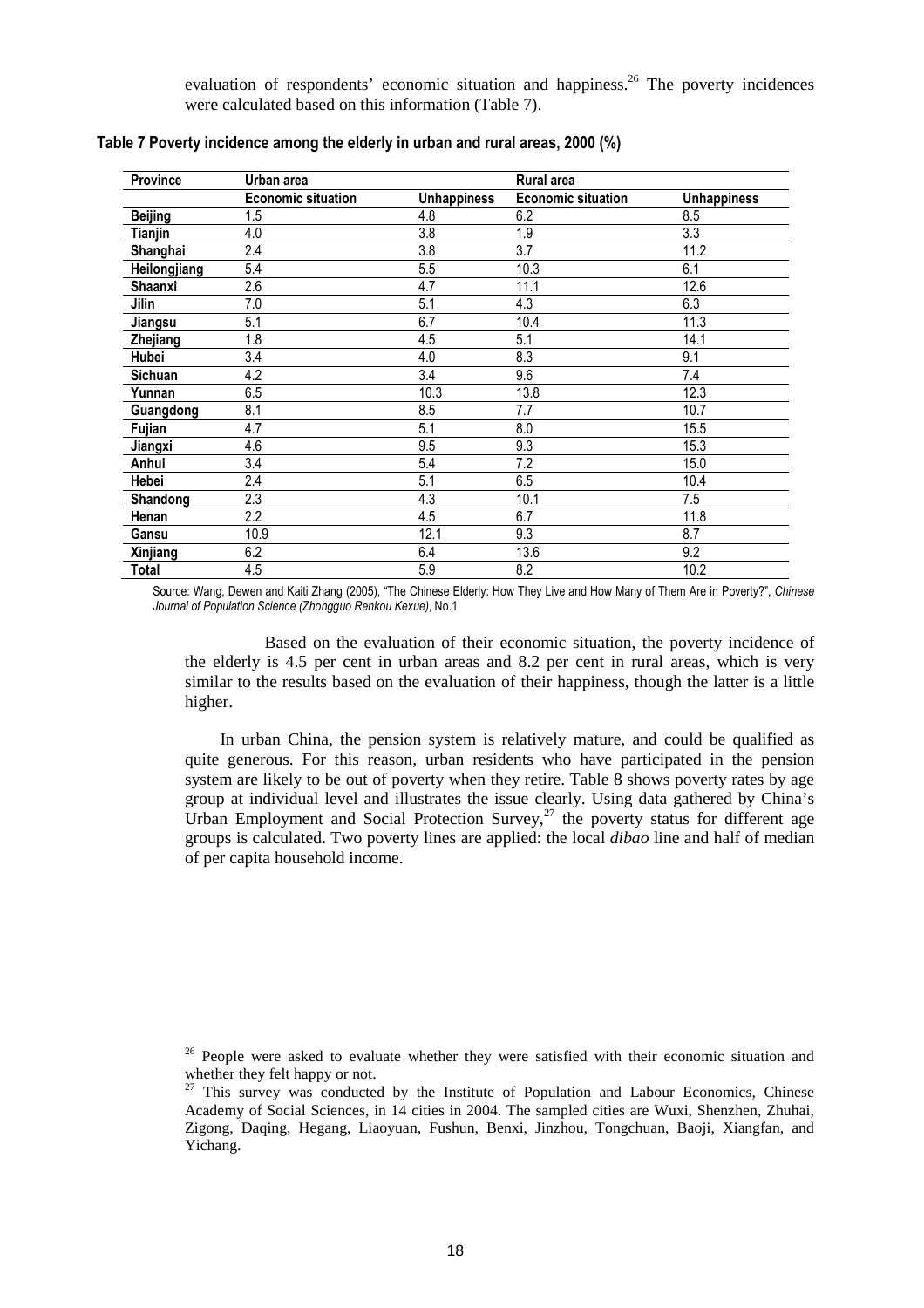evaluation of respondents' economic situation and happiness.<sup>26</sup> The poverty incidences were calculated based on this information (Table 7).

| Province       | Urban area                |                    | <b>Rural area</b>         |                    |
|----------------|---------------------------|--------------------|---------------------------|--------------------|
|                | <b>Economic situation</b> | <b>Unhappiness</b> | <b>Economic situation</b> | <b>Unhappiness</b> |
| <b>Beijing</b> | 1.5                       | 4.8                | 6.2                       | 8.5                |
| Tianjin        | 4.0                       | 3.8                | 1.9                       | 3.3                |
| Shanghai       | 2.4                       | 3.8                | 3.7                       | 11.2               |
| Heilongjiang   | 5.4                       | 5.5                | 10.3                      | 6.1                |
| Shaanxi        | 2.6                       | 4.7                | 11.1                      | 12.6               |
| Jilin          | 7.0                       | 5.1                | 4.3                       | 6.3                |
| Jiangsu        | 5.1                       | 6.7                | 10.4                      | 11.3               |
| Zhejiang       | 1.8                       | 4.5                | 5.1                       | 14.1               |
| Hubei          | 3.4                       | 4.0                | 8.3                       | 9.1                |
| Sichuan        | 4.2                       | 3.4                | 9.6                       | 7.4                |
| Yunnan         | 6.5                       | 10.3               | 13.8                      | 12.3               |
| Guangdong      | 8.1                       | 8.5                | 7.7                       | 10.7               |
| Fujian         | 4.7                       | 5.1                | 8.0                       | 15.5               |
| Jiangxi        | 4.6                       | 9.5                | 9.3                       | 15.3               |
| Anhui          | 3.4                       | 5.4                | 7.2                       | 15.0               |
| Hebei          | 2.4                       | 5.1                | 6.5                       | 10.4               |
| Shandong       | 2.3                       | 4.3                | 10.1                      | 7.5                |
| Henan          | 2.2                       | 4.5                | 6.7                       | 11.8               |
| Gansu          | 10.9                      | 12.1               | 9.3                       | 8.7                |
| Xinjiang       | 6.2                       | 6.4                | 13.6                      | 9.2                |
| Total          | 4.5                       | 5.9                | 8.2                       | 10.2               |

**Table 7 Poverty incidence among the elderly in urban and rural areas, 2000 (%)** 

Source: Wang, Dewen and Kaiti Zhang (2005), "The Chinese Elderly: How They Live and How Many of Them Are in Poverty?", *Chinese Journal of Population Science (Zhongguo Renkou Kexue)*, No.1

 Based on the evaluation of their economic situation, the poverty incidence of the elderly is 4.5 per cent in urban areas and 8.2 per cent in rural areas, which is very similar to the results based on the evaluation of their happiness, though the latter is a little higher.

In urban China, the pension system is relatively mature, and could be qualified as quite generous. For this reason, urban residents who have participated in the pension system are likely to be out of poverty when they retire. Table 8 shows poverty rates by age group at individual level and illustrates the issue clearly. Using data gathered by China's Urban Employment and Social Protection Survey,<sup>27</sup> the poverty status for different age groups is calculated. Two poverty lines are applied: the local *dibao* line and half of median of per capita household income.

 $26$  People were asked to evaluate whether they were satisfied with their economic situation and whether they felt happy or not.

<sup>&</sup>lt;sup>27</sup> This survey was conducted by the Institute of Population and Labour Economics, Chinese Academy of Social Sciences, in 14 cities in 2004. The sampled cities are Wuxi, Shenzhen, Zhuhai, Zigong, Daqing, Hegang, Liaoyuan, Fushun, Benxi, Jinzhou, Tongchuan, Baoji, Xiangfan, and Yichang.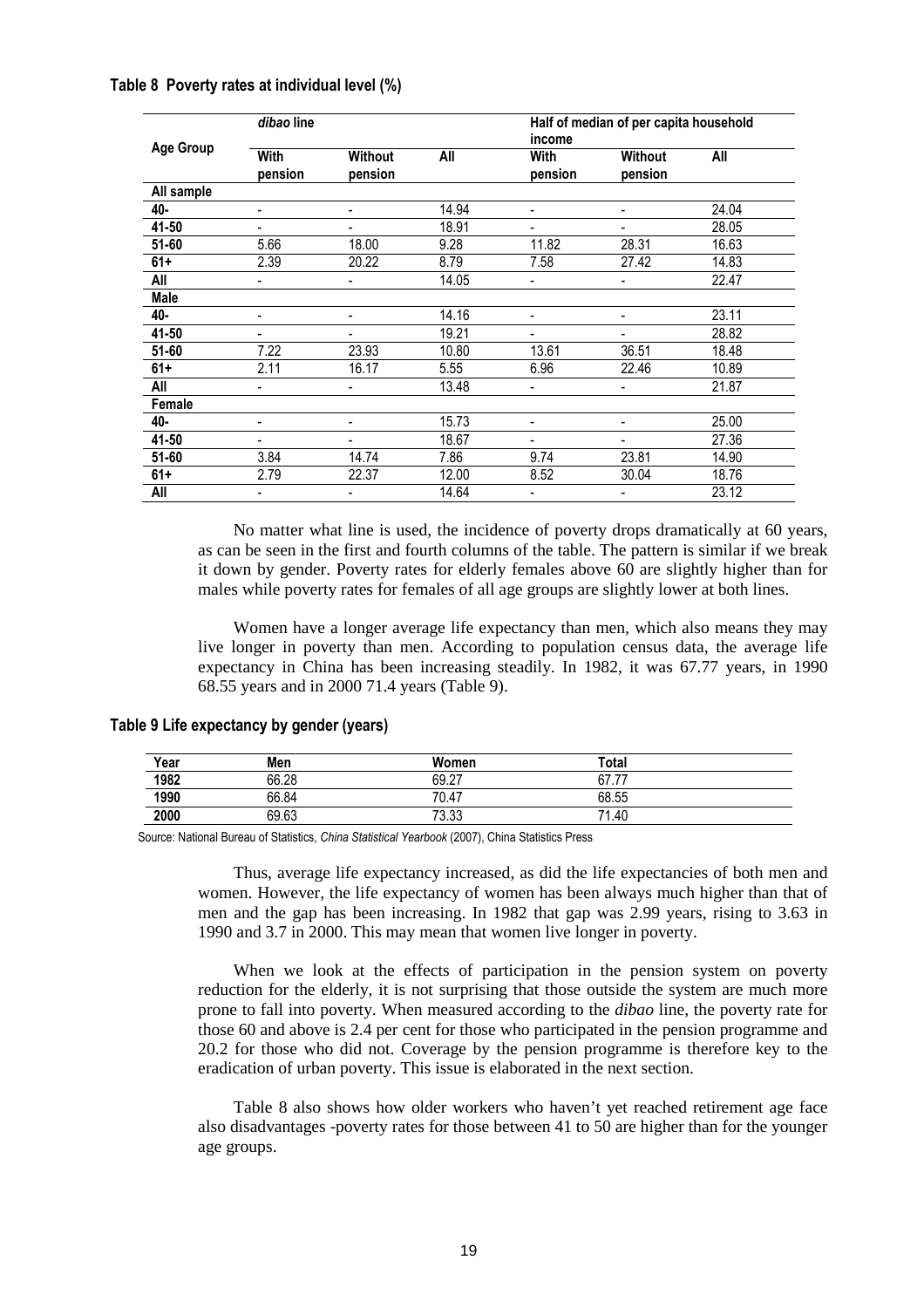|                  | dibao line      |                    |       | Half of median of per capita household<br>income |                           |       |
|------------------|-----------------|--------------------|-------|--------------------------------------------------|---------------------------|-------|
| <b>Age Group</b> | With<br>pension | Without<br>pension | All   | With<br>pension                                  | <b>Without</b><br>pension | All   |
| All sample       |                 |                    |       |                                                  |                           |       |
| 40-              | ٠               | ۰                  | 14.94 | ٠                                                | ٠                         | 24.04 |
| 41-50            |                 |                    | 18.91 | $\overline{a}$                                   |                           | 28.05 |
| 51-60            | 5.66            | 18.00              | 9.28  | 11.82                                            | 28.31                     | 16.63 |
| $61+$            | 2.39            | 20.22              | 8.79  | 7.58                                             | 27.42                     | 14.83 |
| All              |                 |                    | 14.05 | ٠                                                |                           | 22.47 |
| <b>Male</b>      |                 |                    |       |                                                  |                           |       |
| 40-              | ٠               | ۰                  | 14.16 | ٠                                                | $\overline{\phantom{m}}$  | 23.11 |
| 41-50            |                 |                    | 19.21 | ٠                                                |                           | 28.82 |
| 51-60            | 7.22            | 23.93              | 10.80 | 13.61                                            | 36.51                     | 18.48 |
| $61+$            | 2.11            | 16.17              | 5.55  | 6.96                                             | 22.46                     | 10.89 |
| All              |                 |                    | 13.48 | ٠                                                |                           | 21.87 |
| Female           |                 |                    |       |                                                  |                           |       |
| 40-              | ٠               | ۰                  | 15.73 | ٠                                                | ٠                         | 25.00 |
| 41-50            |                 |                    | 18.67 |                                                  |                           | 27.36 |
| 51-60            | 3.84            | 14.74              | 7.86  | 9.74                                             | 23.81                     | 14.90 |
| $61+$            | 2.79            | 22.37              | 12.00 | 8.52                                             | 30.04                     | 18.76 |
| All              | ٠               | Ξ.                 | 14.64 | ٠                                                |                           | 23.12 |

**Table 8 Poverty rates at individual level (%)** 

No matter what line is used, the incidence of poverty drops dramatically at 60 years, as can be seen in the first and fourth columns of the table. The pattern is similar if we break it down by gender. Poverty rates for elderly females above 60 are slightly higher than for males while poverty rates for females of all age groups are slightly lower at both lines.

Women have a longer average life expectancy than men, which also means they may live longer in poverty than men. According to population census data, the average life expectancy in China has been increasing steadily. In 1982, it was 67.77 years, in 1990 68.55 years and in 2000 71.4 years (Table 9).

| Table 9 Life expectancy by gender (years) |  |  |  |  |
|-------------------------------------------|--|--|--|--|
|-------------------------------------------|--|--|--|--|

| Year | Men   | Women | Total |  |
|------|-------|-------|-------|--|
| 1982 | 66.28 | 69.27 | 67.77 |  |
| 1990 | 66.84 | 70.47 | 68.55 |  |
| 2000 | 69.63 | 73.33 | 71.40 |  |

Source: National Bureau of Statistics, *China Statistical Yearbook* (2007), China Statistics Press

Thus, average life expectancy increased, as did the life expectancies of both men and women. However, the life expectancy of women has been always much higher than that of men and the gap has been increasing. In 1982 that gap was 2.99 years, rising to 3.63 in 1990 and 3.7 in 2000. This may mean that women live longer in poverty.

When we look at the effects of participation in the pension system on poverty reduction for the elderly, it is not surprising that those outside the system are much more prone to fall into poverty. When measured according to the *dibao* line, the poverty rate for those 60 and above is 2.4 per cent for those who participated in the pension programme and 20.2 for those who did not. Coverage by the pension programme is therefore key to the eradication of urban poverty. This issue is elaborated in the next section.

Table 8 also shows how older workers who haven't yet reached retirement age face also disadvantages -poverty rates for those between 41 to 50 are higher than for the younger age groups.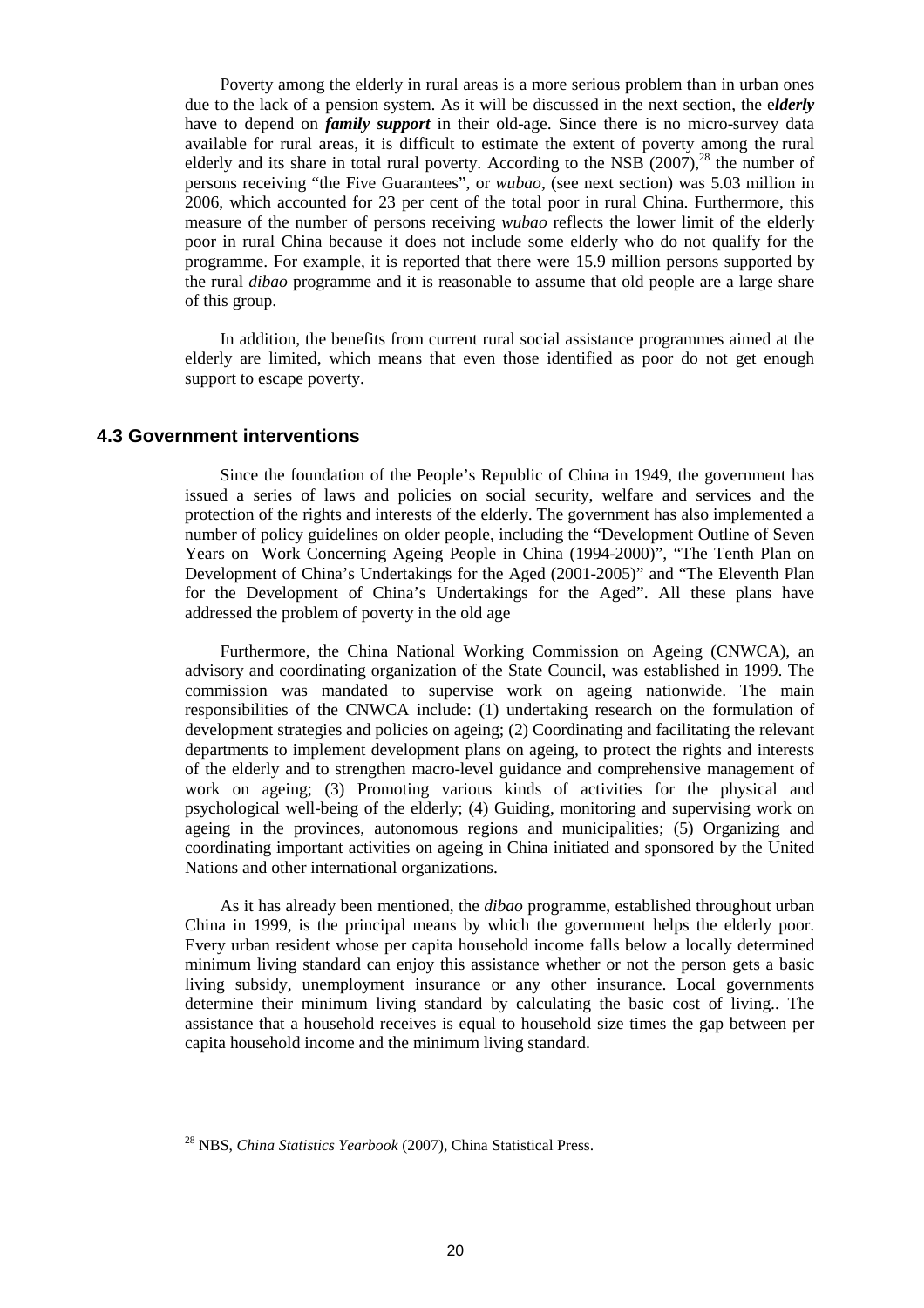Poverty among the elderly in rural areas is a more serious problem than in urban ones due to the lack of a pension system. As it will be discussed in the next section, the e*lderly* have to depend on *family support* in their old-age. Since there is no micro-survey data available for rural areas, it is difficult to estimate the extent of poverty among the rural elderly and its share in total rural poverty. According to the NSB  $(2007)$ ,<sup>28</sup> the number of persons receiving "the Five Guarantees", or *wubao*, (see next section) was 5.03 million in 2006, which accounted for 23 per cent of the total poor in rural China. Furthermore, this measure of the number of persons receiving *wubao* reflects the lower limit of the elderly poor in rural China because it does not include some elderly who do not qualify for the programme. For example, it is reported that there were 15.9 million persons supported by the rural *dibao* programme and it is reasonable to assume that old people are a large share of this group.

In addition, the benefits from current rural social assistance programmes aimed at the elderly are limited, which means that even those identified as poor do not get enough support to escape poverty.

#### **4.3 Government interventions**

Since the foundation of the People's Republic of China in 1949, the government has issued a series of laws and policies on social security, welfare and services and the protection of the rights and interests of the elderly. The government has also implemented a number of policy guidelines on older people, including the "Development Outline of Seven Years on Work Concerning Ageing People in China (1994-2000)", "The Tenth Plan on Development of China's Undertakings for the Aged (2001-2005)" and "The Eleventh Plan for the Development of China's Undertakings for the Aged". All these plans have addressed the problem of poverty in the old age

Furthermore, the China National Working Commission on Ageing (CNWCA), an advisory and coordinating organization of the State Council, was established in 1999. The commission was mandated to supervise work on ageing nationwide. The main responsibilities of the CNWCA include: (1) undertaking research on the formulation of development strategies and policies on ageing; (2) Coordinating and facilitating the relevant departments to implement development plans on ageing, to protect the rights and interests of the elderly and to strengthen macro-level guidance and comprehensive management of work on ageing; (3) Promoting various kinds of activities for the physical and psychological well-being of the elderly; (4) Guiding, monitoring and supervising work on ageing in the provinces, autonomous regions and municipalities; (5) Organizing and coordinating important activities on ageing in China initiated and sponsored by the United Nations and other international organizations.

As it has already been mentioned, the *dibao* programme, established throughout urban China in 1999, is the principal means by which the government helps the elderly poor. Every urban resident whose per capita household income falls below a locally determined minimum living standard can enjoy this assistance whether or not the person gets a basic living subsidy, unemployment insurance or any other insurance. Local governments determine their minimum living standard by calculating the basic cost of living.. The assistance that a household receives is equal to household size times the gap between per capita household income and the minimum living standard.

<sup>28</sup> NBS, *China Statistics Yearbook* (2007), China Statistical Press.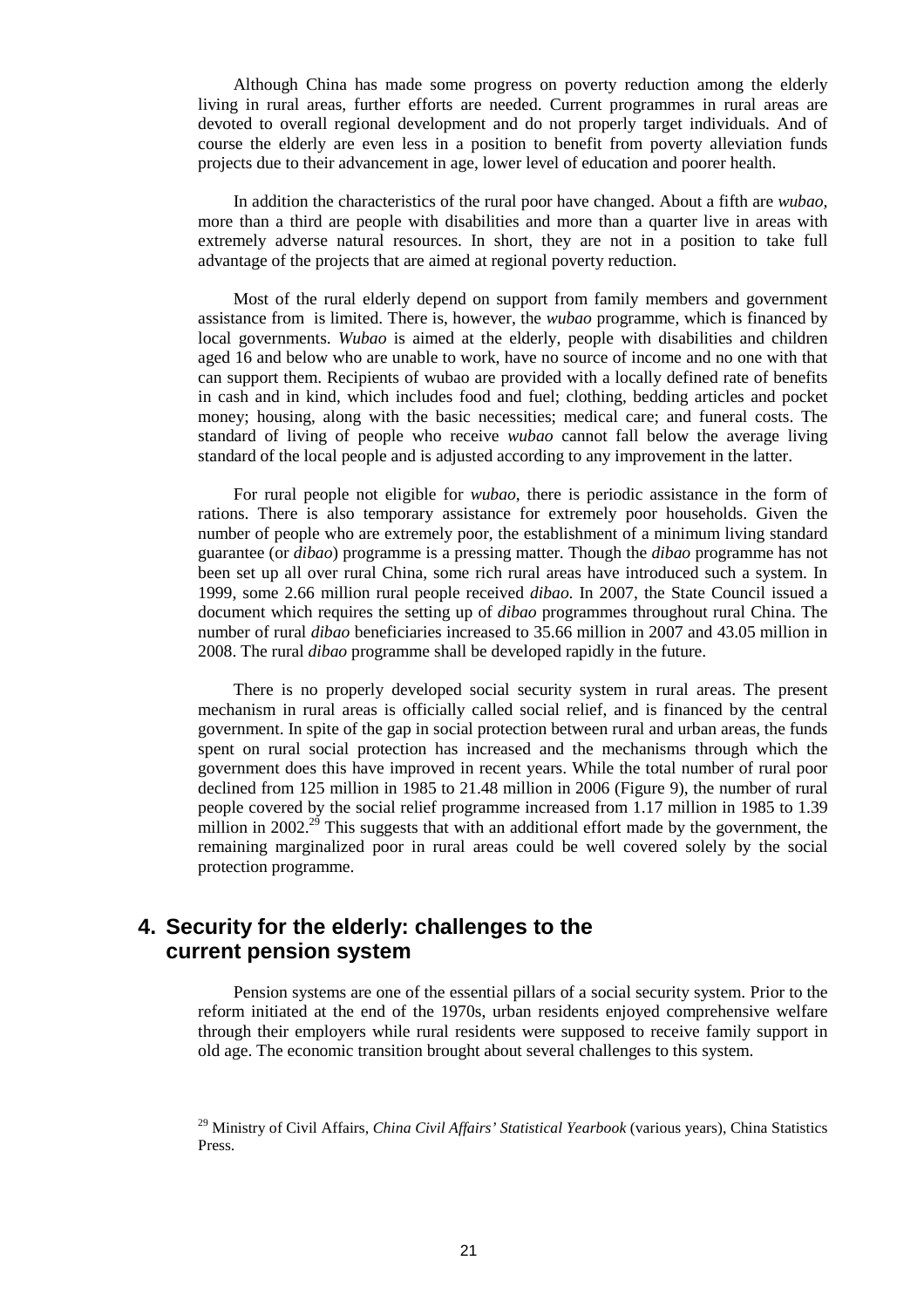Although China has made some progress on poverty reduction among the elderly living in rural areas, further efforts are needed. Current programmes in rural areas are devoted to overall regional development and do not properly target individuals. And of course the elderly are even less in a position to benefit from poverty alleviation funds projects due to their advancement in age, lower level of education and poorer health.

In addition the characteristics of the rural poor have changed. About a fifth are *wubao,* more than a third are people with disabilities and more than a quarter live in areas with extremely adverse natural resources. In short, they are not in a position to take full advantage of the projects that are aimed at regional poverty reduction.

Most of the rural elderly depend on support from family members and government assistance from is limited. There is, however, the *wubao* programme, which is financed by local governments. *Wubao* is aimed at the elderly, people with disabilities and children aged 16 and below who are unable to work, have no source of income and no one with that can support them. Recipients of wubao are provided with a locally defined rate of benefits in cash and in kind, which includes food and fuel; clothing, bedding articles and pocket money; housing, along with the basic necessities; medical care; and funeral costs. The standard of living of people who receive *wubao* cannot fall below the average living standard of the local people and is adjusted according to any improvement in the latter.

For rural people not eligible for *wubao*, there is periodic assistance in the form of rations. There is also temporary assistance for extremely poor households. Given the number of people who are extremely poor, the establishment of a minimum living standard guarantee (or *dibao*) programme is a pressing matter. Though the *dibao* programme has not been set up all over rural China, some rich rural areas have introduced such a system. In 1999, some 2.66 million rural people received *dibao*. In 2007, the State Council issued a document which requires the setting up of *dibao* programmes throughout rural China. The number of rural *dibao* beneficiaries increased to 35.66 million in 2007 and 43.05 million in 2008. The rural *dibao* programme shall be developed rapidly in the future.

There is no properly developed social security system in rural areas. The present mechanism in rural areas is officially called social relief, and is financed by the central government. In spite of the gap in social protection between rural and urban areas, the funds spent on rural social protection has increased and the mechanisms through which the government does this have improved in recent years. While the total number of rural poor declined from 125 million in 1985 to 21.48 million in 2006 (Figure 9), the number of rural people covered by the social relief programme increased from 1.17 million in 1985 to 1.39 million in 2002.<sup>29</sup> This suggests that with an additional effort made by the government, the remaining marginalized poor in rural areas could be well covered solely by the social protection programme.

### **4. Security for the elderly: challenges to the current pension system**

Pension systems are one of the essential pillars of a social security system. Prior to the reform initiated at the end of the 1970s, urban residents enjoyed comprehensive welfare through their employers while rural residents were supposed to receive family support in old age. The economic transition brought about several challenges to this system.

<sup>29</sup> Ministry of Civil Affairs, *China Civil Affairs' Statistical Yearbook* (various years), China Statistics Press.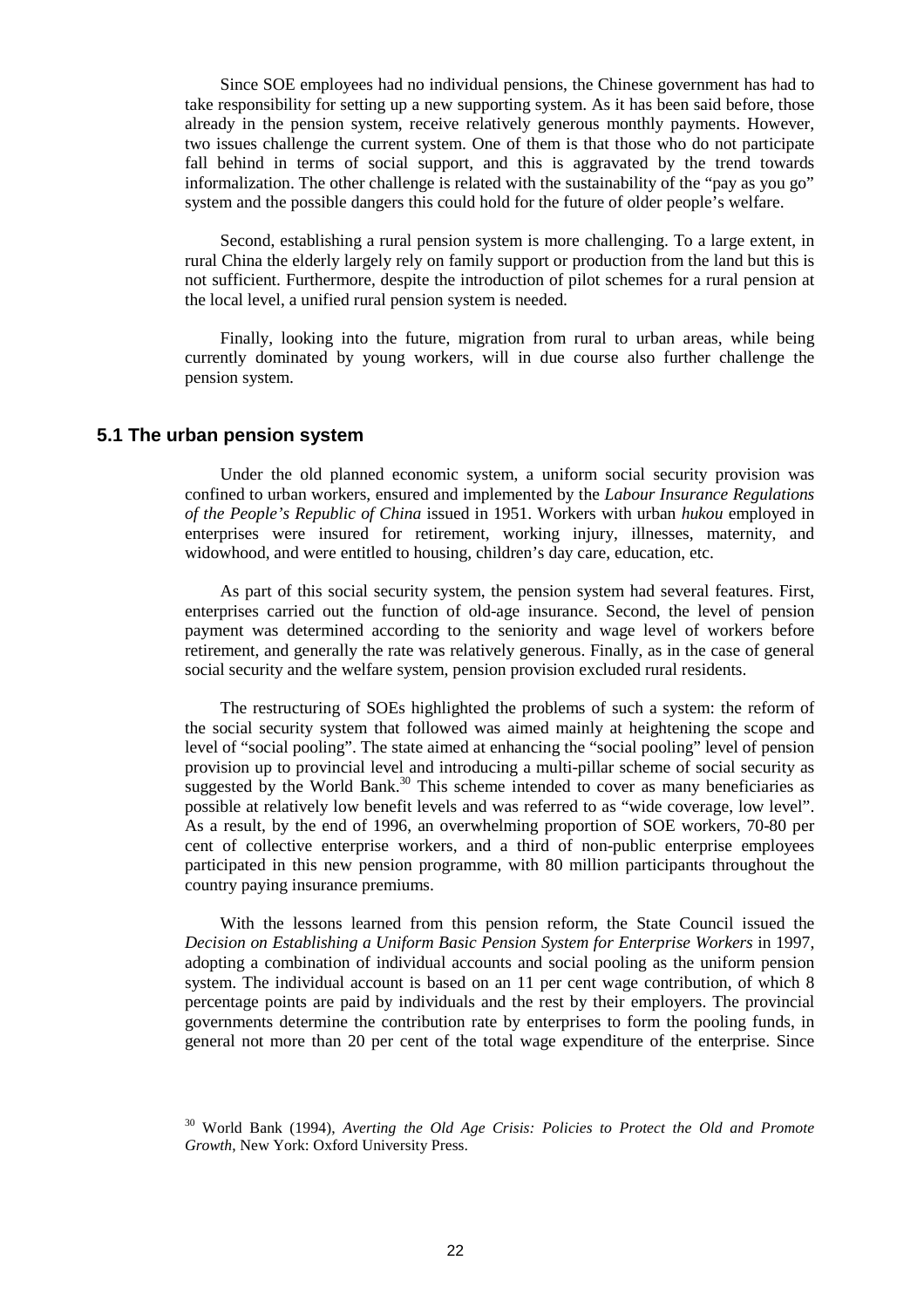Since SOE employees had no individual pensions, the Chinese government has had to take responsibility for setting up a new supporting system. As it has been said before, those already in the pension system, receive relatively generous monthly payments. However, two issues challenge the current system. One of them is that those who do not participate fall behind in terms of social support, and this is aggravated by the trend towards informalization. The other challenge is related with the sustainability of the "pay as you go" system and the possible dangers this could hold for the future of older people's welfare.

Second, establishing a rural pension system is more challenging. To a large extent, in rural China the elderly largely rely on family support or production from the land but this is not sufficient. Furthermore, despite the introduction of pilot schemes for a rural pension at the local level, a unified rural pension system is needed.

Finally, looking into the future, migration from rural to urban areas, while being currently dominated by young workers, will in due course also further challenge the pension system.

#### **5.1 The urban pension system**

Under the old planned economic system, a uniform social security provision was confined to urban workers, ensured and implemented by the *Labour Insurance Regulations of the People's Republic of China* issued in 1951. Workers with urban *hukou* employed in enterprises were insured for retirement, working injury, illnesses, maternity, and widowhood, and were entitled to housing, children's day care, education, etc.

As part of this social security system, the pension system had several features. First, enterprises carried out the function of old-age insurance. Second, the level of pension payment was determined according to the seniority and wage level of workers before retirement, and generally the rate was relatively generous. Finally, as in the case of general social security and the welfare system, pension provision excluded rural residents.

The restructuring of SOEs highlighted the problems of such a system: the reform of the social security system that followed was aimed mainly at heightening the scope and level of "social pooling". The state aimed at enhancing the "social pooling" level of pension provision up to provincial level and introducing a multi-pillar scheme of social security as suggested by the World Bank. $30$  This scheme intended to cover as many beneficiaries as possible at relatively low benefit levels and was referred to as "wide coverage, low level". As a result, by the end of 1996, an overwhelming proportion of SOE workers, 70-80 per cent of collective enterprise workers, and a third of non-public enterprise employees participated in this new pension programme, with 80 million participants throughout the country paying insurance premiums.

With the lessons learned from this pension reform, the State Council issued the *Decision on Establishing a Uniform Basic Pension System for Enterprise Workers* in 1997, adopting a combination of individual accounts and social pooling as the uniform pension system. The individual account is based on an 11 per cent wage contribution, of which 8 percentage points are paid by individuals and the rest by their employers. The provincial governments determine the contribution rate by enterprises to form the pooling funds, in general not more than 20 per cent of the total wage expenditure of the enterprise. Since

<sup>30</sup> World Bank (1994), *Averting the Old Age Crisis: Policies to Protect the Old and Promote Growth*, New York: Oxford University Press.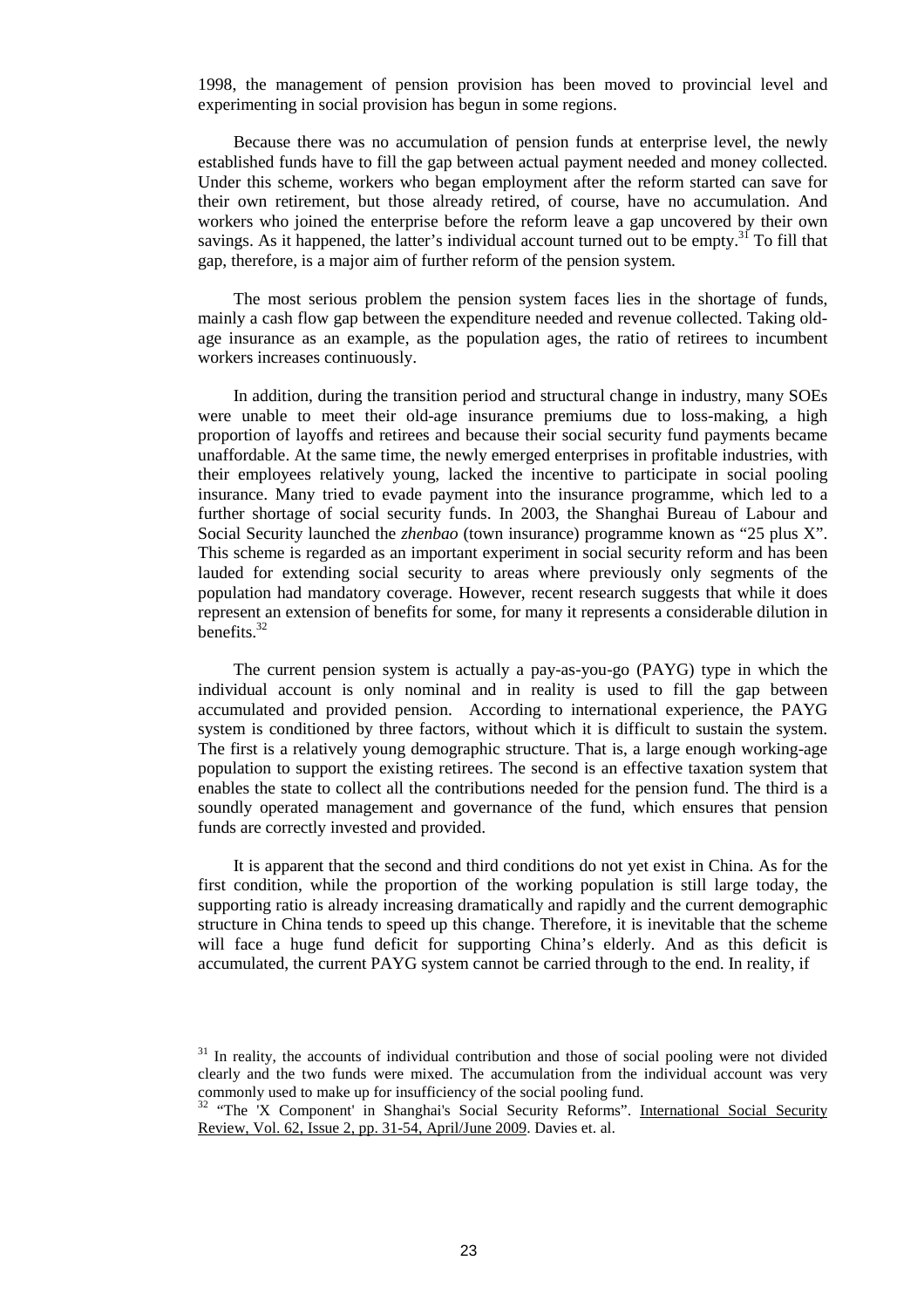1998, the management of pension provision has been moved to provincial level and experimenting in social provision has begun in some regions.

Because there was no accumulation of pension funds at enterprise level, the newly established funds have to fill the gap between actual payment needed and money collected. Under this scheme, workers who began employment after the reform started can save for their own retirement, but those already retired, of course, have no accumulation. And workers who joined the enterprise before the reform leave a gap uncovered by their own savings. As it happened, the latter's individual account turned out to be empty.<sup>31</sup> To fill that gap, therefore, is a major aim of further reform of the pension system.

The most serious problem the pension system faces lies in the shortage of funds, mainly a cash flow gap between the expenditure needed and revenue collected. Taking oldage insurance as an example, as the population ages, the ratio of retirees to incumbent workers increases continuously.

In addition, during the transition period and structural change in industry, many SOEs were unable to meet their old-age insurance premiums due to loss-making, a high proportion of layoffs and retirees and because their social security fund payments became unaffordable. At the same time, the newly emerged enterprises in profitable industries, with their employees relatively young, lacked the incentive to participate in social pooling insurance. Many tried to evade payment into the insurance programme, which led to a further shortage of social security funds. In 2003, the Shanghai Bureau of Labour and Social Security launched the *zhenbao* (town insurance) programme known as "25 plus X". This scheme is regarded as an important experiment in social security reform and has been lauded for extending social security to areas where previously only segments of the population had mandatory coverage. However, recent research suggests that while it does represent an extension of benefits for some, for many it represents a considerable dilution in benefits. $32$ 

The current pension system is actually a pay-as-you-go (PAYG) type in which the individual account is only nominal and in reality is used to fill the gap between accumulated and provided pension. According to international experience, the PAYG system is conditioned by three factors, without which it is difficult to sustain the system. The first is a relatively young demographic structure. That is, a large enough working-age population to support the existing retirees. The second is an effective taxation system that enables the state to collect all the contributions needed for the pension fund. The third is a soundly operated management and governance of the fund, which ensures that pension funds are correctly invested and provided.

It is apparent that the second and third conditions do not yet exist in China. As for the first condition, while the proportion of the working population is still large today, the supporting ratio is already increasing dramatically and rapidly and the current demographic structure in China tends to speed up this change. Therefore, it is inevitable that the scheme will face a huge fund deficit for supporting China's elderly. And as this deficit is accumulated, the current PAYG system cannot be carried through to the end. In reality, if

<sup>&</sup>lt;sup>31</sup> In reality, the accounts of individual contribution and those of social pooling were not divided clearly and the two funds were mixed. The accumulation from the individual account was very commonly used to make up for insufficiency of the social pooling fund.

<sup>&</sup>lt;sup>32</sup> "The 'X Component' in Shanghai's Social Security Reforms". International Social Security Review, Vol. 62, Issue 2, pp. 31-54, April/June 2009. Davies et. al.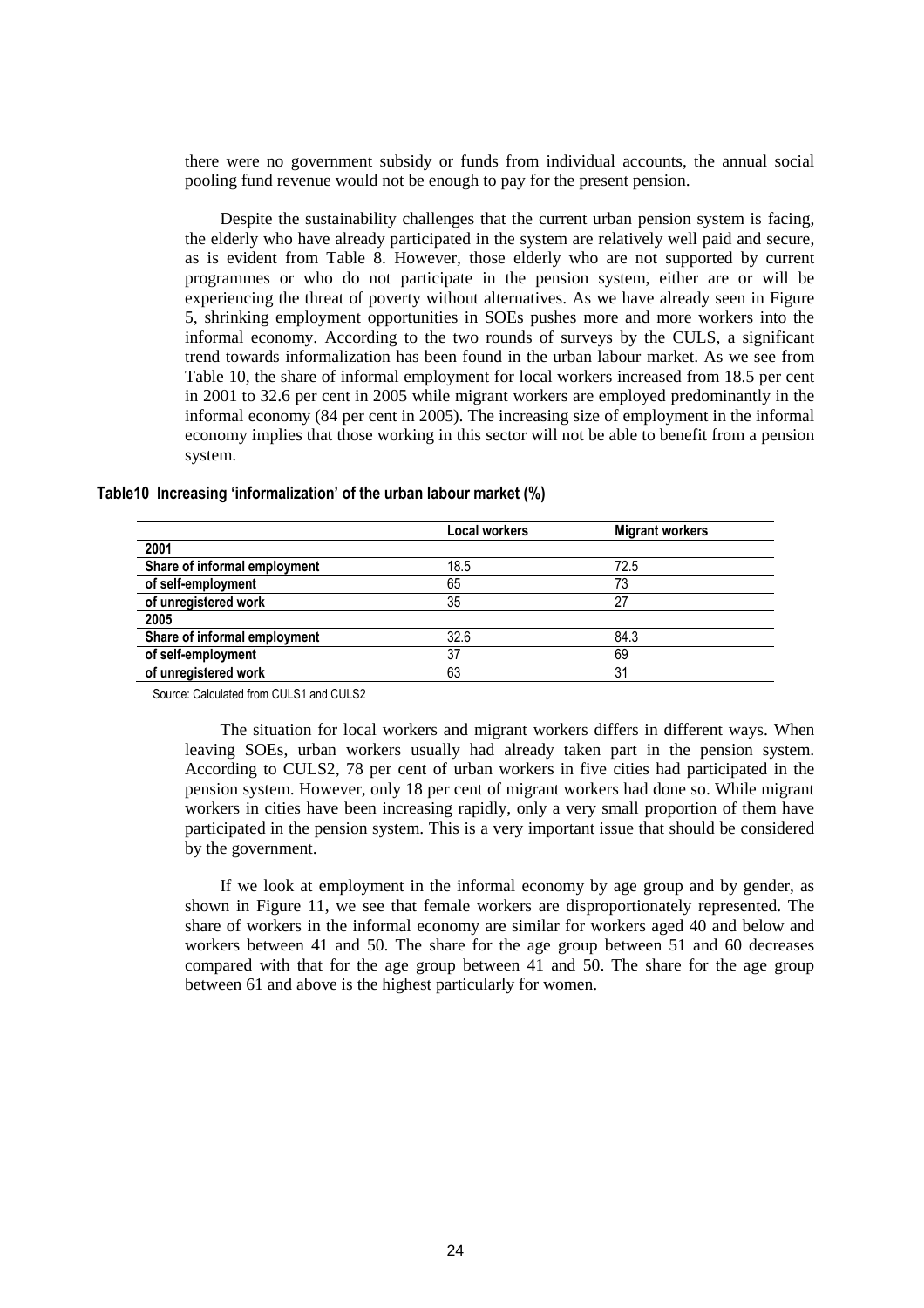there were no government subsidy or funds from individual accounts, the annual social pooling fund revenue would not be enough to pay for the present pension.

Despite the sustainability challenges that the current urban pension system is facing, the elderly who have already participated in the system are relatively well paid and secure, as is evident from Table 8. However, those elderly who are not supported by current programmes or who do not participate in the pension system, either are or will be experiencing the threat of poverty without alternatives. As we have already seen in Figure 5, shrinking employment opportunities in SOEs pushes more and more workers into the informal economy. According to the two rounds of surveys by the CULS, a significant trend towards informalization has been found in the urban labour market. As we see from Table 10, the share of informal employment for local workers increased from 18.5 per cent in 2001 to 32.6 per cent in 2005 while migrant workers are employed predominantly in the informal economy (84 per cent in 2005). The increasing size of employment in the informal economy implies that those working in this sector will not be able to benefit from a pension system.

|                              | <b>Local workers</b> | <b>Migrant workers</b> |
|------------------------------|----------------------|------------------------|
| 2001                         |                      |                        |
| Share of informal employment | 18.5                 | 72.5                   |
| of self-employment           | 65                   |                        |
| of unregistered work         | 35                   | 27                     |
| 2005                         |                      |                        |
| Share of informal employment | 32.6                 | 84.3                   |
| of self-employment           | 37                   | 69                     |
| of unregistered work         | 63                   | 31                     |

**Table10 Increasing 'informalization' of the urban labour market (%)** 

Source: Calculated from CULS1 and CULS2

The situation for local workers and migrant workers differs in different ways. When leaving SOEs, urban workers usually had already taken part in the pension system. According to CULS2, 78 per cent of urban workers in five cities had participated in the pension system. However, only 18 per cent of migrant workers had done so. While migrant workers in cities have been increasing rapidly, only a very small proportion of them have participated in the pension system. This is a very important issue that should be considered by the government.

If we look at employment in the informal economy by age group and by gender, as shown in Figure 11, we see that female workers are disproportionately represented. The share of workers in the informal economy are similar for workers aged 40 and below and workers between 41 and 50. The share for the age group between 51 and 60 decreases compared with that for the age group between 41 and 50. The share for the age group between 61 and above is the highest particularly for women.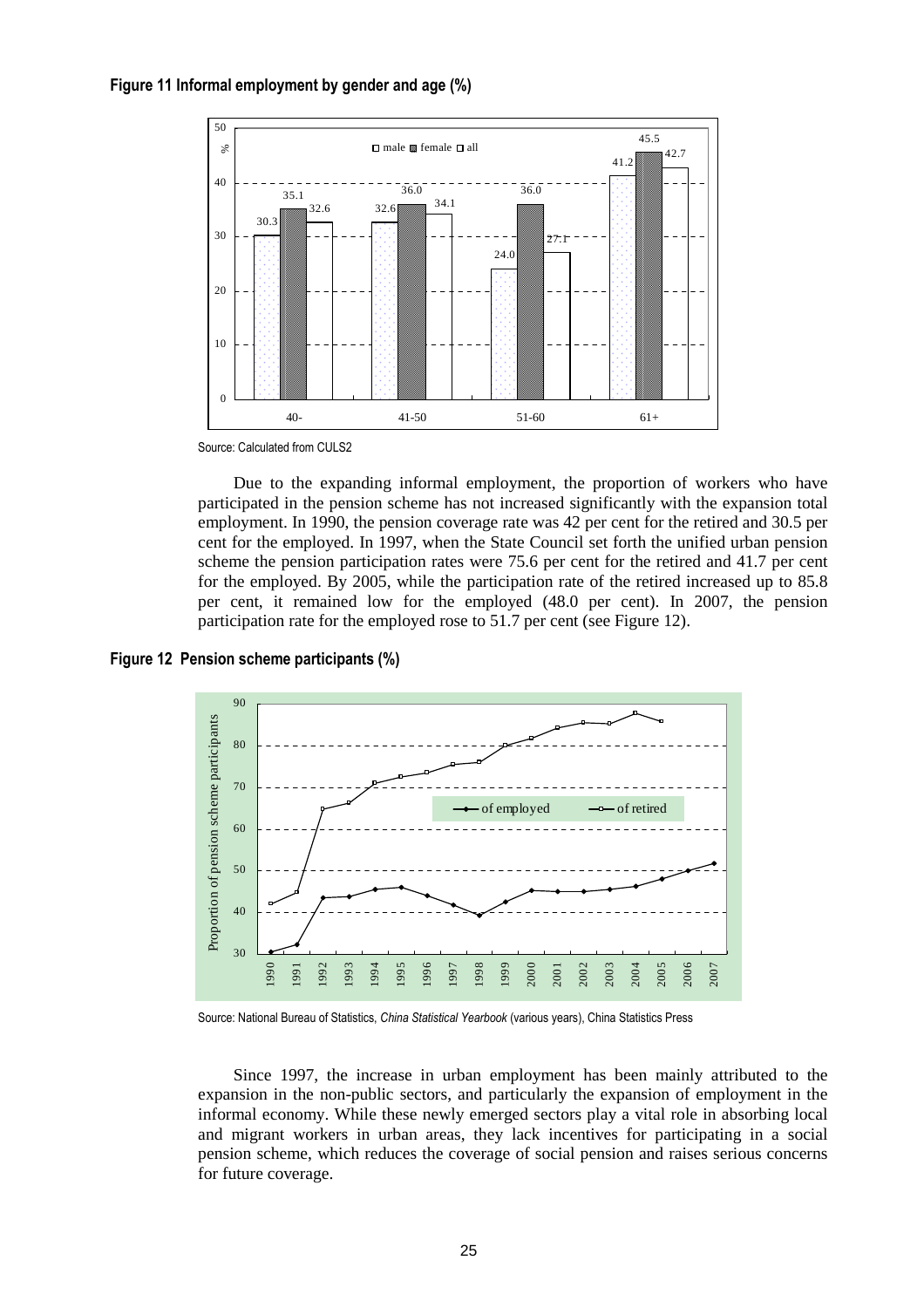



Source: Calculated from CULS2

Due to the expanding informal employment, the proportion of workers who have participated in the pension scheme has not increased significantly with the expansion total employment. In 1990, the pension coverage rate was 42 per cent for the retired and 30.5 per cent for the employed. In 1997, when the State Council set forth the unified urban pension scheme the pension participation rates were 75.6 per cent for the retired and 41.7 per cent for the employed. By 2005, while the participation rate of the retired increased up to 85.8 per cent, it remained low for the employed (48.0 per cent). In 2007, the pension participation rate for the employed rose to 51.7 per cent (see Figure 12).

**Figure 12 Pension scheme participants (%)** 



Source: National Bureau of Statistics, *China Statistical Yearbook* (various years), China Statistics Press

Since 1997, the increase in urban employment has been mainly attributed to the expansion in the non-public sectors, and particularly the expansion of employment in the informal economy. While these newly emerged sectors play a vital role in absorbing local and migrant workers in urban areas, they lack incentives for participating in a social pension scheme, which reduces the coverage of social pension and raises serious concerns for future coverage.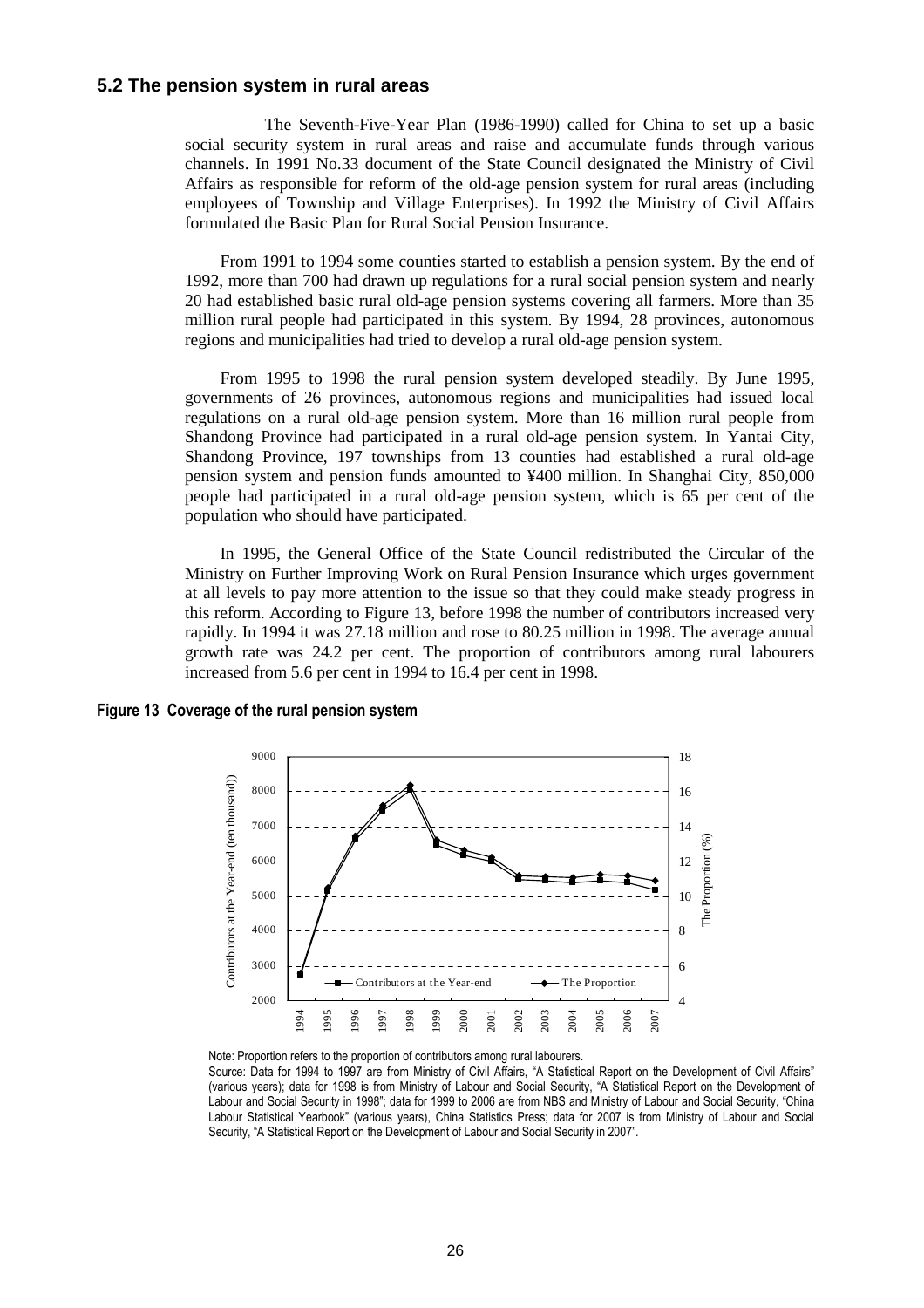### **5.2 The pension system in rural areas**

 The Seventh-Five-Year Plan (1986-1990) called for China to set up a basic social security system in rural areas and raise and accumulate funds through various channels. In 1991 No.33 document of the State Council designated the Ministry of Civil Affairs as responsible for reform of the old-age pension system for rural areas (including employees of Township and Village Enterprises). In 1992 the Ministry of Civil Affairs formulated the Basic Plan for Rural Social Pension Insurance.

From 1991 to 1994 some counties started to establish a pension system. By the end of 1992, more than 700 had drawn up regulations for a rural social pension system and nearly 20 had established basic rural old-age pension systems covering all farmers. More than 35 million rural people had participated in this system. By 1994, 28 provinces, autonomous regions and municipalities had tried to develop a rural old-age pension system.

From 1995 to 1998 the rural pension system developed steadily. By June 1995, governments of 26 provinces, autonomous regions and municipalities had issued local regulations on a rural old-age pension system. More than 16 million rural people from Shandong Province had participated in a rural old-age pension system. In Yantai City, Shandong Province, 197 townships from 13 counties had established a rural old-age pension system and pension funds amounted to ¥400 million. In Shanghai City, 850,000 people had participated in a rural old-age pension system, which is 65 per cent of the population who should have participated.

In 1995, the General Office of the State Council redistributed the Circular of the Ministry on Further Improving Work on Rural Pension Insurance which urges government at all levels to pay more attention to the issue so that they could make steady progress in this reform. According to Figure 13, before 1998 the number of contributors increased very rapidly. In 1994 it was 27.18 million and rose to 80.25 million in 1998. The average annual growth rate was 24.2 per cent. The proportion of contributors among rural labourers increased from 5.6 per cent in 1994 to 16.4 per cent in 1998.

#### **Figure 13 Coverage of the rural pension system**



Note: Proportion refers to the proportion of contributors among rural labourers. Source: Data for 1994 to 1997 are from Ministry of Civil Affairs, "A Statistical Report on the Development of Civil Affairs" (various years); data for 1998 is from Ministry of Labour and Social Security, "A Statistical Report on the Development of Labour and Social Security in 1998"; data for 1999 to 2006 are from NBS and Ministry of Labour and Social Security, "China Labour Statistical Yearbook" (various years), China Statistics Press; data for 2007 is from Ministry of Labour and Social Security, "A Statistical Report on the Development of Labour and Social Security in 2007".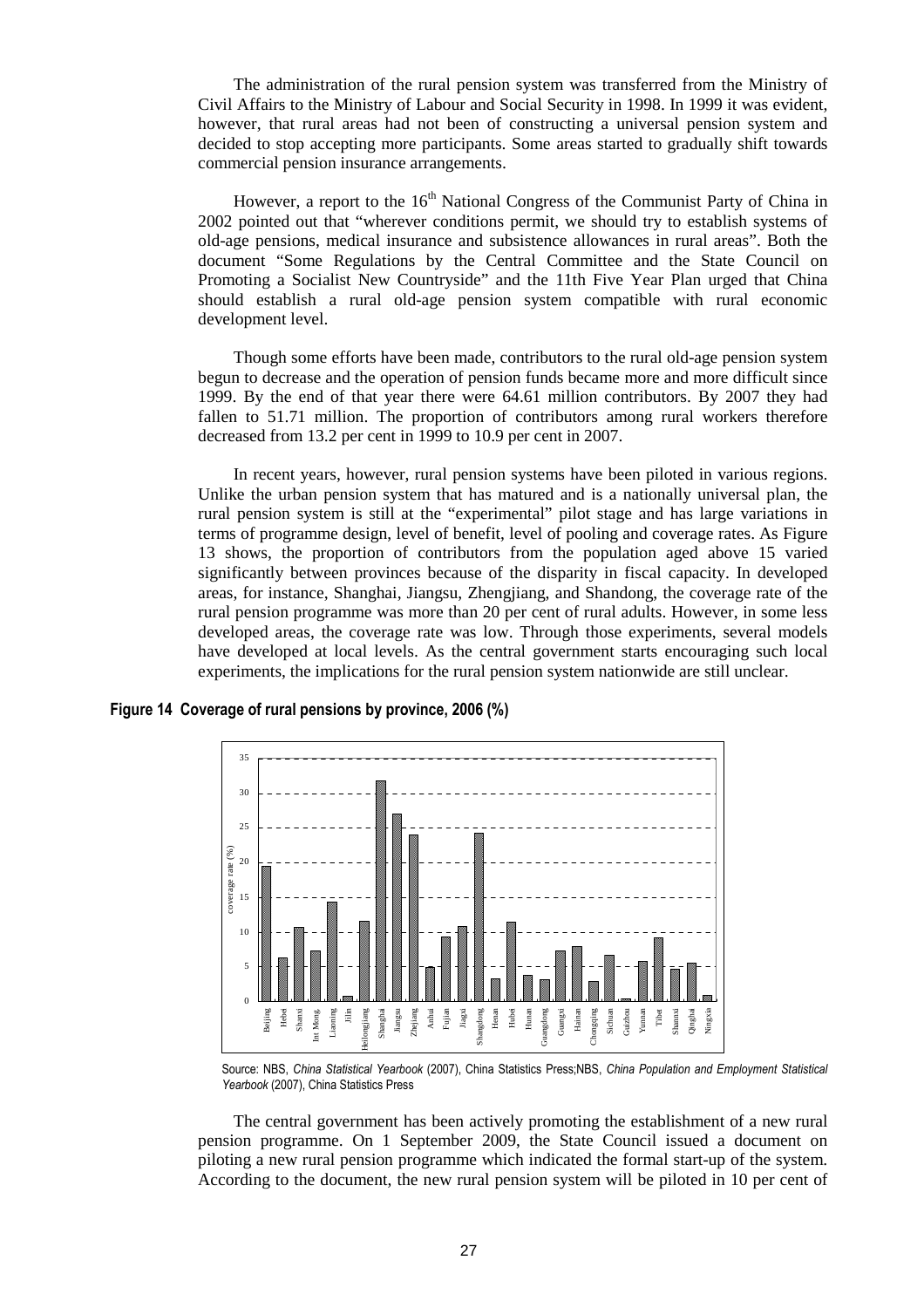The administration of the rural pension system was transferred from the Ministry of Civil Affairs to the Ministry of Labour and Social Security in 1998. In 1999 it was evident, however, that rural areas had not been of constructing a universal pension system and decided to stop accepting more participants. Some areas started to gradually shift towards commercial pension insurance arrangements.

However, a report to the  $16<sup>th</sup>$  National Congress of the Communist Party of China in 2002 pointed out that "wherever conditions permit, we should try to establish systems of old-age pensions, medical insurance and subsistence allowances in rural areas". Both the document "Some Regulations by the Central Committee and the State Council on Promoting a Socialist New Countryside" and the 11th Five Year Plan urged that China should establish a rural old-age pension system compatible with rural economic development level.

Though some efforts have been made, contributors to the rural old-age pension system begun to decrease and the operation of pension funds became more and more difficult since 1999. By the end of that year there were 64.61 million contributors. By 2007 they had fallen to 51.71 million. The proportion of contributors among rural workers therefore decreased from 13.2 per cent in 1999 to 10.9 per cent in 2007.

In recent years, however, rural pension systems have been piloted in various regions. Unlike the urban pension system that has matured and is a nationally universal plan, the rural pension system is still at the "experimental" pilot stage and has large variations in terms of programme design, level of benefit, level of pooling and coverage rates. As Figure 13 shows, the proportion of contributors from the population aged above 15 varied significantly between provinces because of the disparity in fiscal capacity. In developed areas, for instance, Shanghai, Jiangsu, Zhengjiang, and Shandong, the coverage rate of the rural pension programme was more than 20 per cent of rural adults. However, in some less developed areas, the coverage rate was low. Through those experiments, several models have developed at local levels. As the central government starts encouraging such local experiments, the implications for the rural pension system nationwide are still unclear.

#### **Figure 14 Coverage of rural pensions by province, 2006 (%)**



Source: NBS, *China Statistical Yearbook* (2007), China Statistics Press;NBS, *China Population and Employment Statistical Yearbook* (2007), China Statistics Press

The central government has been actively promoting the establishment of a new rural pension programme. On 1 September 2009, the State Council issued a document on piloting a new rural pension programme which indicated the formal start-up of the system. According to the document, the new rural pension system will be piloted in 10 per cent of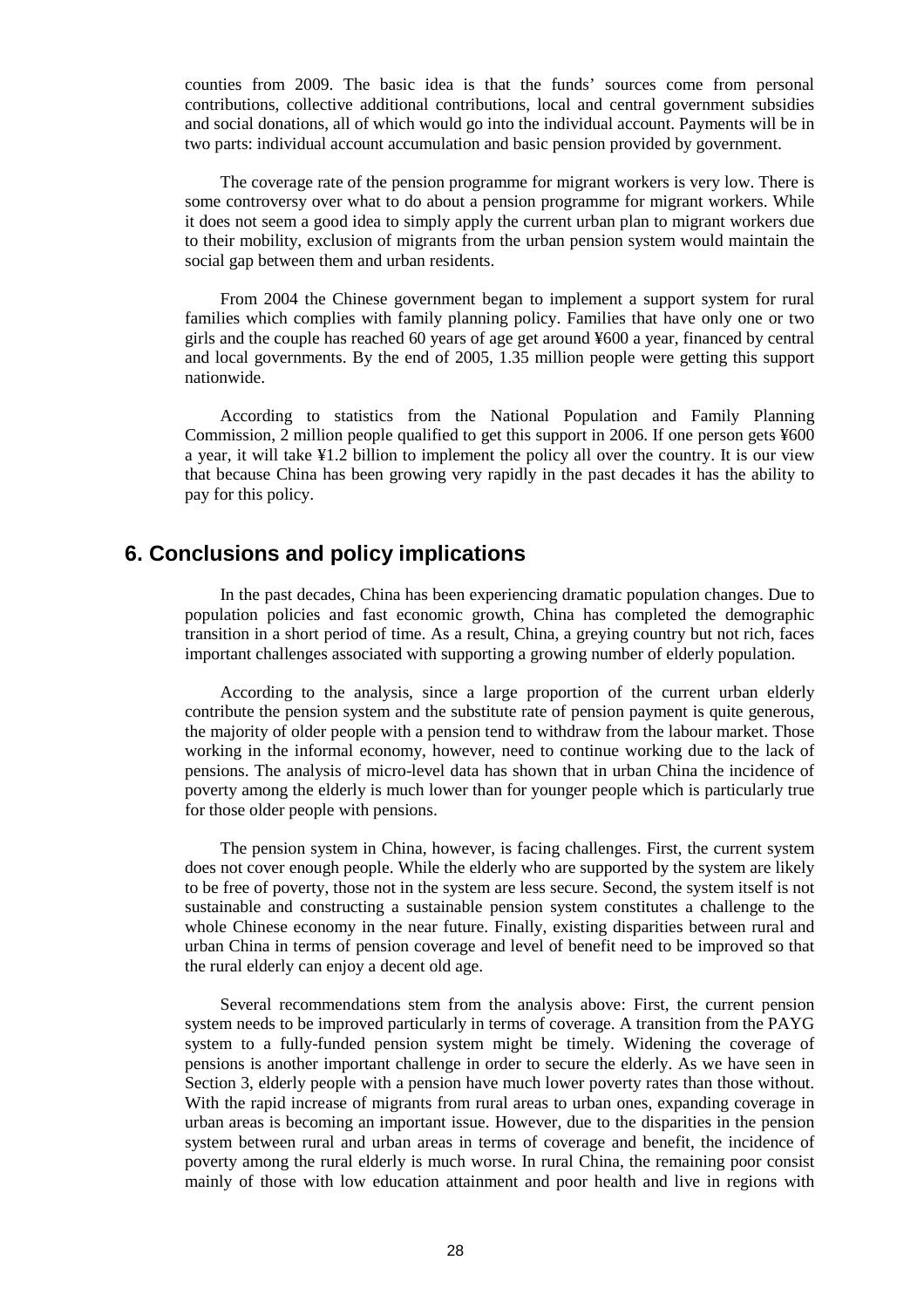counties from 2009. The basic idea is that the funds' sources come from personal contributions, collective additional contributions, local and central government subsidies and social donations, all of which would go into the individual account. Payments will be in two parts: individual account accumulation and basic pension provided by government.

The coverage rate of the pension programme for migrant workers is very low. There is some controversy over what to do about a pension programme for migrant workers. While it does not seem a good idea to simply apply the current urban plan to migrant workers due to their mobility, exclusion of migrants from the urban pension system would maintain the social gap between them and urban residents.

From 2004 the Chinese government began to implement a support system for rural families which complies with family planning policy. Families that have only one or two girls and the couple has reached 60 years of age get around ¥600 a year, financed by central and local governments. By the end of 2005, 1.35 million people were getting this support nationwide.

According to statistics from the National Population and Family Planning Commission, 2 million people qualified to get this support in 2006. If one person gets ¥600 a year, it will take ¥1.2 billion to implement the policy all over the country. It is our view that because China has been growing very rapidly in the past decades it has the ability to pay for this policy.

### **6. Conclusions and policy implications**

In the past decades, China has been experiencing dramatic population changes. Due to population policies and fast economic growth, China has completed the demographic transition in a short period of time. As a result, China, a greying country but not rich, faces important challenges associated with supporting a growing number of elderly population.

According to the analysis, since a large proportion of the current urban elderly contribute the pension system and the substitute rate of pension payment is quite generous, the majority of older people with a pension tend to withdraw from the labour market. Those working in the informal economy, however, need to continue working due to the lack of pensions. The analysis of micro-level data has shown that in urban China the incidence of poverty among the elderly is much lower than for younger people which is particularly true for those older people with pensions.

The pension system in China, however, is facing challenges. First, the current system does not cover enough people. While the elderly who are supported by the system are likely to be free of poverty, those not in the system are less secure. Second, the system itself is not sustainable and constructing a sustainable pension system constitutes a challenge to the whole Chinese economy in the near future. Finally, existing disparities between rural and urban China in terms of pension coverage and level of benefit need to be improved so that the rural elderly can enjoy a decent old age.

Several recommendations stem from the analysis above: First, the current pension system needs to be improved particularly in terms of coverage. A transition from the PAYG system to a fully-funded pension system might be timely. Widening the coverage of pensions is another important challenge in order to secure the elderly. As we have seen in Section 3, elderly people with a pension have much lower poverty rates than those without. With the rapid increase of migrants from rural areas to urban ones, expanding coverage in urban areas is becoming an important issue. However, due to the disparities in the pension system between rural and urban areas in terms of coverage and benefit, the incidence of poverty among the rural elderly is much worse. In rural China, the remaining poor consist mainly of those with low education attainment and poor health and live in regions with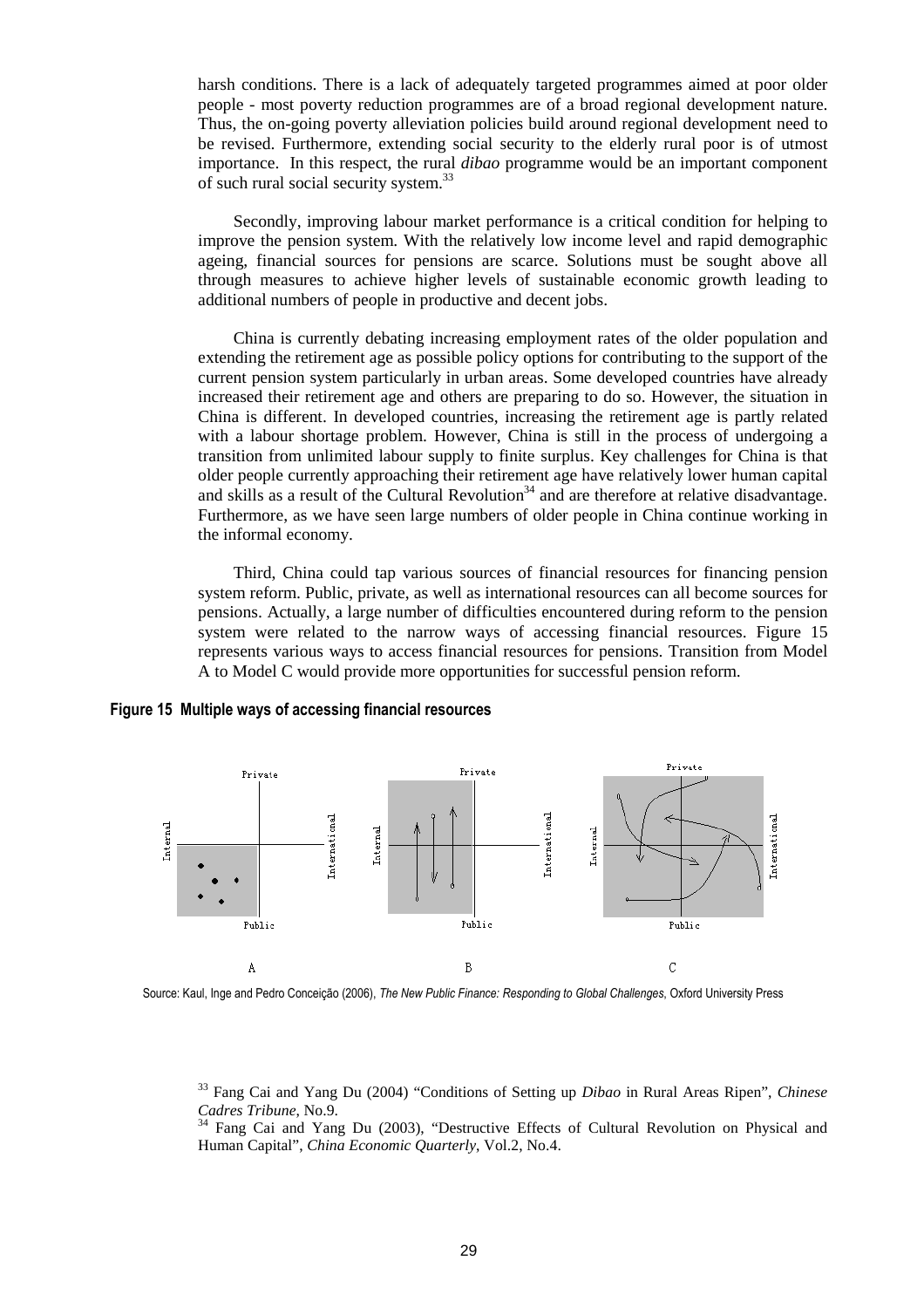harsh conditions. There is a lack of adequately targeted programmes aimed at poor older people - most poverty reduction programmes are of a broad regional development nature. Thus, the on-going poverty alleviation policies build around regional development need to be revised. Furthermore, extending social security to the elderly rural poor is of utmost importance. In this respect, the rural *dibao* programme would be an important component of such rural social security system.<sup>33</sup>

Secondly, improving labour market performance is a critical condition for helping to improve the pension system. With the relatively low income level and rapid demographic ageing, financial sources for pensions are scarce. Solutions must be sought above all through measures to achieve higher levels of sustainable economic growth leading to additional numbers of people in productive and decent jobs.

China is currently debating increasing employment rates of the older population and extending the retirement age as possible policy options for contributing to the support of the current pension system particularly in urban areas. Some developed countries have already increased their retirement age and others are preparing to do so. However, the situation in China is different. In developed countries, increasing the retirement age is partly related with a labour shortage problem. However, China is still in the process of undergoing a transition from unlimited labour supply to finite surplus. Key challenges for China is that older people currently approaching their retirement age have relatively lower human capital and skills as a result of the Cultural Revolution<sup>34</sup> and are therefore at relative disadvantage. Furthermore, as we have seen large numbers of older people in China continue working in the informal economy.

Third, China could tap various sources of financial resources for financing pension system reform. Public, private, as well as international resources can all become sources for pensions. Actually, a large number of difficulties encountered during reform to the pension system were related to the narrow ways of accessing financial resources. Figure 15 represents various ways to access financial resources for pensions. Transition from Model A to Model C would provide more opportunities for successful pension reform.



### **Figure 15 Multiple ways of accessing financial resources**

Source: Kaul, Inge and Pedro Conceição (2006), *The New Public Finance: Responding to Global Challenges*, Oxford University Press

<sup>33</sup> Fang Cai and Yang Du (2004) "Conditions of Setting up *Dibao* in Rural Areas Ripen", *Chinese Cadres Tribune*, No.9.

<sup>34</sup> Fang Cai and Yang Du (2003), "Destructive Effects of Cultural Revolution on Physical and Human Capital", *China Economic Quarterly*, Vol.2, No.4.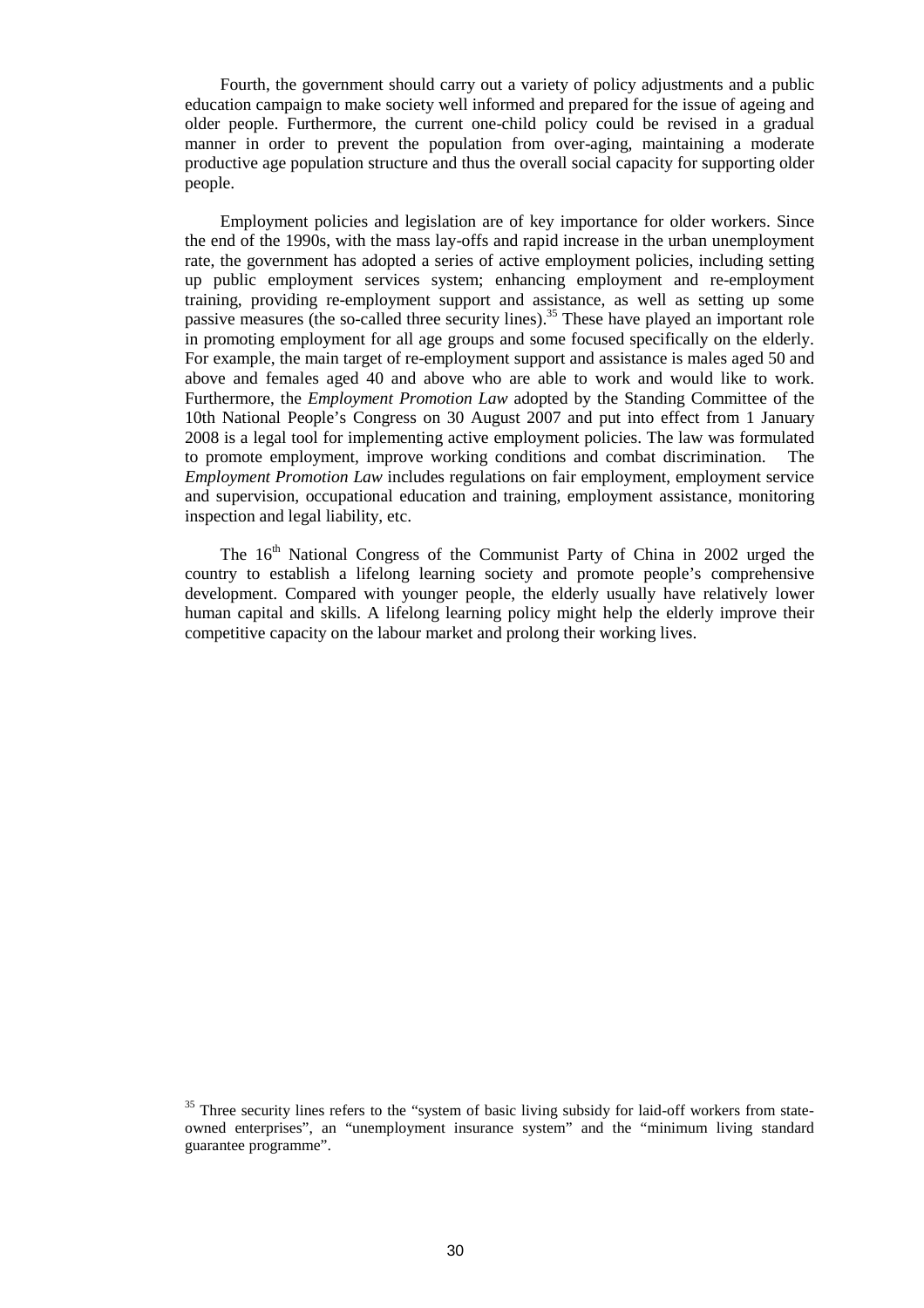Fourth, the government should carry out a variety of policy adjustments and a public education campaign to make society well informed and prepared for the issue of ageing and older people. Furthermore, the current one-child policy could be revised in a gradual manner in order to prevent the population from over-aging, maintaining a moderate productive age population structure and thus the overall social capacity for supporting older people.

Employment policies and legislation are of key importance for older workers. Since the end of the 1990s, with the mass lay-offs and rapid increase in the urban unemployment rate, the government has adopted a series of active employment policies, including setting up public employment services system; enhancing employment and re-employment training, providing re-employment support and assistance, as well as setting up some passive measures (the so-called three security lines).<sup>35</sup> These have played an important role in promoting employment for all age groups and some focused specifically on the elderly. For example, the main target of re-employment support and assistance is males aged 50 and above and females aged 40 and above who are able to work and would like to work. Furthermore, the *Employment Promotion Law* adopted by the Standing Committee of the 10th National People's Congress on 30 August 2007 and put into effect from 1 January 2008 is a legal tool for implementing active employment policies. The law was formulated to promote employment, improve working conditions and combat discrimination. The *Employment Promotion Law* includes regulations on fair employment, employment service and supervision, occupational education and training, employment assistance, monitoring inspection and legal liability, etc.

The 16<sup>th</sup> National Congress of the Communist Party of China in 2002 urged the country to establish a lifelong learning society and promote people's comprehensive development. Compared with younger people, the elderly usually have relatively lower human capital and skills. A lifelong learning policy might help the elderly improve their competitive capacity on the labour market and prolong their working lives.

 $35$  Three security lines refers to the "system of basic living subsidy for laid-off workers from stateowned enterprises", an "unemployment insurance system" and the "minimum living standard guarantee programme".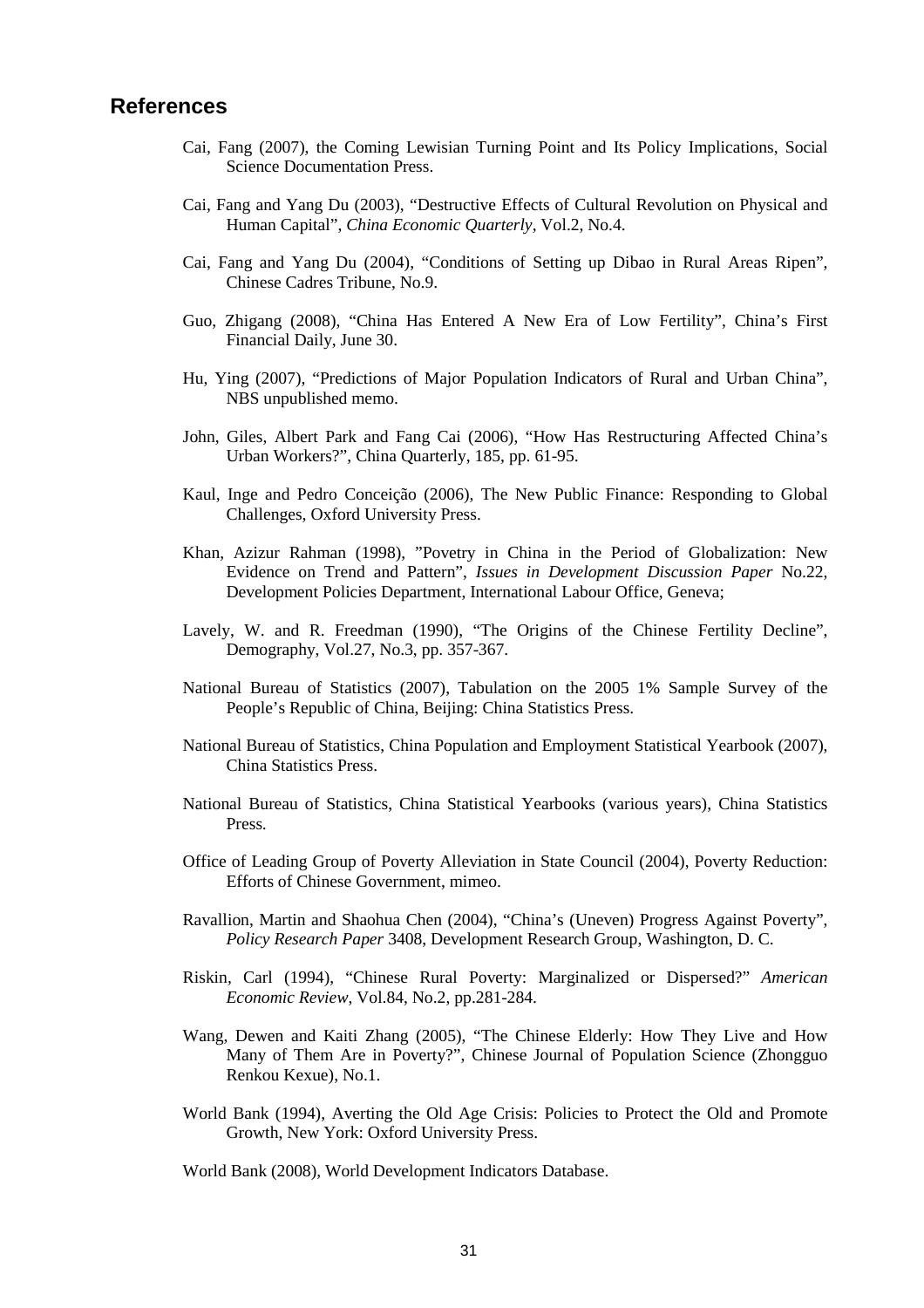### **References**

- Cai, Fang (2007), the Coming Lewisian Turning Point and Its Policy Implications, Social Science Documentation Press.
- Cai, Fang and Yang Du (2003), "Destructive Effects of Cultural Revolution on Physical and Human Capital", *China Economic Quarterly*, Vol.2, No.4.
- Cai, Fang and Yang Du (2004), "Conditions of Setting up Dibao in Rural Areas Ripen", Chinese Cadres Tribune, No.9.
- Guo, Zhigang (2008), "China Has Entered A New Era of Low Fertility", China's First Financial Daily, June 30.
- Hu, Ying (2007), "Predictions of Major Population Indicators of Rural and Urban China", NBS unpublished memo.
- John, Giles, Albert Park and Fang Cai (2006), "How Has Restructuring Affected China's Urban Workers?", China Quarterly, 185, pp. 61-95.
- Kaul, Inge and Pedro Conceição (2006), The New Public Finance: Responding to Global Challenges, Oxford University Press.
- Khan, Azizur Rahman (1998), "Povetry in China in the Period of Globalization: New Evidence on Trend and Pattern", *Issues in Development Discussion Paper* No.22, Development Policies Department, International Labour Office, Geneva;
- Lavely, W. and R. Freedman (1990), "The Origins of the Chinese Fertility Decline", Demography, Vol.27, No.3, pp. 357-367.
- National Bureau of Statistics (2007), Tabulation on the 2005 1% Sample Survey of the People's Republic of China, Beijing: China Statistics Press.
- National Bureau of Statistics, China Population and Employment Statistical Yearbook (2007), China Statistics Press.
- National Bureau of Statistics, China Statistical Yearbooks (various years), China Statistics Press.
- Office of Leading Group of Poverty Alleviation in State Council (2004), Poverty Reduction: Efforts of Chinese Government, mimeo.
- Ravallion, Martin and Shaohua Chen (2004), "China's (Uneven) Progress Against Poverty", *Policy Research Paper* 3408, Development Research Group, Washington, D. C.
- Riskin, Carl (1994), "Chinese Rural Poverty: Marginalized or Dispersed?" *American Economic Review*, Vol.84, No.2, pp.281-284.
- Wang, Dewen and Kaiti Zhang (2005), "The Chinese Elderly: How They Live and How Many of Them Are in Poverty?", Chinese Journal of Population Science (Zhongguo Renkou Kexue), No.1.
- World Bank (1994), Averting the Old Age Crisis: Policies to Protect the Old and Promote Growth, New York: Oxford University Press.

World Bank (2008), World Development Indicators Database.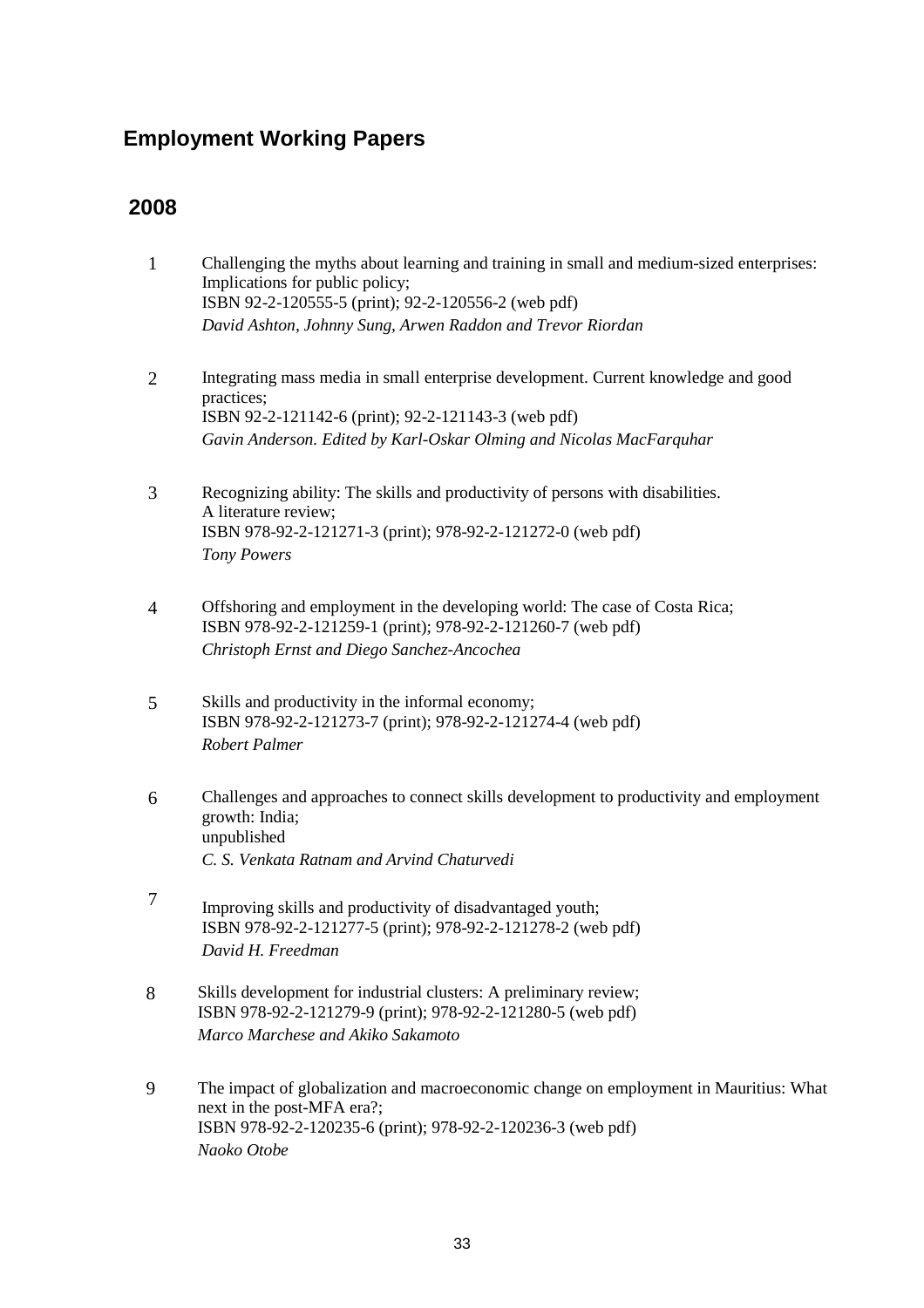## **Employment Working Papers**

### **2008**

- 1 Challenging the myths about learning and training in small and medium-sized enterprises: Implications for public policy; ISBN 92-2-120555-5 (print); 92-2-120556-2 (web pdf) *David Ashton, Johnny Sung, Arwen Raddon and Trevor Riordan*
- 2 Integrating mass media in small enterprise development. Current knowledge and good practices; ISBN 92-2-121142-6 (print); 92-2-121143-3 (web pdf) *Gavin Anderson. Edited by Karl-Oskar Olming and Nicolas MacFarquhar*
- 3 Recognizing ability: The skills and productivity of persons with disabilities. A literature review; ISBN 978-92-2-121271-3 (print); 978-92-2-121272-0 (web pdf) *Tony Powers*
- 4 Offshoring and employment in the developing world: The case of Costa Rica; ISBN 978-92-2-121259-1 (print); 978-92-2-121260-7 (web pdf) *Christoph Ernst and Diego Sanchez-Ancochea*
- 5 Skills and productivity in the informal economy; ISBN 978-92-2-121273-7 (print); 978-92-2-121274-4 (web pdf) *Robert Palmer*
- 6 Challenges and approaches to connect skills development to productivity and employment growth: India; unpublished *C. S. Venkata Ratnam and Arvind Chaturvedi*
- 7 Improving skills and productivity of disadvantaged youth; ISBN 978-92-2-121277-5 (print); 978-92-2-121278-2 (web pdf) *David H. Freedman*
- 8 Skills development for industrial clusters: A preliminary review; ISBN 978-92-2-121279-9 (print); 978-92-2-121280-5 (web pdf) *Marco Marchese and Akiko Sakamoto*
- 9 The impact of globalization and macroeconomic change on employment in Mauritius: What next in the post-MFA era?; ISBN 978-92-2-120235-6 (print); 978-92-2-120236-3 (web pdf) *Naoko Otobe*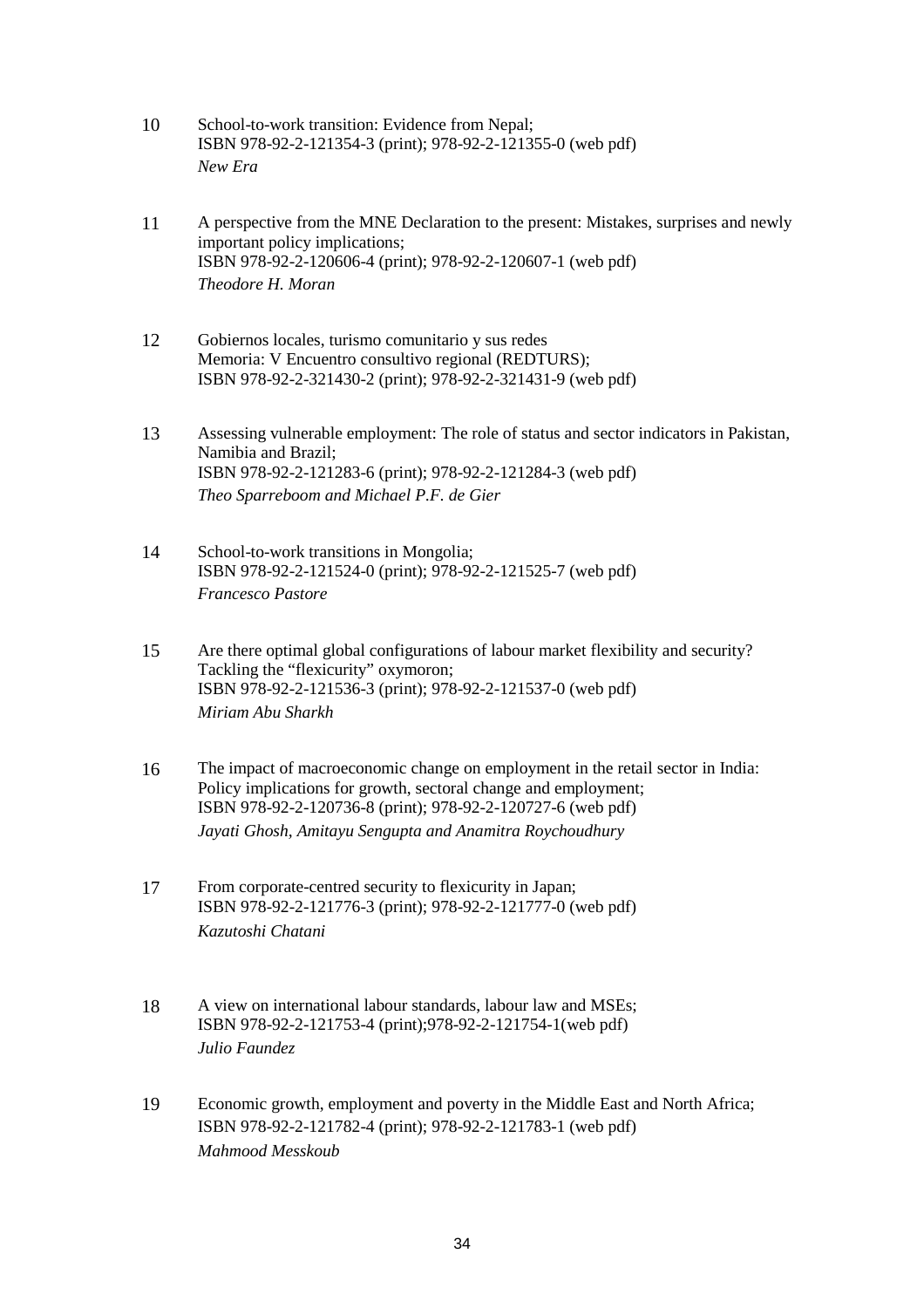- 10 School-to-work transition: Evidence from Nepal; ISBN 978-92-2-121354-3 (print); 978-92-2-121355-0 (web pdf) *New Era*
- 11 A perspective from the MNE Declaration to the present: Mistakes, surprises and newly important policy implications; ISBN 978-92-2-120606-4 (print); 978-92-2-120607-1 (web pdf) *Theodore H. Moran*
- 12 Gobiernos locales, turismo comunitario y sus redes Memoria: V Encuentro consultivo regional (REDTURS); ISBN 978-92-2-321430-2 (print); 978-92-2-321431-9 (web pdf)
- 13 Assessing vulnerable employment: The role of status and sector indicators in Pakistan, Namibia and Brazil; ISBN 978-92-2-121283-6 (print); 978-92-2-121284-3 (web pdf) *Theo Sparreboom and Michael P.F. de Gier*
- 14 School-to-work transitions in Mongolia; ISBN 978-92-2-121524-0 (print); 978-92-2-121525-7 (web pdf) *Francesco Pastore*
- 15 Are there optimal global configurations of labour market flexibility and security? Tackling the "flexicurity" oxymoron; ISBN 978-92-2-121536-3 (print); 978-92-2-121537-0 (web pdf) *Miriam Abu Sharkh*
- 16 The impact of macroeconomic change on employment in the retail sector in India: Policy implications for growth, sectoral change and employment; ISBN 978-92-2-120736-8 (print); 978-92-2-120727-6 (web pdf) *Jayati Ghosh, Amitayu Sengupta and Anamitra Roychoudhury*
- 17 From corporate-centred security to flexicurity in Japan; ISBN 978-92-2-121776-3 (print); 978-92-2-121777-0 (web pdf) *Kazutoshi Chatani*
- 18 A view on international labour standards, labour law and MSEs; ISBN 978-92-2-121753-4 (print);978-92-2-121754-1(web pdf) *Julio Faundez*
- 19 Economic growth, employment and poverty in the Middle East and North Africa; ISBN 978-92-2-121782-4 (print); 978-92-2-121783-1 (web pdf) *Mahmood Messkoub*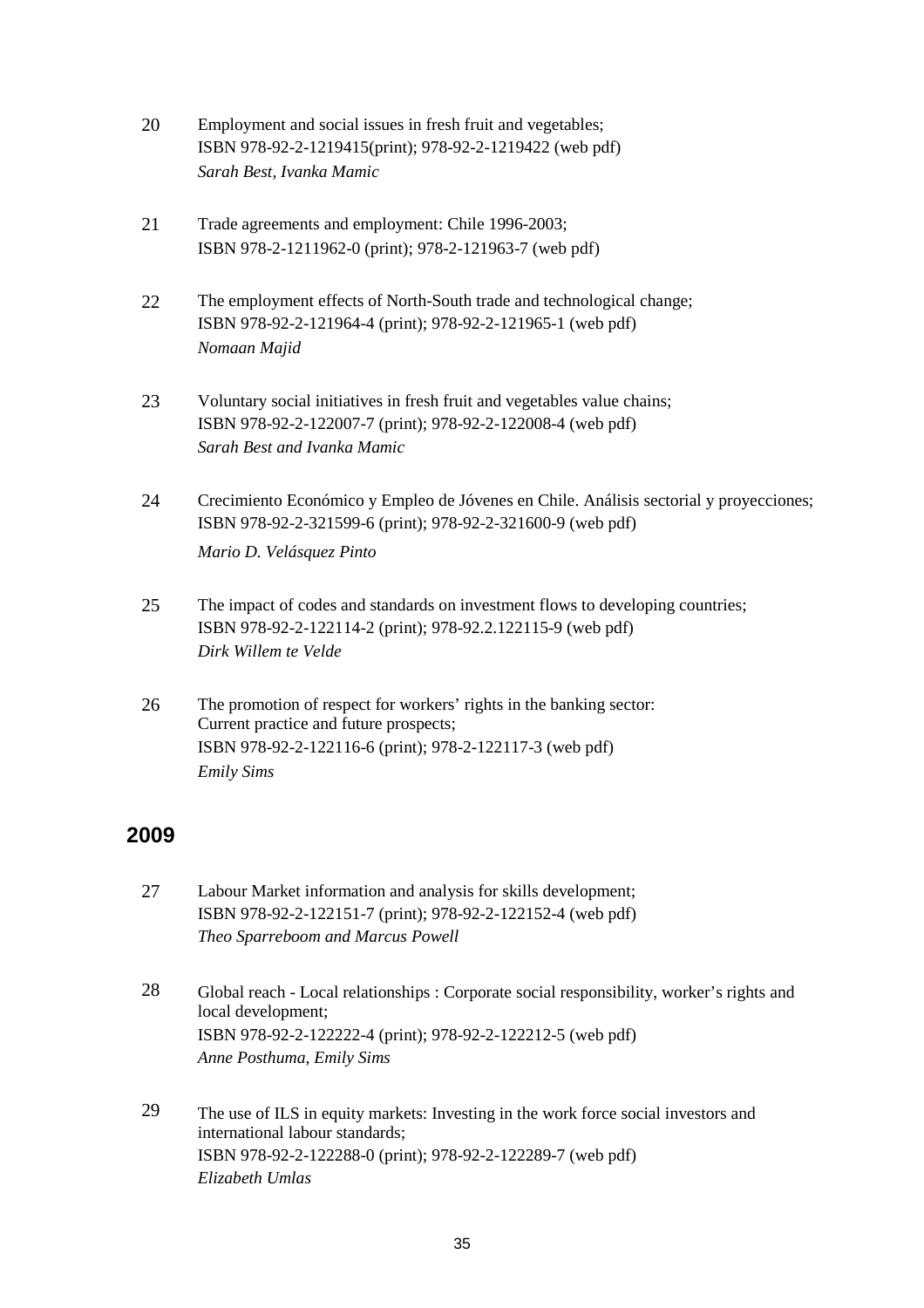- 20 Employment and social issues in fresh fruit and vegetables; ISBN 978-92-2-1219415(print); 978-92-2-1219422 (web pdf) *Sarah Best, Ivanka Mamic*
- 21 Trade agreements and employment: Chile 1996-2003; ISBN 978-2-1211962-0 (print); 978-2-121963-7 (web pdf)
- 22 The employment effects of North-South trade and technological change; ISBN 978-92-2-121964-4 (print); 978-92-2-121965-1 (web pdf) *Nomaan Majid*
- 23 Voluntary social initiatives in fresh fruit and vegetables value chains; ISBN 978-92-2-122007-7 (print); 978-92-2-122008-4 (web pdf) *Sarah Best and Ivanka Mamic*
- 24 Crecimiento Económico y Empleo de Jóvenes en Chile. Análisis sectorial y proyecciones; ISBN 978-92-2-321599-6 (print); 978-92-2-321600-9 (web pdf) *Mario D. Velásquez Pinto*
- 25 The impact of codes and standards on investment flows to developing countries; ISBN 978-92-2-122114-2 (print); 978-92.2.122115-9 (web pdf) *Dirk Willem te Velde*
- 26 The promotion of respect for workers' rights in the banking sector: Current practice and future prospects; ISBN 978-92-2-122116-6 (print); 978-2-122117-3 (web pdf) *Emily Sims*

### **2009**

- 27 Labour Market information and analysis for skills development; ISBN 978-92-2-122151-7 (print); 978-92-2-122152-4 (web pdf) *Theo Sparreboom and Marcus Powell*
- 28 Global reach Local relationships : Corporate social responsibility, worker's rights and local development; ISBN 978-92-2-122222-4 (print); 978-92-2-122212-5 (web pdf) *Anne Posthuma*, *Emily Sims*
- 29 The use of ILS in equity markets: Investing in the work force social investors and international labour standards; ISBN 978-92-2-122288-0 (print); 978-92-2-122289-7 (web pdf) *Elizabeth Umlas*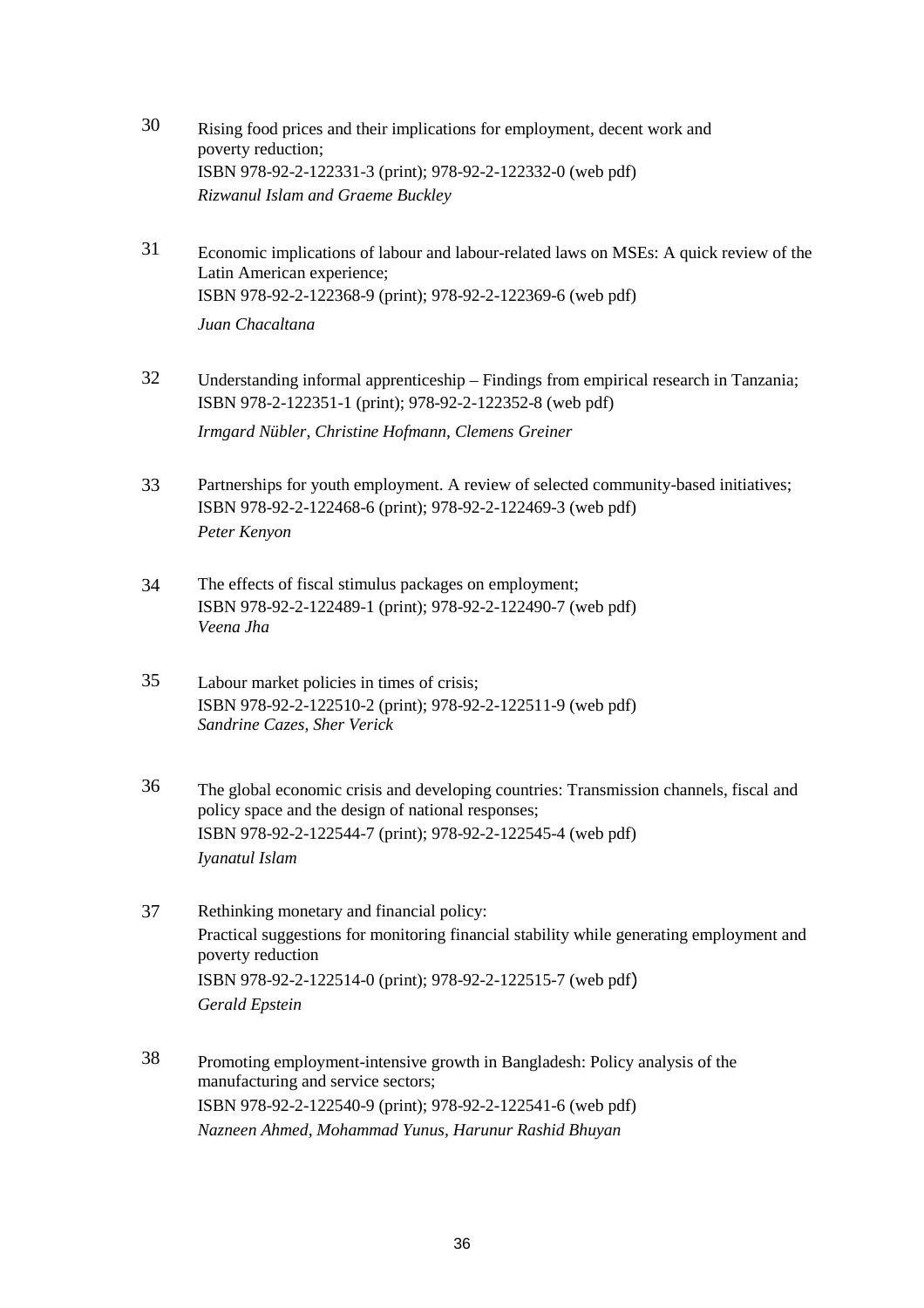- 30 Rising food prices and their implications for employment, decent work and poverty reduction; ISBN 978-92-2-122331-3 (print); 978-92-2-122332-0 (web pdf) *Rizwanul Islam and Graeme Buckley*
- 31 Economic implications of labour and labour-related laws on MSEs: A quick review of the Latin American experience; ISBN 978-92-2-122368-9 (print); 978-92-2-122369-6 (web pdf) *Juan Chacaltana*
- 32 Understanding informal apprenticeship Findings from empirical research in Tanzania; ISBN 978-2-122351-1 (print); 978-92-2-122352-8 (web pdf) *Irmgard Nübler, Christine Hofmann, Clemens Greiner*
- 33 Partnerships for youth employment. A review of selected community-based initiatives; ISBN 978-92-2-122468-6 (print); 978-92-2-122469-3 (web pdf) *Peter Kenyon*
- 34 The effects of fiscal stimulus packages on employment; ISBN 978-92-2-122489-1 (print); 978-92-2-122490-7 (web pdf) *Veena Jha*
- 35 Labour market policies in times of crisis; ISBN 978-92-2-122510-2 (print); 978-92-2-122511-9 (web pdf) *Sandrine Cazes, Sher Verick*
- 36 The global economic crisis and developing countries: Transmission channels, fiscal and policy space and the design of national responses; ISBN 978-92-2-122544-7 (print); 978-92-2-122545-4 (web pdf) *Iyanatul Islam*
- 37 Rethinking monetary and financial policy: Practical suggestions for monitoring financial stability while generating employment and poverty reduction ISBN 978-92-2-122514-0 (print); 978-92-2-122515-7 (web pdf) *Gerald Epstein*
- 38 Promoting employment-intensive growth in Bangladesh: Policy analysis of the manufacturing and service sectors; ISBN 978-92-2-122540-9 (print); 978-92-2-122541-6 (web pdf) *Nazneen Ahmed, Mohammad Yunus, Harunur Rashid Bhuyan*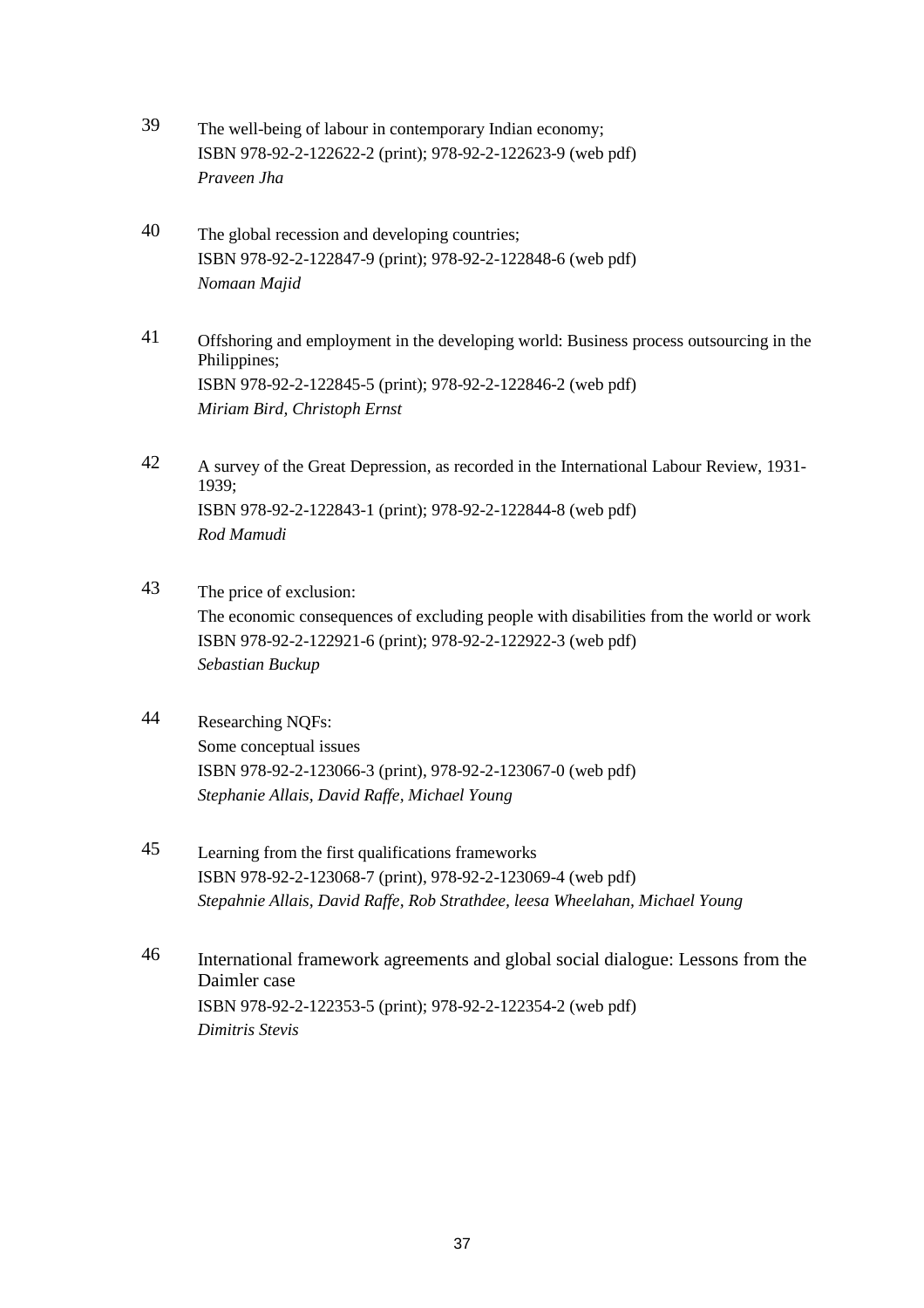- 39 The well-being of labour in contemporary Indian economy; ISBN 978-92-2-122622-2 (print); 978-92-2-122623-9 (web pdf) *Praveen Jha*
- 40 The global recession and developing countries; ISBN 978-92-2-122847-9 (print); 978-92-2-122848-6 (web pdf) *Nomaan Majid*
- 41 Offshoring and employment in the developing world: Business process outsourcing in the Philippines; ISBN 978-92-2-122845-5 (print); 978-92-2-122846-2 (web pdf) *Miriam Bird, Christoph Ernst*
- 42 A survey of the Great Depression, as recorded in the International Labour Review, 1931- 1939; ISBN 978-92-2-122843-1 (print); 978-92-2-122844-8 (web pdf) *Rod Mamudi*
- 43 The price of exclusion: The economic consequences of excluding people with disabilities from the world or work ISBN 978-92-2-122921-6 (print); 978-92-2-122922-3 (web pdf) *Sebastian Buckup*
- 44 Researching NQFs: Some conceptual issues ISBN 978-92-2-123066-3 (print), 978-92-2-123067-0 (web pdf) *Stephanie Allais, David Raffe, Michael Young*
- 45 Learning from the first qualifications frameworks ISBN 978-92-2-123068-7 (print), 978-92-2-123069-4 (web pdf) *Stepahnie Allais, David Raffe, Rob Strathdee, leesa Wheelahan, Michael Young*
- 46 International framework agreements and global social dialogue: Lessons from the Daimler case ISBN 978-92-2-122353-5 (print); 978-92-2-122354-2 (web pdf) *Dimitris Stevis*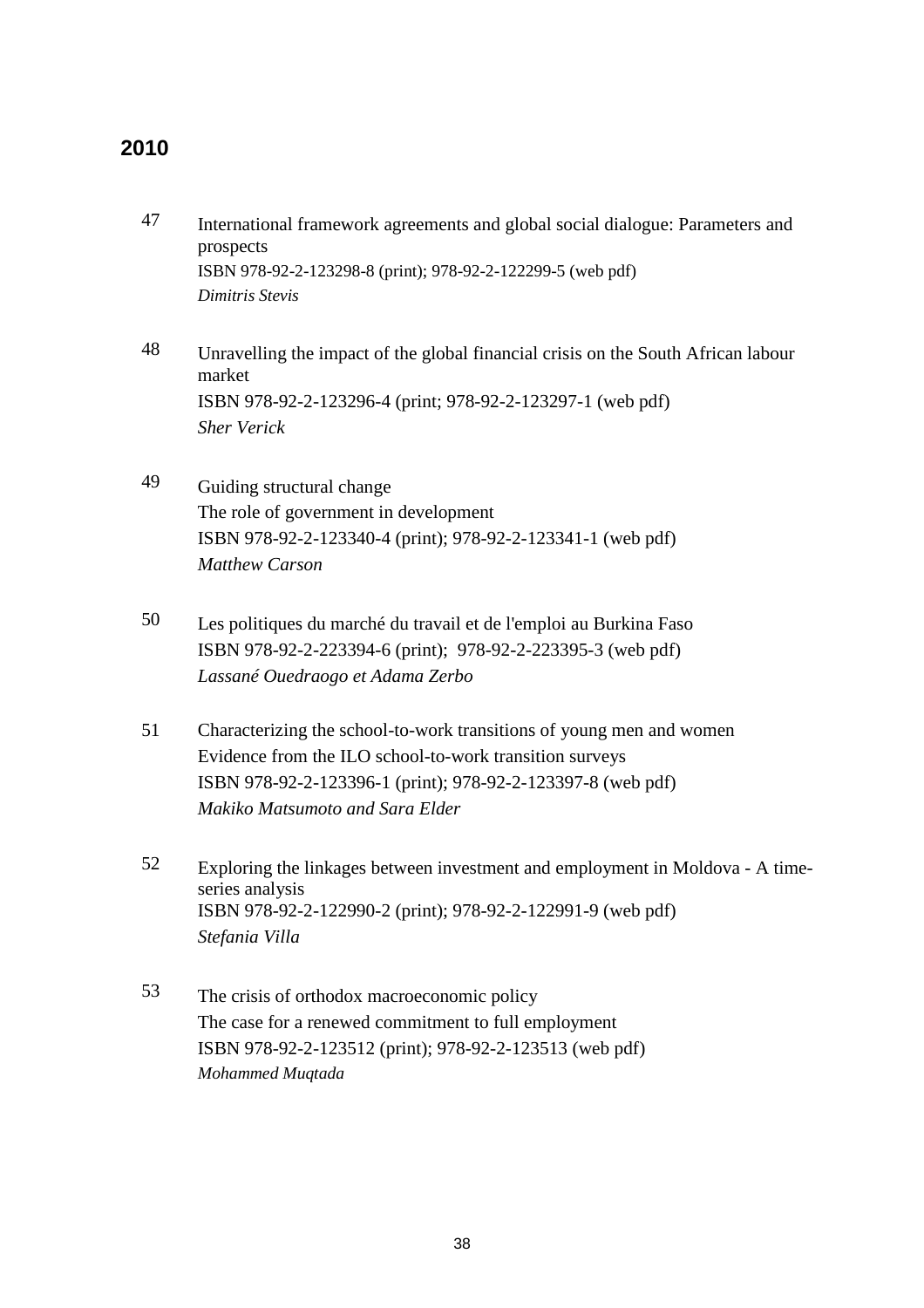### **2010**

- 47 International framework agreements and global social dialogue: Parameters and prospects ISBN 978-92-2-123298-8 (print); 978-92-2-122299-5 (web pdf) *Dimitris Stevis*
- 48 Unravelling the impact of the global financial crisis on the South African labour market ISBN 978-92-2-123296-4 (print; 978-92-2-123297-1 (web pdf) *Sher Verick*
- 49 Guiding structural change The role of government in development ISBN 978-92-2-123340-4 (print); 978-92-2-123341-1 (web pdf) *Matthew Carson*
- 50 Les politiques du marché du travail et de l'emploi au Burkina Faso ISBN 978-92-2-223394-6 (print); 978-92-2-223395-3 (web pdf) *Lassané Ouedraogo et Adama Zerbo*
- 51 Characterizing the school-to-work transitions of young men and women Evidence from the ILO school-to-work transition surveys ISBN 978-92-2-123396-1 (print); 978-92-2-123397-8 (web pdf) *Makiko Matsumoto and Sara Elder*
- 52 Exploring the linkages between investment and employment in Moldova A timeseries analysis ISBN 978-92-2-122990-2 (print); 978-92-2-122991-9 (web pdf) *Stefania Villa*
- 53 The crisis of orthodox macroeconomic policy The case for a renewed commitment to full employment ISBN 978-92-2-123512 (print); 978-92-2-123513 (web pdf) *Mohammed Muqtada*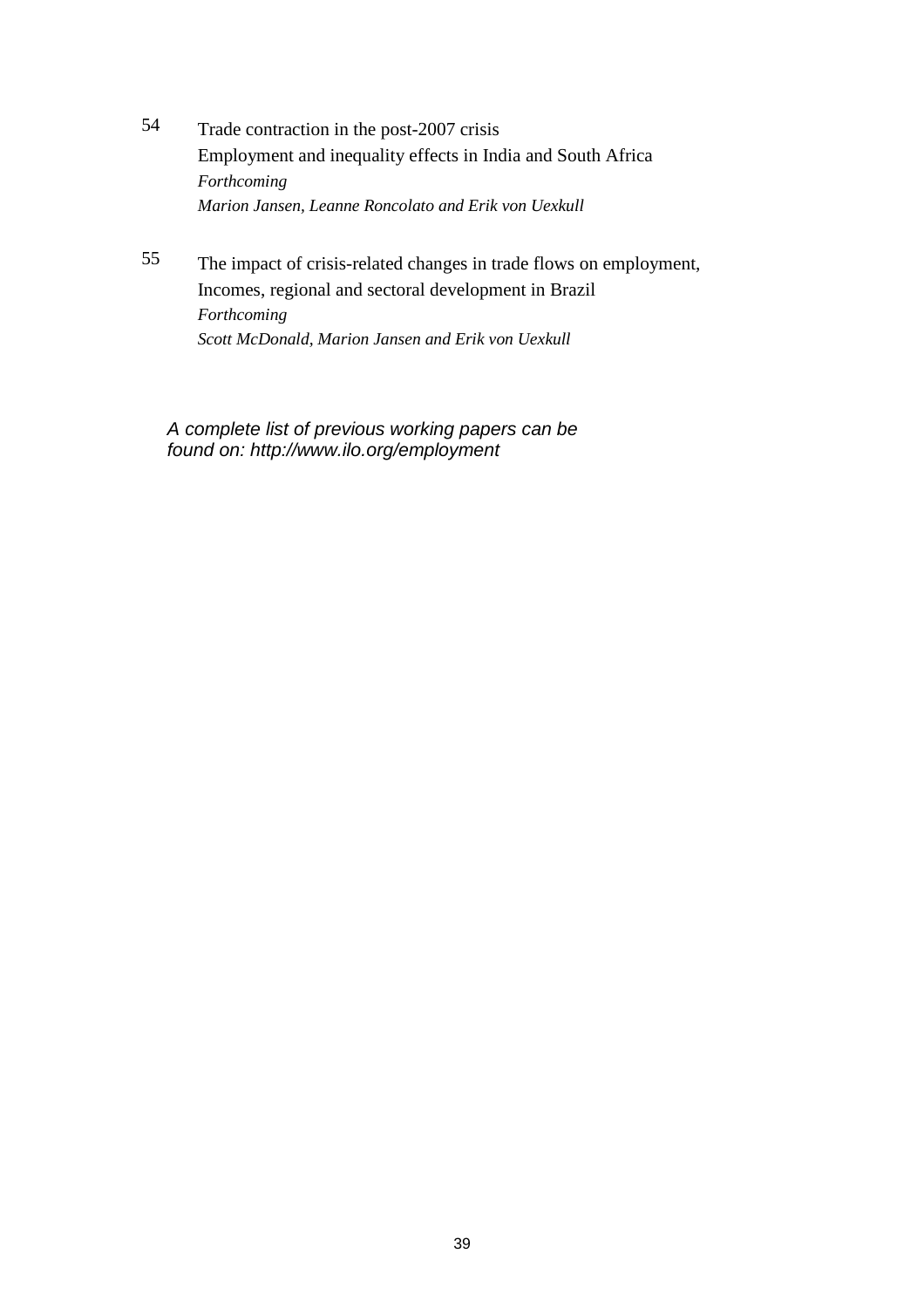- 54 Trade contraction in the post-2007 crisis Employment and inequality effects in India and South Africa *Forthcoming Marion Jansen, Leanne Roncolato and Erik von Uexkull*
- 55 The impact of crisis-related changes in trade flows on employment, Incomes, regional and sectoral development in Brazil *Forthcoming Scott McDonald, Marion Jansen and Erik von Uexkull*

A complete list of previous working papers can be found on: http://www.ilo.org/employment